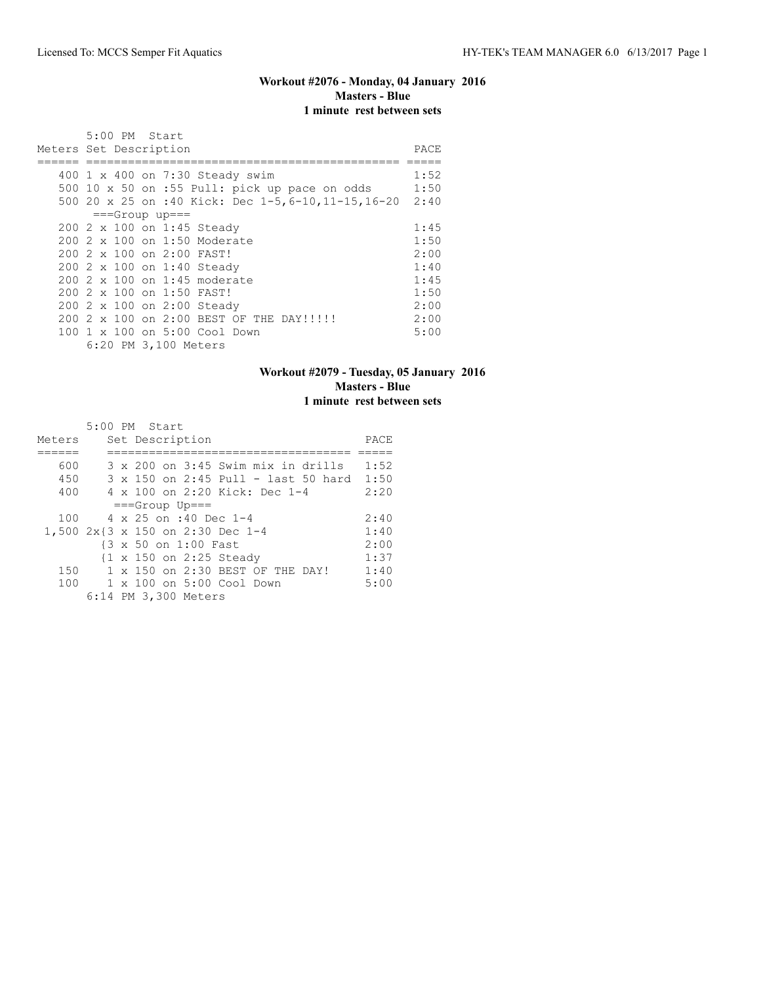### **Workout #2076 - Monday, 04 January 2016 Masters - Blue 1 minute rest between sets**

| 5:00 PM Start<br>Meters Set Description                                                                                               | PACE                 |
|---------------------------------------------------------------------------------------------------------------------------------------|----------------------|
| 400 1 x 400 on 7:30 Steady swim<br>500 10 x 50 on :55 Pull: pick up pace on odds<br>500 20 x 25 on :40 Kick: Dec 1-5,6-10,11-15,16-20 | 1:52<br>1:50<br>2:40 |
| $==Group$ up===                                                                                                                       |                      |
| 200 2 x 100 on 1:45 Steady                                                                                                            | 1:45                 |
| 200 2 x 100 on 1:50 Moderate                                                                                                          | 1:50                 |
| 200 2 x 100 on 2:00 FAST!                                                                                                             | 2:00                 |
| 200 2 x 100 on 1:40 Steady                                                                                                            | 1:40                 |
| 200 2 x 100 on 1:45 moderate                                                                                                          | 1:45                 |
| 200 2 x 100 on 1:50 FAST!                                                                                                             | 1:50                 |
| 200 2 x 100 on 2:00 Steady                                                                                                            | 2:00                 |
| 200 2 x 100 on 2:00 BEST OF THE DAY!!!!!!                                                                                             | 2:00                 |
| 100 1 x 100 on 5:00 Cool Down                                                                                                         | 5:00                 |
| 6:20 PM 3,100 Meters                                                                                                                  |                      |

### **Workout #2079 - Tuesday, 05 January 2016 Masters - Blue 1 minute rest between sets**

|                                  | 5:00 PM Start                    |  |                      |                               |  |                                     |      |
|----------------------------------|----------------------------------|--|----------------------|-------------------------------|--|-------------------------------------|------|
| Meters                           |                                  |  | Set Description      |                               |  |                                     | PACE |
|                                  |                                  |  |                      |                               |  |                                     |      |
| 600                              |                                  |  |                      |                               |  | 3 x 200 on 3:45 Swim mix in drills  | 1:52 |
| 450                              |                                  |  |                      |                               |  | 3 x 150 on 2:45 Pull - last 50 hard | 1:50 |
| 400                              |                                  |  |                      | 4 x 100 on 2:20 Kick: Dec 1-4 |  |                                     | 2:20 |
|                                  |                                  |  | $===Group$ Up===     |                               |  |                                     |      |
| 100                              |                                  |  |                      | $4 \times 25$ on :40 Dec 1-4  |  |                                     | 2:40 |
| 1,500 2x{3 x 150 on 2:30 Dec 1-4 |                                  |  |                      |                               |  |                                     | 1:40 |
|                                  |                                  |  | {3 x 50 on 1:00 Fast |                               |  |                                     | 2:00 |
|                                  |                                  |  |                      | {1 x 150 on 2:25 Steady       |  |                                     | 1:37 |
| 150                              | 1 x 150 on 2:30 BEST OF THE DAY! |  |                      |                               |  |                                     | 1:40 |
| 100                              | 1 x 100 on 5:00 Cool Down        |  |                      |                               |  |                                     | 5:00 |
|                                  |                                  |  | 6:14 PM 3,300 Meters |                               |  |                                     |      |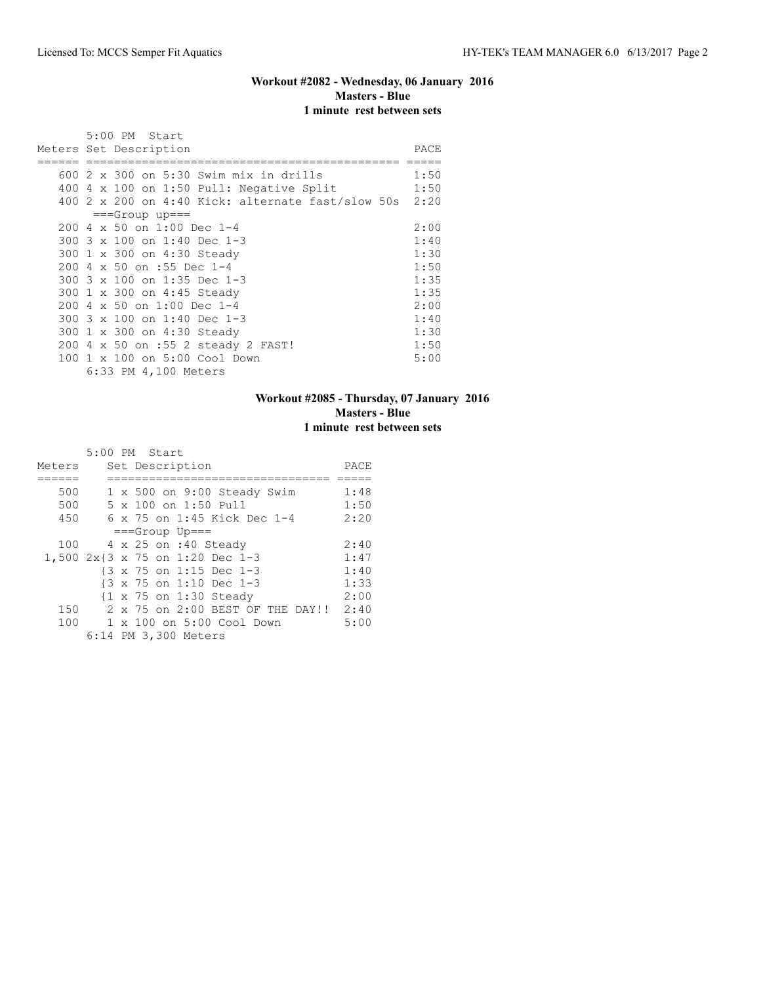## **Workout #2082 - Wednesday, 06 January 2016 Masters - Blue 1 minute rest between sets**

|     |  | 5:00 PM Start                                                                                                                              |              |
|-----|--|--------------------------------------------------------------------------------------------------------------------------------------------|--------------|
|     |  | Meters Set Description                                                                                                                     | PACE         |
| 400 |  | 600 2 x 300 on 5:30 Swim mix in drills<br>4 x 100 on 1:50 Pull: Negative Split<br>400 2 x 200 on 4:40 Kick: alternate fast/slow 50s $2:20$ | 1:50<br>1:50 |
|     |  | $==Group$ up===                                                                                                                            |              |
|     |  | 200 4 x 50 on 1:00 Dec 1-4                                                                                                                 | 2:00         |
|     |  | 300 3 x 100 on 1:40 Dec 1-3                                                                                                                | 1:40         |
|     |  | 300 1 x 300 on 4:30 Steady                                                                                                                 | 1:30         |
|     |  | 200 4 x 50 on :55 Dec 1-4                                                                                                                  | 1:50         |
|     |  | 300 3 x 100 on 1:35 Dec 1-3                                                                                                                | 1:35         |
|     |  | 300 1 x 300 on 4:45 Steady                                                                                                                 | 1:35         |
|     |  | 200 4 x 50 on 1:00 Dec 1-4                                                                                                                 | 2:00         |
|     |  | 300 3 x 100 on 1:40 Dec 1-3                                                                                                                | 1:40         |
|     |  | 300 1 x 300 on 4:30 Steady                                                                                                                 | 1:30         |
|     |  | 200 4 x 50 on :55 2 steady 2 FAST!                                                                                                         | 1:50         |
| 100 |  | 1 x 100 on 5:00 Cool Down<br>6:33 PM 4,100 Meters                                                                                          | 5:00         |

#### **Workout #2085 - Thursday, 07 January 2016 Masters - Blue 1 minute rest between sets**

|     |  | PACE                                                                                                                                                                                                                                                                                                                                                                              |
|-----|--|-----------------------------------------------------------------------------------------------------------------------------------------------------------------------------------------------------------------------------------------------------------------------------------------------------------------------------------------------------------------------------------|
|     |  |                                                                                                                                                                                                                                                                                                                                                                                   |
|     |  | 1:48                                                                                                                                                                                                                                                                                                                                                                              |
|     |  | 1:50                                                                                                                                                                                                                                                                                                                                                                              |
|     |  | 2:20                                                                                                                                                                                                                                                                                                                                                                              |
|     |  |                                                                                                                                                                                                                                                                                                                                                                                   |
|     |  | 2:40                                                                                                                                                                                                                                                                                                                                                                              |
|     |  | 1:47                                                                                                                                                                                                                                                                                                                                                                              |
|     |  | 1:40                                                                                                                                                                                                                                                                                                                                                                              |
|     |  | 1:33                                                                                                                                                                                                                                                                                                                                                                              |
|     |  | 2:00                                                                                                                                                                                                                                                                                                                                                                              |
| 150 |  | 2:40                                                                                                                                                                                                                                                                                                                                                                              |
|     |  | 5:00                                                                                                                                                                                                                                                                                                                                                                              |
|     |  |                                                                                                                                                                                                                                                                                                                                                                                   |
|     |  | 5:00 PM Start<br>Set Description<br>1 x 500 on 9:00 Steady Swim<br>5 x 100 on 1:50 Pull<br>6 x 75 on 1:45 Kick Dec 1-4<br>$==Group$ Up===<br>4 x 25 on :40 Steady<br>1,500 2x{3 x 75 on 1:20 Dec 1-3<br>{3 x 75 on 1:15 Dec 1-3<br>{3 x 75 on 1:10 Dec 1-3<br>{1 x 75 on 1:30 Steady<br>2 x 75 on 2:00 BEST OF THE DAY!!<br>100 1 x 100 on 5:00 Cool Down<br>6:14 PM 3,300 Meters |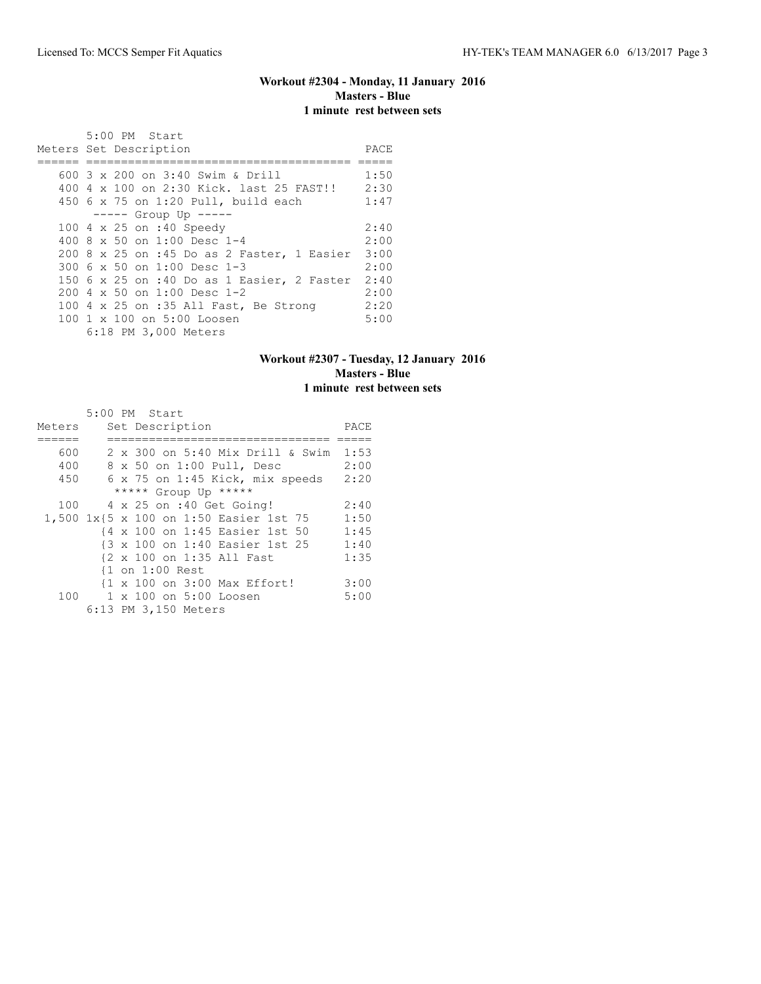## **Workout #2304 - Monday, 11 January 2016 Masters - Blue 1 minute rest between sets**

| 5:00 PM Start<br>Meters Set Description         | PACE |
|-------------------------------------------------|------|
|                                                 |      |
| 600 3 x 200 on 3:40 Swim & Drill                | 1:50 |
| 400 4 x 100 on 2:30 Kick. last 25 FAST!!        | 2:30 |
| 450 6 x 75 on 1:20 Pull, build each             | 1:47 |
| $--- $ Group Up $---$                           |      |
| 100 4 x 25 on :40 Speedy                        | 2:40 |
| 400 8 x 50 on 1:00 Desc 1-4                     | 2:00 |
| 200 8 x 25 on :45 Do as 2 Faster, 1 Easier 3:00 |      |
| 300 $6 \times 50$ on 1:00 Desc 1-3              | 2:00 |
| 150 6 x 25 on :40 Do as 1 Easier, 2 Faster      | 2:40 |
| 200 4 x 50 on 1:00 Desc 1-2                     | 2:00 |
| 100 4 x 25 on :35 All Fast, Be Strong           | 2:20 |
| 100 1 x 100 on 5:00 Loosen                      | 5:00 |
| 6:18 PM 3,000 Meters                            |      |

### **Workout #2307 - Tuesday, 12 January 2016 Masters - Blue 1 minute rest between sets**

|        | 5:00 PM Start                            |      |
|--------|------------------------------------------|------|
| Meters | Set Description                          | PACE |
|        |                                          |      |
| 600    | 2 x 300 on 5:40 Mix Drill & Swim         | 1:53 |
| 400    | 8 x 50 on 1:00 Pull, Desc                | 2:00 |
| 450    | $6 \times 75$ on $1:45$ Kick, mix speeds | 2:20 |
|        | ***** Group Up *****                     |      |
| 100    | 4 x 25 on :40 Get Going!                 | 2:40 |
|        | 1,500 1x{5 x 100 on 1:50 Easier 1st 75   | 1:50 |
|        | {4 x 100 on 1:45 Easier 1st 50           | 1:45 |
|        | {3 x 100 on 1:40 Easier 1st 25           | 1:40 |
|        | {2 x 100 on 1:35 All Fast                | 1:35 |
|        | {1 on 1:00 Rest                          |      |
|        | {1 x 100 on 3:00 Max Effort!             | 3:00 |
| 100    | $1 \times 100$ on $5:00$ Loosen          | 5:00 |
|        | 6:13 PM 3,150 Meters                     |      |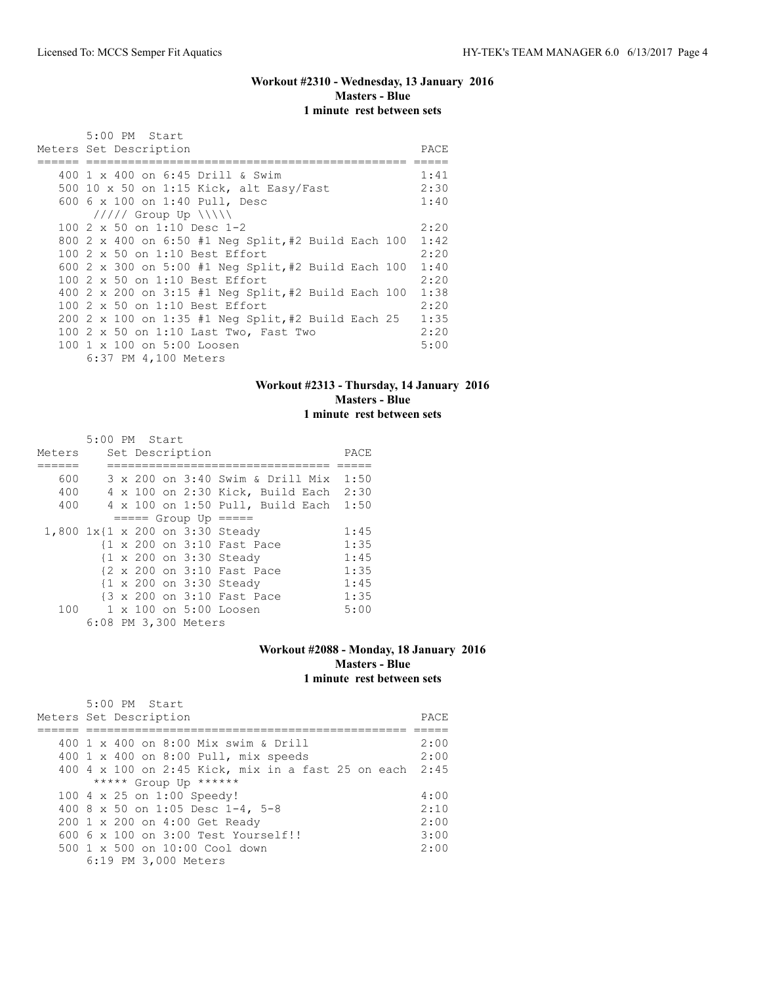### **Workout #2310 - Wednesday, 13 January 2016 Masters - Blue 1 minute rest between sets**

| 5:00 PM Start                                       |      |
|-----------------------------------------------------|------|
| Meters Set Description                              | PACE |
|                                                     |      |
| 400 $1 \times 400$ on 6:45 Drill & Swim             | 1:41 |
| 500 10 x 50 on 1:15 Kick, alt Easy/Fast             | 2:30 |
| 600 6 x 100 on 1:40 Pull, Desc                      | 1:40 |
| $11111$ Group Up $\{\{\}\}\$                        |      |
| 100 $2 \times 50$ on 1:10 Desc 1-2                  | 2:20 |
| 800 2 x 400 on 6:50 #1 Neg Split, #2 Build Each 100 | 1:42 |
| 100 2 x 50 on 1:10 Best Effort                      | 2:20 |
| 600 2 x 300 on 5:00 #1 Neq Split, #2 Build Each 100 | 1:40 |
| 100 2 x 50 on 1:10 Best Effort                      | 2:20 |
| 400 2 x 200 on 3:15 #1 Neq Split, #2 Build Each 100 | 1:38 |
| 100 2 x 50 on 1:10 Best Effort                      | 2:20 |
| 200 2 x 100 on 1:35 #1 Neq Split, #2 Build Each 25  | 1:35 |
| 100 2 x 50 on 1:10 Last Two, Fast Two               | 2:20 |
| 100 1 x 100 on 5:00 Loosen                          | 5:00 |
| 6:37 PM 4,100 Meters                                |      |

#### **Workout #2313 - Thursday, 14 January 2016 Masters - Blue 1 minute rest between sets**

|  |  |                                  | PACE                                                                                                                                                                                                                                                                                                                                                                             |
|--|--|----------------------------------|----------------------------------------------------------------------------------------------------------------------------------------------------------------------------------------------------------------------------------------------------------------------------------------------------------------------------------------------------------------------------------|
|  |  |                                  |                                                                                                                                                                                                                                                                                                                                                                                  |
|  |  |                                  | 1:50                                                                                                                                                                                                                                                                                                                                                                             |
|  |  |                                  |                                                                                                                                                                                                                                                                                                                                                                                  |
|  |  |                                  | 1:50                                                                                                                                                                                                                                                                                                                                                                             |
|  |  |                                  |                                                                                                                                                                                                                                                                                                                                                                                  |
|  |  |                                  | 1:45                                                                                                                                                                                                                                                                                                                                                                             |
|  |  |                                  | 1:35                                                                                                                                                                                                                                                                                                                                                                             |
|  |  |                                  | 1:45                                                                                                                                                                                                                                                                                                                                                                             |
|  |  |                                  | 1:35                                                                                                                                                                                                                                                                                                                                                                             |
|  |  |                                  | 1:45                                                                                                                                                                                                                                                                                                                                                                             |
|  |  |                                  | 1:35                                                                                                                                                                                                                                                                                                                                                                             |
|  |  |                                  | 5:00                                                                                                                                                                                                                                                                                                                                                                             |
|  |  |                                  |                                                                                                                                                                                                                                                                                                                                                                                  |
|  |  | 5:00 PM Start<br>Set Description | 3 x 200 on 3:40 Swim & Drill Mix<br>4 x 100 on 2:30 Kick, Build Each 2:30<br>4 x 100 on 1:50 Pull, Build Each<br>$== == $ Group Up $== == $<br>1,800 1x{1 x 200 on 3:30 Steady<br>{1 x 200 on 3:10 Fast Pace<br>{1 x 200 on 3:30 Steady<br>{2 x 200 on 3:10 Fast Pace<br>{1 x 200 on 3:30 Steady<br>{3 x 200 on 3:10 Fast Pace<br>1 x 100 on 5:00 Loosen<br>6:08 PM 3,300 Meters |

#### **Workout #2088 - Monday, 18 January 2016 Masters - Blue 1 minute rest between sets**

| 5:00 PM Start<br>Meters Set Description                 | PACE |
|---------------------------------------------------------|------|
|                                                         |      |
| 400 1 x 400 on 8:00 Mix swim & Drill                    | 2:00 |
| 400 1 x 400 on 8:00 Pull, mix speeds                    | 2:00 |
| 400 4 x 100 on 2:45 Kick, mix in a fast 25 on each 2:45 |      |
| ***** Group Up ******                                   |      |
| 100 4 x 25 on 1:00 Speedy!                              | 4:00 |
| 400 8 x 50 on 1:05 Desc 1-4, 5-8                        | 2:10 |
| 200 1 x 200 on 4:00 Get Ready                           | 2:00 |
| $6006 \times 100$ on $3:00$ Test Yourself!!             | 3:00 |
| $500 \t 1 \t x \t 500$ on $10:00$ Cool down             | 2:00 |
| 6:19 PM 3,000 Meters                                    |      |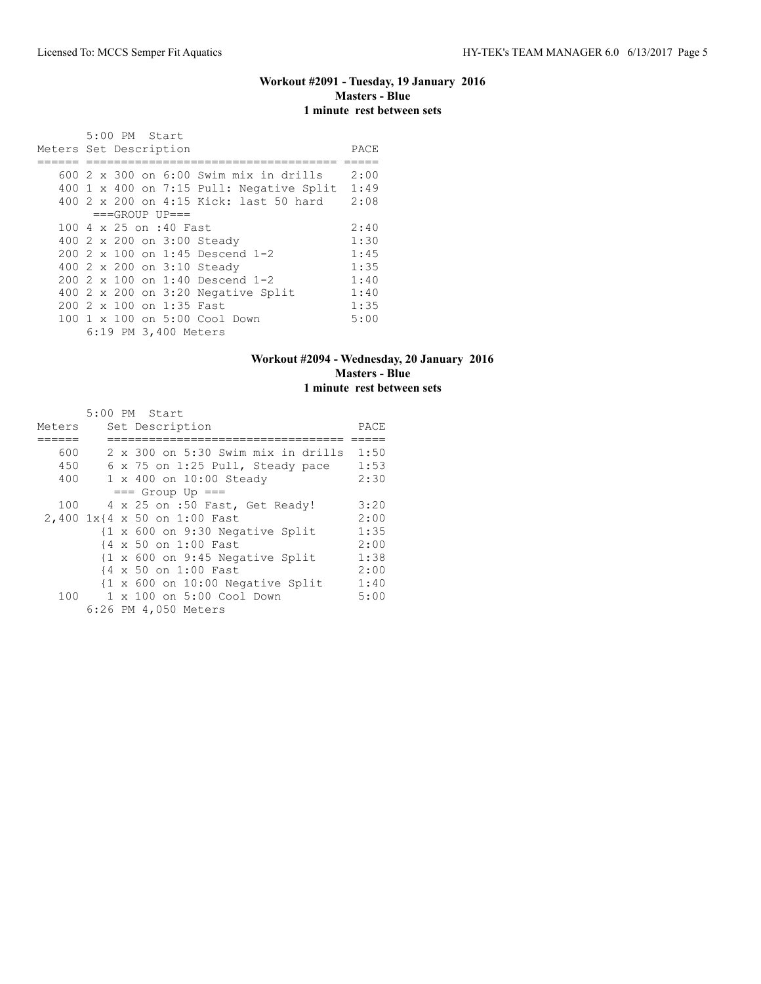# **Workout #2091 - Tuesday, 19 January 2016 Masters - Blue 1 minute rest between sets**

|                        |  | 5:00 PM Start |                          |                                                 |      |
|------------------------|--|---------------|--------------------------|-------------------------------------------------|------|
| Meters Set Description |  |               |                          |                                                 | PACE |
|                        |  |               |                          |                                                 |      |
|                        |  |               |                          | 600 $2 \times 300$ on 6:00 Swim mix in drills   | 2:00 |
|                        |  |               |                          | 400 $1 \times 400$ on 7:15 Pull: Negative Split | 1:49 |
|                        |  |               |                          | 400 2 x 200 on 4:15 Kick: last 50 hard          | 2:08 |
|                        |  |               | $===GROUP UP=-$          |                                                 |      |
|                        |  |               | 100 4 x 25 on :40 Fast   |                                                 | 2:40 |
|                        |  |               |                          | 400 2 x 200 on 3:00 Steady                      | 1:30 |
|                        |  |               |                          | $200.2 \times 100$ on 1:45 Descend 1-2          | 1:45 |
|                        |  |               |                          | 400 2 x 200 on 3:10 Steady                      | 1:35 |
|                        |  |               |                          | 200 2 x 100 on 1:40 Descend 1-2                 | 1:40 |
|                        |  |               |                          | 400 $2 \times 200$ on 3:20 Negative Split       | 1:40 |
|                        |  |               | 200 2 x 100 on 1:35 Fast |                                                 | 1:35 |
|                        |  |               |                          | 100 1 x 100 on 5:00 Cool Down                   | 5:00 |
|                        |  |               | 6:19 PM 3,400 Meters     |                                                 |      |

### **Workout #2094 - Wednesday, 20 January 2016 Masters - Blue 1 minute rest between sets**

|        |  | 5:00 PM Start                                               |      |
|--------|--|-------------------------------------------------------------|------|
| Meters |  | Set Description                                             | PACE |
|        |  |                                                             |      |
| 600    |  | 2 x 300 on 5:30 Swim mix in drills                          | 1:50 |
| 450    |  | 6 x 75 on 1:25 Pull, Steady pace                            | 1:53 |
| 400    |  | 1 x 400 on 10:00 Steady                                     | 2:30 |
|        |  | $==$ Group Up $==$                                          |      |
| 100    |  | 4 x 25 on :50 Fast, Get Ready!                              | 3:20 |
|        |  | 2,400 1x{4 x 50 on 1:00 Fast                                | 2:00 |
|        |  | $\{1 \times 600 \text{ on } 9:30 \text{ Negative Split}\}$  | 1:35 |
|        |  | {4 x 50 on 1:00 Fast                                        | 2:00 |
|        |  | $\{1 \times 600 \text{ on } 9:45 \text{ Negative Split}\}$  | 1:38 |
|        |  | {4 x 50 on 1:00 Fast                                        | 2:00 |
|        |  | $\{1 \times 600 \text{ on } 10:00 \text{ Negative Split}\}$ | 1:40 |
| 100    |  | 1 x 100 on 5:00 Cool Down                                   | 5:00 |
|        |  | 6:26 PM 4,050 Meters                                        |      |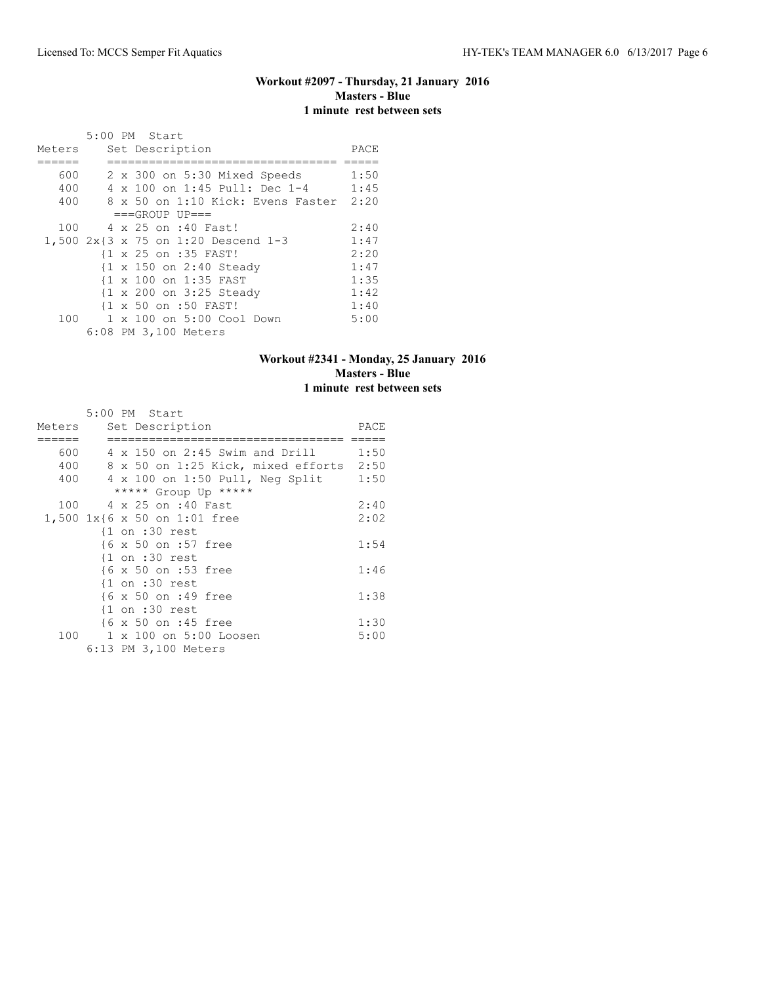#### **Workout #2097 - Thursday, 21 January 2016 Masters - Blue 1 minute rest between sets**

|        |  | 5:00 PM Start                       |      |
|--------|--|-------------------------------------|------|
| Meters |  | Set Description                     | PACE |
|        |  |                                     |      |
| 600    |  | 2 x 300 on 5:30 Mixed Speeds        | 1:50 |
| 400    |  | 4 x 100 on 1:45 Pull: Dec 1-4       | 1:45 |
| 400    |  | 8 x 50 on 1:10 Kick: Evens Faster   | 2:20 |
|        |  | $===GROUP UP = =$                   |      |
| 100    |  | 4 x 25 on :40 Fast!                 | 2:40 |
|        |  | 1,500 2x{3 x 75 on 1:20 Descend 1-3 | 1:47 |
|        |  | {1 x 25 on :35 FAST!                | 2:20 |
|        |  | {1 x 150 on 2:40 Steady             | 1:47 |
|        |  | {1 x 100 on 1:35 FAST               | 1:35 |
|        |  | {1 x 200 on 3:25 Steady             | 1:42 |
|        |  | {1 x 50 on :50 FAST!                | 1:40 |
| 100    |  | 1 x 100 on 5:00 Cool Down           | 5:00 |
|        |  | 6:08 PM 3,100 Meters                |      |

### **Workout #2341 - Monday, 25 January 2016 Masters - Blue 1 minute rest between sets**

|        | 5:00 PM Start                      |      |
|--------|------------------------------------|------|
| Meters | Set Description                    | PACE |
|        |                                    |      |
| 600    | 4 x 150 on 2:45 Swim and Drill     | 1:50 |
| 400    | 8 x 50 on 1:25 Kick, mixed efforts | 2:50 |
| 400    | 4 x 100 on 1:50 Pull, Neg Split    | 1:50 |
|        | ***** Group Up *****               |      |
| 100    | 4 x 25 on :40 Fast                 | 2:40 |
|        | 1,500 1x{6 x 50 on 1:01 free       | 2:02 |
|        | $\{1$ on :30 rest                  |      |
|        | {6 x 50 on :57 free                | 1:54 |
|        | $\{1$ on :30 rest                  |      |
|        | {6 x 50 on :53 free                | 1:46 |
|        | $\{1$ on :30 rest                  |      |
|        | {6 x 50 on :49 free                | 1:38 |
|        | $\{1$ on :30 rest                  |      |
|        | {6 x 50 on :45 free                | 1:30 |
| 100    | 1 x 100 on 5:00 Loosen             | 5:00 |
|        | 6:13 PM 3,100 Meters               |      |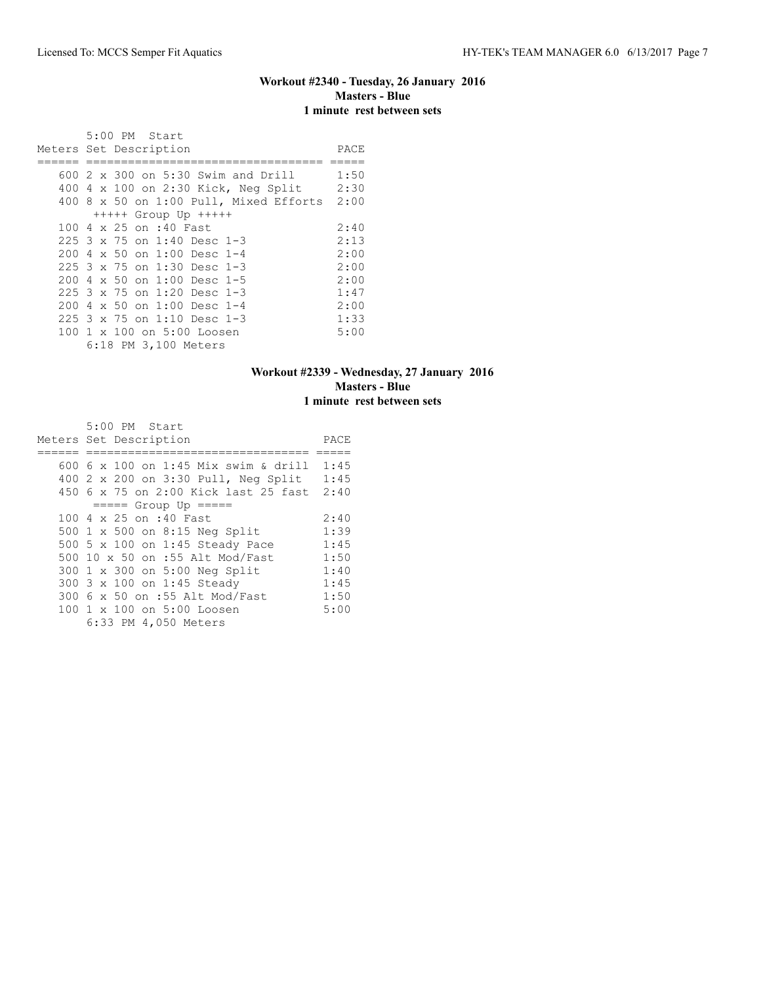### **Workout #2340 - Tuesday, 26 January 2016 Masters - Blue 1 minute rest between sets**

|  | 5:00 PM Start                               |      |
|--|---------------------------------------------|------|
|  | Meters Set Description                      | PACE |
|  | 600 2 x 300 on 5:30 Swim and Drill          | 1:50 |
|  | 400 4 x 100 on 2:30 Kick, Neg Split 2:30    |      |
|  |                                             |      |
|  | 400 8 x 50 on 1:00 Pull, Mixed Efforts 2:00 |      |
|  | $++++$ Group Up $++++$                      |      |
|  | 100 4 x 25 on :40 Fast                      | 2:40 |
|  | $225$ 3 x 75 on 1:40 Desc 1-3               | 2:13 |
|  | 200 4 x 50 on 1:00 Desc 1-4                 | 2:00 |
|  | $225$ 3 x 75 on 1:30 Desc 1-3               | 2:00 |
|  | 200 4 x 50 on 1:00 Desc 1-5                 | 2:00 |
|  | 225 3 x 75 on 1:20 Desc 1-3                 | 1:47 |
|  | $2004 \times 50$ on $1:00$ Desc 1-4         | 2:00 |
|  | $225$ 3 x 75 on 1:10 Desc 1-3               | 1:33 |
|  | 100 1 x 100 on 5:00 Loosen                  | 5:00 |
|  | 6:18 PM 3,100 Meters                        |      |

### **Workout #2339 - Wednesday, 27 January 2016 Masters - Blue 1 minute rest between sets**

| 5:00 PM Start                        |      |
|--------------------------------------|------|
| Meters Set Description               | PACE |
|                                      |      |
| 600 6 x 100 on 1:45 Mix swim & drill | 1:45 |
| 400 2 x 200 on 3:30 Pull, Neg Split  | 1:45 |
| 450 6 x 75 on 2:00 Kick last 25 fast | 2:40 |
| $== == $ Group Up $== == $           |      |
| 100 4 x 25 on :40 Fast               | 2:40 |
| 500 1 x 500 on 8:15 Neg Split        | 1:39 |
| 500 5 x 100 on 1:45 Steady Pace      | 1:45 |
| 500 10 x 50 on :55 Alt Mod/Fast      | 1:50 |
| 300 1 x 300 on 5:00 Neg Split        | 1:40 |
| 300 3 x 100 on 1:45 Steady           | 1:45 |
| 300 6 x 50 on :55 Alt Mod/Fast       | 1:50 |
| 100 1 x 100 on 5:00 Loosen           | 5:00 |
| 6:33 PM 4,050 Meters                 |      |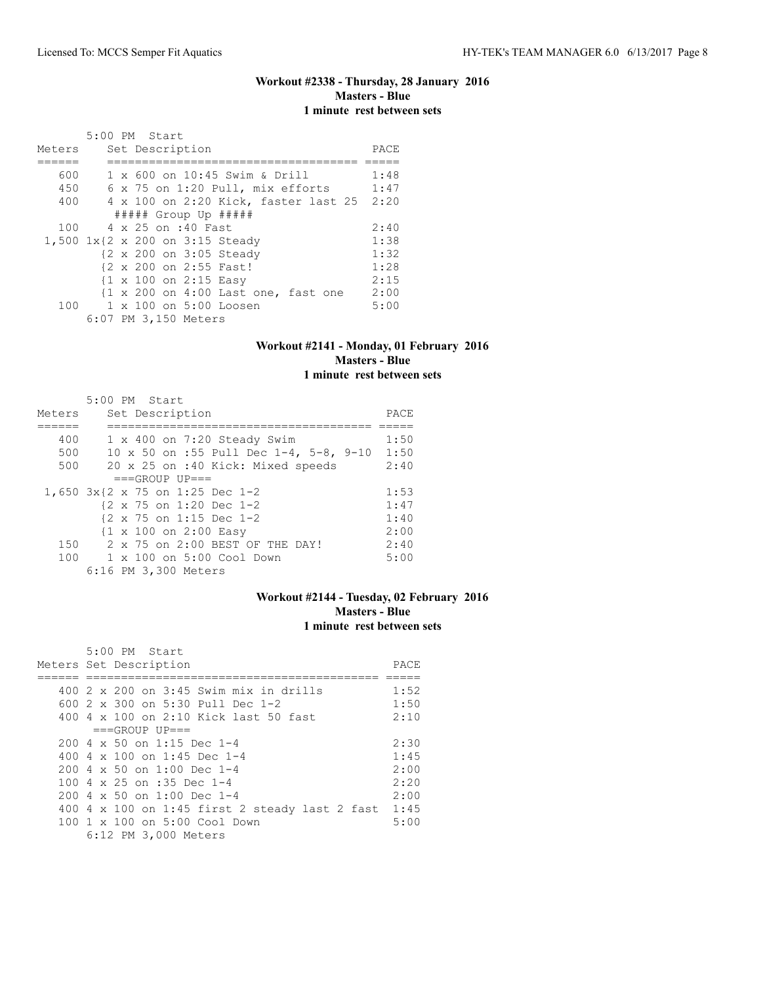### **Workout #2338 - Thursday, 28 January 2016 Masters - Blue 1 minute rest between sets**

|        |                        | 5:00 PM Start   |                       |                                                                |  |      |
|--------|------------------------|-----------------|-----------------------|----------------------------------------------------------------|--|------|
| Meters |                        | Set Description |                       |                                                                |  | PACE |
|        |                        |                 |                       |                                                                |  |      |
| 600    |                        |                 |                       | 1 x 600 on 10:45 Swim & Drill                                  |  | 1:48 |
| 450    |                        |                 |                       | 6 x 75 on 1:20 Pull, mix efforts                               |  | 1:47 |
| 400    |                        |                 |                       | 4 x 100 on 2:20 Kick, faster last 25                           |  | 2:20 |
|        |                        |                 |                       | ##### Group Up #####                                           |  |      |
|        | 100 4 x 25 on :40 Fast |                 |                       |                                                                |  | 2:40 |
|        |                        |                 |                       | 1,500 1x{2 x 200 on 3:15 Steady                                |  | 1:38 |
|        |                        |                 |                       | {2 x 200 on 3:05 Steady                                        |  | 1:32 |
|        |                        |                 |                       | {2 x 200 on 2:55 Fast!                                         |  | 1:28 |
|        |                        |                 | {1 x 100 on 2:15 Easy |                                                                |  | 2:15 |
|        |                        |                 |                       | $\{1 \times 200 \text{ on } 4:00 \text{ Last one, fast one}\}$ |  | 2:00 |
|        |                        |                 |                       | 100 1 x 100 on 5:00 Loosen                                     |  | 5:00 |
|        |                        |                 | 6:07 PM 3,150 Meters  |                                                                |  |      |

#### **Workout #2141 - Monday, 01 February 2016 Masters - Blue 1 minute rest between sets**

|        | 5:00 PM Start                                       |      |
|--------|-----------------------------------------------------|------|
| Meters | Set Description                                     | PACE |
|        |                                                     |      |
| 400    | $1 \times 400$ on $7:20$ Steady Swim                | 1:50 |
| 500    | 10 x 50 on :55 Pull Dec 1-4, 5-8, 9-10              | 1:50 |
| 500    | 20 x 25 on :40 Kick: Mixed speeds                   | 2:40 |
|        | $===GROUP UP = =$                                   |      |
|        | 1,650 3x{2 x 75 on 1:25 Dec 1-2                     | 1:53 |
|        | {2 x 75 on 1:20 Dec 1-2                             | 1:47 |
|        | $\{2 \times 75 \text{ on } 1:15 \text{ Dec } 1-2\}$ | 1:40 |
|        | {1 x 100 on 2:00 Easy                               | 2:00 |
|        | 150 2 x 75 on 2:00 BEST OF THE DAY!                 | 2:40 |
| 100    | 1 x 100 on 5:00 Cool Down                           | 5:00 |
|        | 6:16 PM 3,300 Meters                                |      |

### **Workout #2144 - Tuesday, 02 February 2016 Masters - Blue 1 minute rest between sets**

| 5:00 PM Start                                    |      |
|--------------------------------------------------|------|
| Meters Set Description                           | PACE |
|                                                  |      |
| 400 2 x 200 on 3:45 Swim mix in drills           | 1:52 |
| 600 $2 \times 300$ on 5:30 Pull Dec 1-2          | 1:50 |
| 400 $4 \times 100$ on 2:10 Kick last 50 fast     | 2:10 |
| $===GROUP UP=-$                                  |      |
| $200 \text{ } 4 \times 50$ on 1:15 Dec 1-4       | 2:30 |
| 400 4 x 100 on 1:45 Dec 1-4                      | 1:45 |
| 200 4 x 50 on 1:00 Dec 1-4                       | 2:00 |
| 100 4 $\times$ 25 on :35 Dec 1-4                 | 2:20 |
| $200 \text{ } 4 \times 50$ on $1:00$ Dec 1-4     | 2:00 |
| $400$ 4 x 100 on 1:45 first 2 steady last 2 fast | 1:45 |
| 100 1 x 100 on 5:00 Cool Down                    | 5:00 |
| 6:12 PM 3,000 Meters                             |      |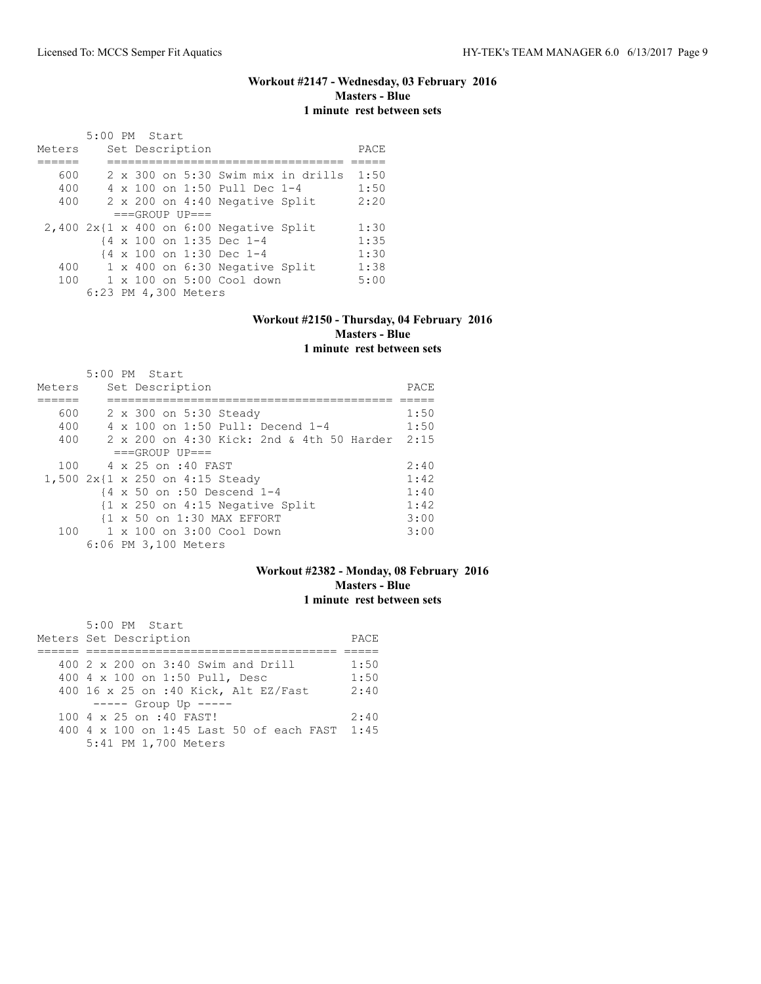### **Workout #2147 - Wednesday, 03 February 2016 Masters - Blue 1 minute rest between sets**

|        | 5:00 PM Start |  |                      |                                              |                                    |      |
|--------|---------------|--|----------------------|----------------------------------------------|------------------------------------|------|
| Meters |               |  | Set Description      |                                              |                                    | PACE |
|        |               |  |                      |                                              |                                    |      |
| 600    |               |  |                      |                                              | 2 x 300 on 5:30 Swim mix in drills | 1:50 |
| 400    |               |  |                      | 4 x 100 on 1:50 Pull Dec 1-4                 |                                    | 1:50 |
| 400    |               |  |                      | 2 x 200 on 4:40 Negative Split               |                                    | 2:20 |
|        |               |  | $===GROUP UP = =$    |                                              |                                    |      |
|        |               |  |                      | $2,400$ $2x$ {1 x 400 on 6:00 Negative Split |                                    | 1:30 |
|        |               |  |                      | {4 x 100 on 1:35 Dec 1-4                     |                                    | 1:35 |
|        |               |  |                      | {4 x 100 on 1:30 Dec 1-4                     |                                    | 1:30 |
| 400    |               |  |                      | 1 x 400 on 6:30 Negative Split               |                                    | 1:38 |
| 100    |               |  |                      | $1 \times 100$ on $5:00$ Cool down           |                                    | 5:00 |
|        |               |  | 6:23 PM 4,300 Meters |                                              |                                    |      |

#### **Workout #2150 - Thursday, 04 February 2016 Masters - Blue 1 minute rest between sets**

|        | $5:00$ PM Start                                            |      |
|--------|------------------------------------------------------------|------|
| Meters | Set Description                                            | PACE |
|        |                                                            |      |
| 600    | 2 x 300 on 5:30 Steady                                     | 1:50 |
| 400    | 4 x 100 on 1:50 Pull: Decend 1-4                           | 1:50 |
| 400    | 2 x 200 on 4:30 Kick: 2nd & 4th 50 Harder                  | 2:15 |
|        | $===GROUP UP==$                                            |      |
| 100    | 4 x 25 on :40 FAST                                         | 2:40 |
|        | 1,500 2x{1 x 250 on 4:15 Steady                            | 1:42 |
|        | {4 x 50 on :50 Descend 1-4                                 | 1:40 |
|        | $\{1 \times 250 \text{ on } 4:15 \text{ Negative Split}\}$ | 1:42 |
|        | {1 x 50 on 1:30 MAX EFFORT                                 | 3:00 |
| 100    | 1 x 100 on 3:00 Cool Down                                  | 3:00 |
|        | 6:06 PM 3,100 Meters                                       |      |

# **Workout #2382 - Monday, 08 February 2016 Masters - Blue 1 minute rest between sets**

| 5:00 PM Start                                 |      |
|-----------------------------------------------|------|
| Meters Set Description                        | PACE |
|                                               |      |
| 400 2 x 200 on 3:40 Swim and Drill            | 1:50 |
| 400 4 x 100 on 1:50 Pull, Desc                | 1:50 |
| 400 16 x 25 on :40 Kick, Alt EZ/Fast          | 2:40 |
| $--- $ Group Up $---$                         |      |
| 100 4 x 25 on :40 FAST!                       | 2:40 |
| 400 4 x 100 on 1:45 Last 50 of each FAST 1:45 |      |
| 5:41 PM 1,700 Meters                          |      |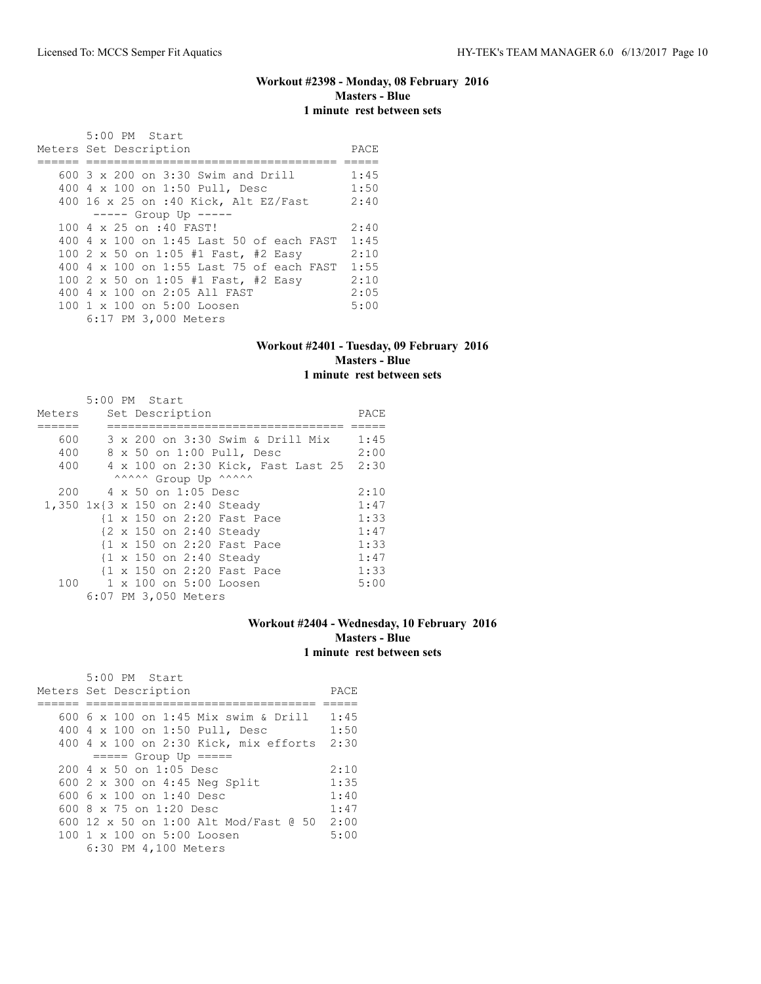### **Workout #2398 - Monday, 08 February 2016 Masters - Blue 1 minute rest between sets**

| 5:00 PM Start                                          |      |
|--------------------------------------------------------|------|
| Meters Set Description                                 | PACE |
|                                                        |      |
| 600 3 x 200 on 3:30 Swim and Drill                     | 1:45 |
| 400 4 x 100 on 1:50 Pull, Desc                         | 1:50 |
| 400 16 x 25 on :40 Kick, Alt EZ/Fast                   | 2:40 |
| $--- $ Group Up $--- $                                 |      |
| 100 4 x 25 on :40 FAST!                                | 2:40 |
| 400 4 x 100 on 1:45 Last 50 of each FAST               | 1:45 |
| 100 2 x 50 on 1:05 #1 Fast, #2 Easy                    | 2:10 |
| 400 4 x 100 on 1:55 Last 75 of each FAST               | 1:55 |
| 100 2 x 50 on 1:05 #1 Fast, #2 Easy                    | 2:10 |
| 400 4 x 100 on 2:05 All FAST                           | 2:05 |
| $100 \text{ 1 x } 100 \text{ on } 5:00 \text{ Loosen}$ | 5:00 |
| 6:17 PM 3,000 Meters                                   |      |

#### **Workout #2401 - Tuesday, 09 February 2016 Masters - Blue 1 minute rest between sets**

|                                 | 5:00 PM Start |  |                            |                                         |      |
|---------------------------------|---------------|--|----------------------------|-----------------------------------------|------|
| Meters                          |               |  | Set Description            |                                         | PACE |
|                                 |               |  |                            |                                         |      |
| 600                             |               |  |                            | 3 x 200 on 3:30 Swim & Drill Mix        | 1:45 |
| 400                             |               |  | 8 x 50 on 1:00 Pull, Desc  |                                         | 2:00 |
| 400                             |               |  |                            | 4 x 100 on 2:30 Kick, Fast Last 25 2:30 |      |
|                                 |               |  | ^^^^^^ Group Up ^^^^^^     |                                         |      |
| 200                             |               |  | 4 x 50 on 1:05 Desc        |                                         | 2:10 |
| 1,350 1x{3 x 150 on 2:40 Steady |               |  |                            |                                         | 1:47 |
|                                 |               |  | {1 x 150 on 2:20 Fast Pace |                                         | 1:33 |
|                                 |               |  | {2 x 150 on 2:40 Steady    |                                         | 1:47 |
|                                 |               |  | {1 x 150 on 2:20 Fast Pace |                                         | 1:33 |
|                                 |               |  | {1 x 150 on 2:40 Steady    |                                         | 1:47 |
|                                 |               |  | {1 x 150 on 2:20 Fast Pace |                                         | 1:33 |
| 100                             |               |  | 1 x 100 on 5:00 Loosen     |                                         | 5:00 |
|                                 |               |  | 6:07 PM 3,050 Meters       |                                         |      |

#### **Workout #2404 - Wednesday, 10 February 2016 Masters - Blue 1 minute rest between sets**

| 5:00 PM Start                                          |      |
|--------------------------------------------------------|------|
| Meters Set Description                                 | PACE |
|                                                        |      |
| 600 6 x 100 on 1:45 Mix swim & Drill                   | 1:45 |
| 400 4 x 100 on 1:50 Pull, Desc                         | 1:50 |
| 400 4 x 100 on 2:30 Kick, mix efforts 2:30             |      |
| $== == $ Group Up $== == $                             |      |
| $200 \text{ } 4 \text{ } \times 50$ on $1:05$ Desc     | 2:10 |
| 600 2 x 300 on 4:45 Neg Split                          | 1:35 |
| 600 6 x 100 on 1:40 Desc                               | 1:40 |
| 600 $8 \times 75$ on 1:20 Desc                         | 1:47 |
| 600 12 x 50 on 1:00 Alt Mod/Fast @ 50                  | 2:00 |
| $100 \text{ 1 x } 100 \text{ on } 5:00 \text{ Loosen}$ | 5:00 |
| 6:30 PM 4,100 Meters                                   |      |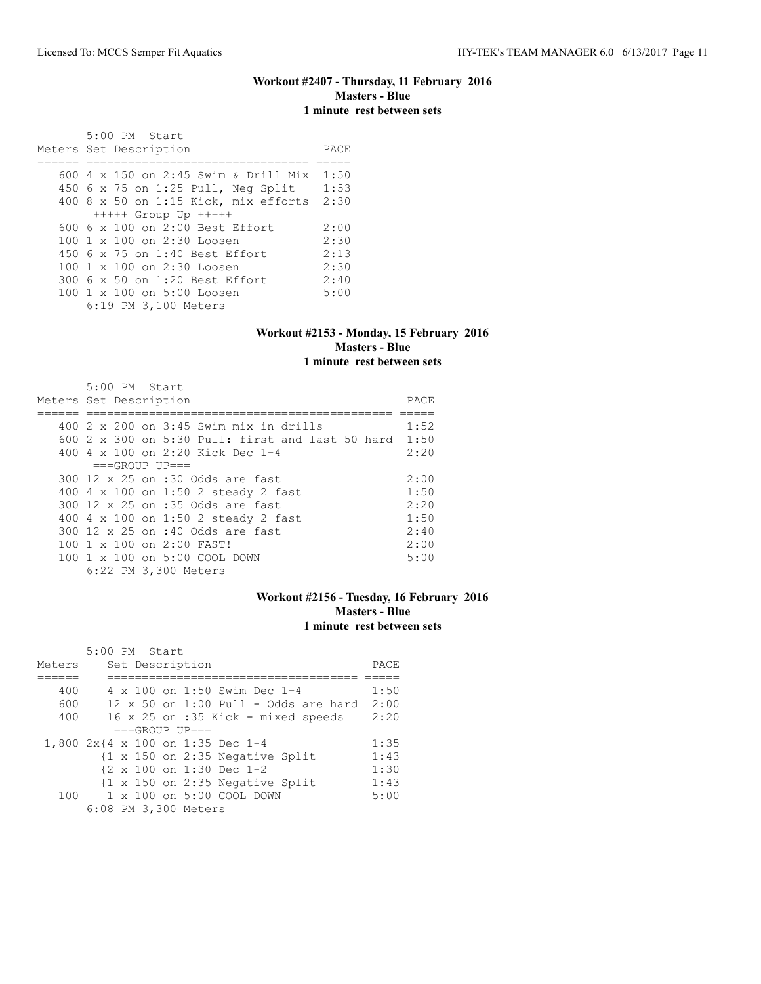#### **Workout #2407 - Thursday, 11 February 2016 Masters - Blue 1 minute rest between sets**

 5:00 PM Start Meters Set Description **PACE** ====== ================================ ===== 600 4 x 150 on 2:45 Swim & Drill Mix 1:50 450 6 x 75 on 1:25 Pull, Neg Split 1:53 400 8 x 50 on 1:15 Kick, mix efforts 2:30 +++++ Group Up +++++ 600 6 x 100 on 2:00 Best Effort 2:00<br>100 1 x 100 on 2:30 Loosen 2:30 100 1 x 100 on 2:30 Loosen 2:30<br>450 6 x 75 on 1:40 Best Effort 2:13 450 6 x 75 on 1:40 Best Effort 2:13<br>100 1 x 100 on 2:30 Loosen 2:30 100 1 x 100 on 2:30 Loosen 2:30<br>300 6 x 50 on 1:20 Best Effort 2:40 300 6 x 50 on 1:20 Best Effort 2:40<br>100 1 x 100 on 5:00 Loosen 5:00 100 1 x 100 on 5:00 Loosen 6:19 PM 3,100 Meters

#### **Workout #2153 - Monday, 15 February 2016 Masters - Blue 1 minute rest between sets**

| $5:00$ PM Start                                              |      |
|--------------------------------------------------------------|------|
| Meters Set Description                                       | PACE |
|                                                              |      |
| 400 2 x 200 on 3:45 Swim mix in drills                       | 1:52 |
| 600 $2 \times 300$ on 5:30 Pull: first and last 50 hard 1:50 |      |
| 400 4 $\times$ 100 on 2:20 Kick Dec 1-4                      | 2:20 |
| $===GROUP UP = =$                                            |      |
| 300 12 x 25 on :30 Odds are fast                             | 2:00 |
| 400 4 x 100 on 1:50 2 steady 2 fast                          | 1:50 |
| 300 12 x 25 on :35 Odds are fast                             | 2:20 |
| 400 4 x 100 on 1:50 2 steady 2 fast                          | 1:50 |
| 300 12 x 25 on :40 Odds are fast                             | 2:40 |
| $100 \t1 x 100$ on 2:00 FAST!                                | 2:00 |
| 100 1 x 100 on 5:00 COOL DOWN                                | 5:00 |
| 6:22 PM 3,300 Meters                                         |      |

#### **Workout #2156 - Tuesday, 16 February 2016 Masters - Blue 1 minute rest between sets**

|        | 5:00 PM Start |  |                      |                                                            |      |
|--------|---------------|--|----------------------|------------------------------------------------------------|------|
| Meters |               |  | Set Description      |                                                            | PACE |
|        |               |  |                      |                                                            |      |
| 400    |               |  |                      | 4 x 100 on 1:50 Swim Dec 1-4                               | 1:50 |
| 600    |               |  |                      | $12 \times 50$ on $1:00$ Pull - Odds are hard              | 2:00 |
| 400    |               |  |                      | 16 x 25 on :35 Kick - mixed speeds                         | 2:20 |
|        |               |  | $===GROUP UP = =$    |                                                            |      |
|        |               |  |                      | 1,800 2x{4 x 100 on 1:35 Dec 1-4                           | 1:35 |
|        |               |  |                      | $\{1 \times 150 \text{ on } 2:35 \text{ Negative Split}\}$ | 1:43 |
|        |               |  |                      | {2 x 100 on 1:30 Dec 1-2                                   | 1:30 |
|        |               |  |                      | $\{1 \times 150 \text{ on } 2:35 \text{ Negative Split}\}$ | 1:43 |
| 100    |               |  |                      | $1 \times 100$ on $5:00$ COOL DOWN                         | 5:00 |
|        |               |  | 6:08 PM 3,300 Meters |                                                            |      |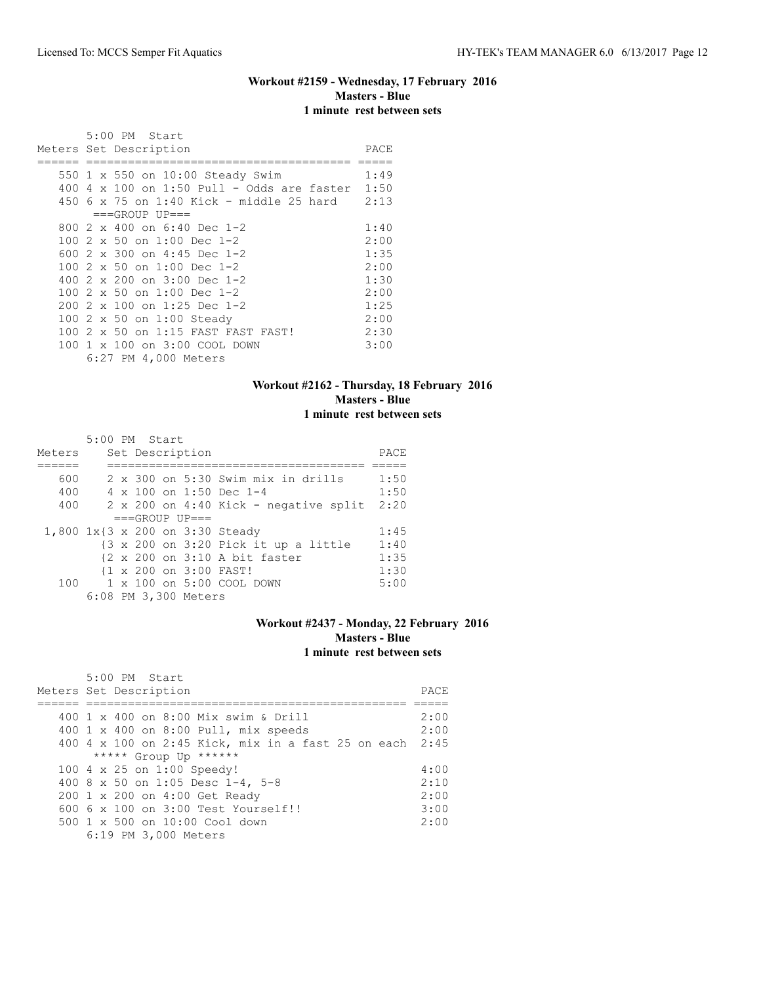### **Workout #2159 - Wednesday, 17 February 2016 Masters - Blue 1 minute rest between sets**

|  | 5:00 PM Start                                     |      |
|--|---------------------------------------------------|------|
|  | Meters Set Description                            | PACE |
|  |                                                   |      |
|  | 550 1 x 550 on 10:00 Steady Swim                  | 1:49 |
|  | 400 4 x 100 on 1:50 Pull - Odds are faster $1:50$ |      |
|  | 450 6 x 75 on 1:40 Kick - middle 25 hard          | 2:13 |
|  | $===GROUP UP==$                                   |      |
|  | 800 $2 \times 400$ on 6:40 Dec 1-2                | 1:40 |
|  | 100 2 x 50 on 1:00 Dec 1-2                        | 2:00 |
|  | 600 2 x 300 on 4:45 Dec 1-2                       | 1:35 |
|  | 100 2 x 50 on 1:00 Dec 1-2                        | 2:00 |
|  | 400 2 x 200 on 3:00 Dec 1-2                       | 1:30 |
|  | 100 2 x 50 on 1:00 Dec 1-2                        | 2:00 |
|  | $2002 \times 100$ on 1:25 Dec 1-2                 | 1:25 |
|  | 100 2 x 50 on 1:00 Steady                         | 2:00 |
|  | 100 2 x 50 on 1:15 FAST FAST FAST!                | 2:30 |
|  | 100 1 x 100 on 3:00 COOL DOWN                     | 3:00 |
|  | 6:27 PM 4,000 Meters                              |      |

#### **Workout #2162 - Thursday, 18 February 2016 Masters - Blue 1 minute rest between sets**

|        | 5:00 PM Start |  |                      |                                                |      |
|--------|---------------|--|----------------------|------------------------------------------------|------|
| Meters |               |  | Set Description      |                                                | PACE |
|        |               |  |                      |                                                |      |
| 600    |               |  |                      | 2 x 300 on 5:30 Swim mix in drills             | 1:50 |
| 400    |               |  |                      | $4 \times 100$ on 1:50 Dec 1-4                 | 1:50 |
| 400    |               |  |                      | $2 \times 200$ on $4:40$ Kick - negative split | 2:20 |
|        |               |  | $===GROUP UP = =$    |                                                |      |
|        |               |  |                      | 1,800 1x{3 x 200 on 3:30 Steady                | 1:45 |
|        |               |  |                      | {3 x 200 on 3:20 Pick it up a little           | 1:40 |
|        |               |  |                      | {2 x 200 on 3:10 A bit faster                  | 1:35 |
|        |               |  |                      | {1 x 200 on 3:00 FAST!                         | 1:30 |
| 100    |               |  |                      | $1 \times 100$ on $5:00$ COOL DOWN             | 5:00 |
|        |               |  | 6:08 PM 3,300 Meters |                                                |      |

#### **Workout #2437 - Monday, 22 February 2016 Masters - Blue 1 minute rest between sets**

| 5:00 PM Start                                           |      |
|---------------------------------------------------------|------|
| Meters Set Description                                  | PACE |
|                                                         |      |
| 400 1 x 400 on 8:00 Mix swim & Drill                    | 2:00 |
| 400 1 x 400 on 8:00 Pull, mix speeds                    | 2:00 |
| 400 4 x 100 on 2:45 Kick, mix in a fast 25 on each 2:45 |      |
| ***** Group Up ******                                   |      |
| 100 4 x 25 on 1:00 Speedy!                              | 4:00 |
| 400 8 x 50 on 1:05 Desc 1-4, 5-8                        | 2:10 |
| 200 1 x 200 on 4:00 Get Ready                           | 2:00 |
| $6006 \times 100$ on $3:00$ Test Yourself!!             | 3:00 |
| $500 \t 1 \t x \t 500$ on $10:00$ Cool down             | 2:00 |
| 6:19 PM 3,000 Meters                                    |      |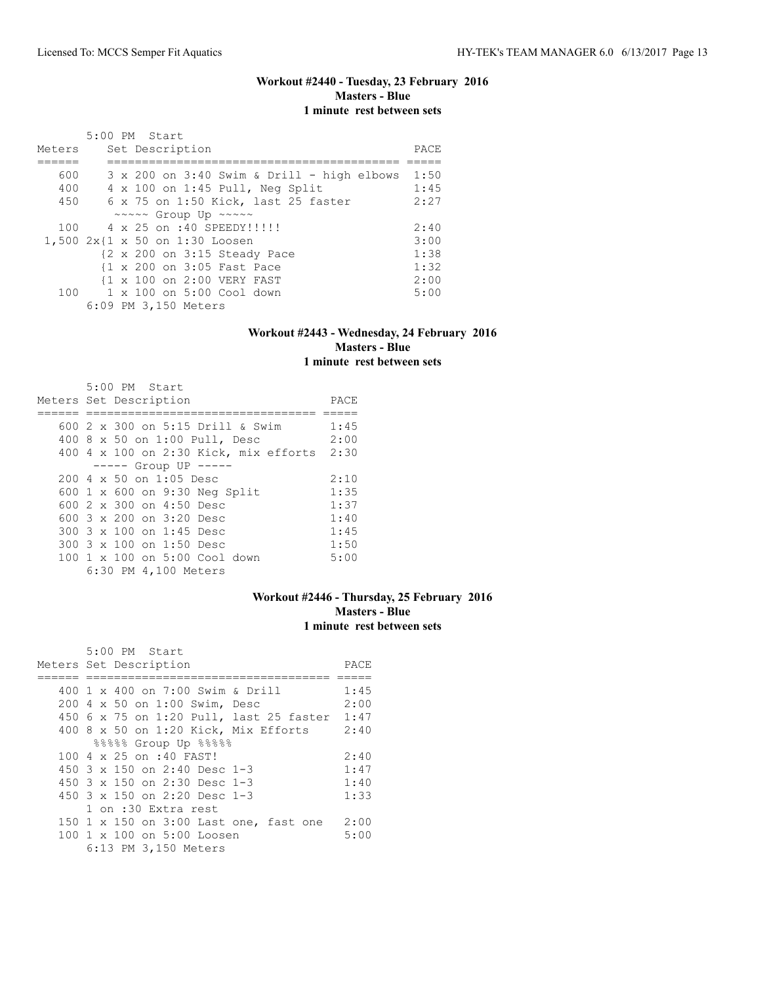#### **Workout #2440 - Tuesday, 23 February 2016 Masters - Blue 1 minute rest between sets**

|        | 5:00 PM Start                                           |      |
|--------|---------------------------------------------------------|------|
| Meters | Set Description                                         | PACE |
|        |                                                         |      |
| 600    | $3 \times 200$ on $3:40$ Swim & Drill - high elbows     | 1:50 |
| 400    | 4 x 100 on 1:45 Pull, Neg Split                         | 1:45 |
| 450    | 6 x 75 on 1:50 Kick, last 25 faster                     | 2:27 |
|        | $\sim \sim \sim \sim$ Group Up $\sim \sim \sim \sim$    |      |
|        | 100 4 x 25 on :40 SPEEDY!!!!!!                          | 2:40 |
|        | 1,500 2x{1 x 50 on 1:30 Loosen                          | 3:00 |
|        | $\{2 \times 200 \text{ on } 3:15 \text{ Steady Race}\}$ | 1:38 |
|        | {1 x 200 on 3:05 Fast Pace                              | 1:32 |
|        | 11 x 100 on 2:00 VERY FAST                              | 2:00 |
| 100    | 1 x 100 on 5:00 Cool down                               | 5:00 |
|        | 6:09 PM 3,150 Meters                                    |      |

### **Workout #2443 - Wednesday, 24 February 2016 Masters - Blue 1 minute rest between sets**

| 5:00 PM Start<br>Meters Set Description    | PACE |
|--------------------------------------------|------|
|                                            |      |
| 600 2 x 300 on 5:15 Drill & Swim           | 1:45 |
| 400 8 x 50 on 1:00 Pull, Desc              | 2:00 |
| 400 4 x 100 on 2:30 Kick, mix efforts 2:30 |      |
| $--- $ Group UP $--- $                     |      |
| $200 \, 4 \times 50$ on $1:05$ Desc        | 2:10 |
| 600 1 x 600 on 9:30 Neg Split              | 1:35 |
| 600 2 x 300 on 4:50 Desc                   | 1:37 |
| 600 3 x 200 on 3:20 Desc                   | 1:40 |
| 300 3 x 100 on 1:45 Desc                   | 1:45 |
| 300 3 x 100 on 1:50 Desc                   | 1:50 |
| 100 1 x 100 on 5:00 Cool down              | 5:00 |
| 6:30 PM 4,100 Meters                       |      |

# **Workout #2446 - Thursday, 25 February 2016 Masters - Blue 1 minute rest between sets**

| 5:00 PM Start                                |      |  |  |  |  |  |  |  |
|----------------------------------------------|------|--|--|--|--|--|--|--|
| Meters Set Description                       |      |  |  |  |  |  |  |  |
|                                              |      |  |  |  |  |  |  |  |
| 400 1 x 400 on 7:00 Swim & Drill             | 1:45 |  |  |  |  |  |  |  |
| 200 4 x 50 on 1:00 Swim, Desc                | 2:00 |  |  |  |  |  |  |  |
| 450 6 x 75 on 1:20 Pull, last 25 faster 1:47 |      |  |  |  |  |  |  |  |
| $400$ 8 x 50 on 1:20 Kick, Mix Efforts       | 2:40 |  |  |  |  |  |  |  |
| %%%% Group Up %%%%                           |      |  |  |  |  |  |  |  |
| 100 4 x 25 on :40 FAST!                      | 2:40 |  |  |  |  |  |  |  |
| 450 $3 \times 150$ on 2:40 Desc 1-3          | 1:47 |  |  |  |  |  |  |  |
| 450 $3 \times 150$ on 2:30 Desc 1-3          | 1:40 |  |  |  |  |  |  |  |
| 450 $3 \times 150$ on 2:20 Desc 1-3          | 1:33 |  |  |  |  |  |  |  |
| 1 on :30 Extra rest                          |      |  |  |  |  |  |  |  |
| 150 1 x 150 on 3:00 Last one, fast one       | 2:00 |  |  |  |  |  |  |  |
| 100 1 x 100 on 5:00 Loosen                   | 5:00 |  |  |  |  |  |  |  |
| 6:13 PM 3,150 Meters                         |      |  |  |  |  |  |  |  |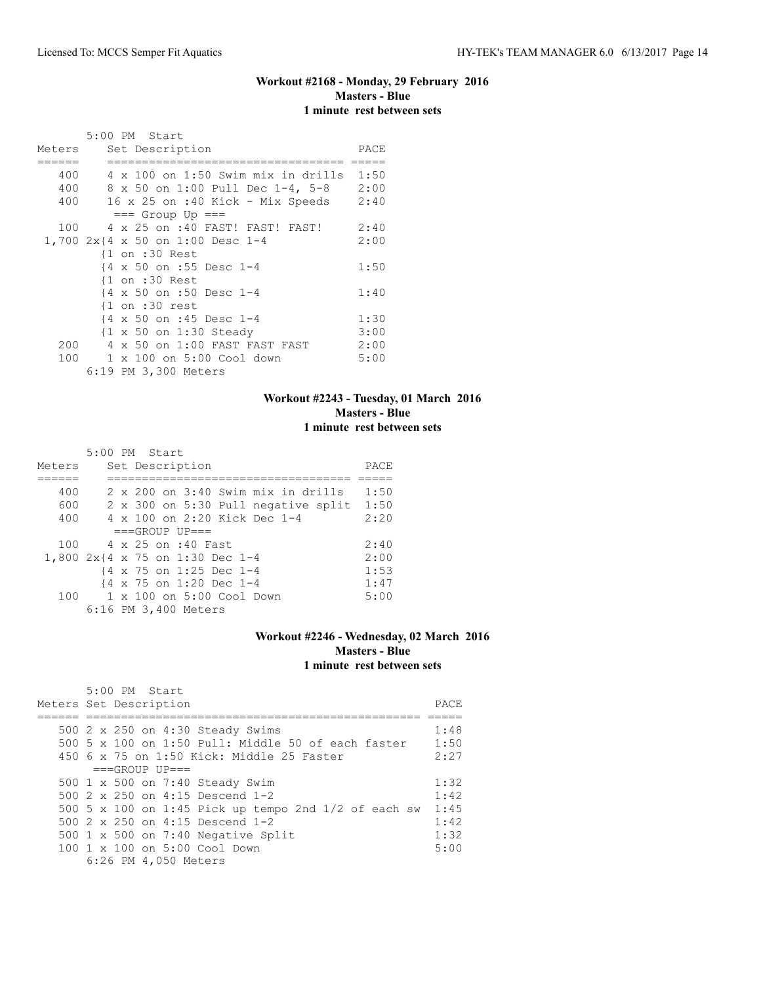# **Workout #2168 - Monday, 29 February 2016 Masters - Blue 1 minute rest between sets**

|        |                | 5:00 PM Start                           |      |
|--------|----------------|-----------------------------------------|------|
| Meters |                | Set Description                         | PACE |
|        |                |                                         |      |
| 400    |                | 4 x 100 on 1:50 Swim mix in drills 1:50 |      |
| 400    |                | 8 x 50 on 1:00 Pull Dec 1-4, 5-8        | 2:00 |
| 400    |                | 16 x 25 on :40 Kick - Mix Speeds        | 2:40 |
|        |                | $==$ Group Up $==$                      |      |
| 100    |                | 4 x 25 on :40 FAST! FAST! FAST!         | 2:40 |
|        |                | 1,700 2x{4 x 50 on 1:00 Desc 1-4        | 2:00 |
|        |                | $\{1$ on :30 Rest                       |      |
|        |                | {4 x 50 on :55 Desc 1-4                 | 1:50 |
|        |                | {1 on :30 Rest                          |      |
|        |                | {4 x 50 on :50 Desc 1-4                 | 1:40 |
|        |                | $\{1$ on :30 rest                       |      |
|        |                | {4 x 50 on :45 Desc 1-4                 | 1:30 |
|        |                | {1 x 50 on 1:30 Steady                  | 3:00 |
| 200    | $\overline{4}$ | x 50 on 1:00 FAST FAST FAST             | 2:00 |
| 100    |                | 1 x 100 on 5:00 Cool down               | 5:00 |
|        |                | 6:19 PM 3,300 Meters                    |      |

#### **Workout #2243 - Tuesday, 01 March 2016 Masters - Blue 1 minute rest between sets**

|        | $5:00$ PM Start                             |      |
|--------|---------------------------------------------|------|
| Meters | Set Description                             | PACE |
|        |                                             |      |
| 400    | $2 \times 200$ on $3:40$ Swim mix in drills | 1:50 |
| 600    | 2 x 300 on 5:30 Pull negative split         | 1:50 |
| 400    | 4 x 100 on 2:20 Kick Dec 1-4                | 2:20 |
|        | $===GROUP UP = =$                           |      |
| 100    | 4 x 25 on :40 Fast                          | 2:40 |
|        | 1,800 2x{4 x 75 on 1:30 Dec 1-4             | 2:00 |
|        | {4 x 75 on 1:25 Dec 1-4                     | 1:53 |
|        | {4 x 75 on 1:20 Dec 1-4                     | 1:47 |
| 100    | $1 \times 100$ on $5:00$ Cool Down          | 5:00 |
|        | 6:16 PM 3,400 Meters                        |      |

#### **Workout #2246 - Wednesday, 02 March 2016 Masters - Blue 1 minute rest between sets**

|  |  |                                                            | PACE                                                                                                                                                                                                                                                                                                                                                                                                                         |
|--|--|------------------------------------------------------------|------------------------------------------------------------------------------------------------------------------------------------------------------------------------------------------------------------------------------------------------------------------------------------------------------------------------------------------------------------------------------------------------------------------------------|
|  |  |                                                            |                                                                                                                                                                                                                                                                                                                                                                                                                              |
|  |  |                                                            | 1:48                                                                                                                                                                                                                                                                                                                                                                                                                         |
|  |  |                                                            | 1:50                                                                                                                                                                                                                                                                                                                                                                                                                         |
|  |  |                                                            | 2:27                                                                                                                                                                                                                                                                                                                                                                                                                         |
|  |  |                                                            |                                                                                                                                                                                                                                                                                                                                                                                                                              |
|  |  |                                                            | 1:32                                                                                                                                                                                                                                                                                                                                                                                                                         |
|  |  |                                                            | 1:42                                                                                                                                                                                                                                                                                                                                                                                                                         |
|  |  |                                                            | 1:45                                                                                                                                                                                                                                                                                                                                                                                                                         |
|  |  |                                                            | 1:42                                                                                                                                                                                                                                                                                                                                                                                                                         |
|  |  |                                                            | 1:32                                                                                                                                                                                                                                                                                                                                                                                                                         |
|  |  |                                                            | 5:00                                                                                                                                                                                                                                                                                                                                                                                                                         |
|  |  |                                                            |                                                                                                                                                                                                                                                                                                                                                                                                                              |
|  |  | 5:00 PM Start<br>Meters Set Description<br>$===GROUP UP==$ | 500 2 x 250 on 4:30 Steady Swims<br>500 5 x 100 on 1:50 Pull: Middle 50 of each faster<br>$450$ 6 x 75 on 1:50 Kick: Middle 25 Faster<br>500 1 x 500 on 7:40 Steady Swim<br>500 $2 \times 250$ on 4:15 Descend 1-2<br>500 5 x 100 on 1:45 Pick up tempo 2nd $1/2$ of each sw<br>500 $2 \times 250$ on 4:15 Descend 1-2<br>500 $1 \times 500$ on 7:40 Negative Split<br>100 1 x 100 on 5:00 Cool Down<br>6:26 PM 4,050 Meters |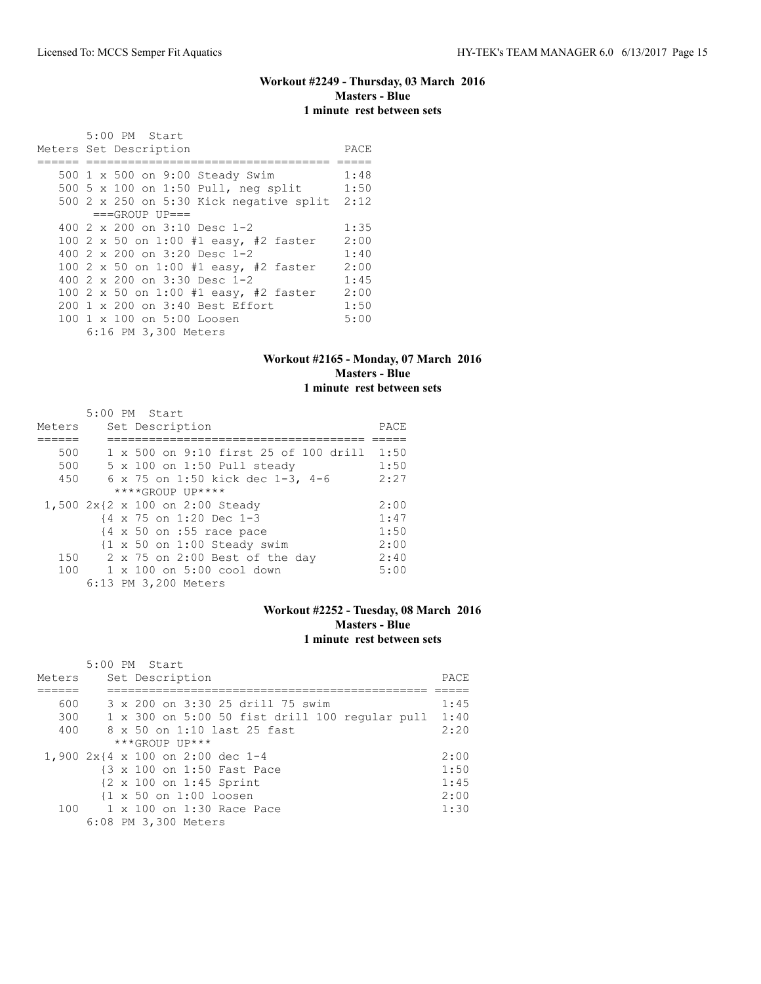### **Workout #2249 - Thursday, 03 March 2016 Masters - Blue 1 minute rest between sets**

| 5:00 PM Start                           |      |
|-----------------------------------------|------|
| Meters Set Description                  | PACE |
|                                         |      |
| 500 1 x 500 on 9:00 Steady Swim         | 1:48 |
| 500 5 x 100 on 1:50 Pull, neg split     | 1:50 |
| 500 2 x 250 on 5:30 Kick negative split | 2:12 |
| $===GROUP UP=-$                         |      |
| 400 $2 \times 200$ on $3:10$ Desc 1-2   | 1:35 |
| 100 2 x 50 on 1:00 #1 easy, #2 faster   | 2:00 |
| 400 2 x 200 on 3:20 Desc 1-2            | 1:40 |
| 100 2 x 50 on 1:00 #1 easy, #2 faster   | 2:00 |
| 400 $2 \times 200$ on $3:30$ Desc 1-2   | 1:45 |
| 100 2 x 50 on 1:00 #1 easy, #2 faster   | 2:00 |
| 200 1 x 200 on 3:40 Best Effort         | 1:50 |
| 100 1 x 100 on 5:00 Loosen              | 5:00 |
| 6:16 PM 3,300 Meters                    |      |

### **Workout #2165 - Monday, 07 March 2016 Masters - Blue 1 minute rest between sets**

|        | $5:00$ PM Start                                        |      |
|--------|--------------------------------------------------------|------|
| Meters | Set Description                                        | PACE |
|        |                                                        |      |
| 500    | 1 x 500 on 9:10 first 25 of 100 drill                  | 1:50 |
| 500    | 5 x 100 on 1:50 Pull steady                            | 1:50 |
| 450    | 6 x 75 on 1:50 kick dec 1-3, 4-6                       | 2:27 |
|        | $****GROUP UP****$                                     |      |
|        | 1,500 2x{2 x 100 on 2:00 Steady                        | 2:00 |
|        | {4 x 75 on 1:20 Dec 1-3                                | 1:47 |
|        | {4 x 50 on :55 race pace                               | 1:50 |
|        | $\{1 \times 50 \text{ on } 1:00 \text{ Steady swim}\}$ | 2:00 |
| 150    | 2 x 75 on 2:00 Best of the day                         | 2:40 |
| 100    | 1 x 100 on 5:00 cool down                              | 5:00 |
|        | 6:13 PM 3,200 Meters                                   |      |

#### **Workout #2252 - Tuesday, 08 March 2016 Masters - Blue 1 minute rest between sets**

| Meters | 5:00 PM Start<br>Set Description                      | PACE |
|--------|-------------------------------------------------------|------|
| 600    | 3 x 200 on 3:30 25 drill 75 swim                      | 1:45 |
| 300    | $1 \times 300$ on 5:00 50 fist drill 100 reqular pull | 1:40 |
| 400    | 8 x 50 on 1:10 last 25 fast                           | 2:20 |
|        | $***GROUP$ UP ***                                     |      |
|        | 1,900 2x{4 x 100 on 2:00 dec 1-4                      | 2:00 |
|        | {3 x 100 on 1:50 Fast Pace                            | 1:50 |
|        | {2 x 100 on 1:45 Sprint                               | 1:45 |
|        | $\{1 \times 50 \text{ on } 1:00 \text{ loosen}\}$     | 2:00 |
| 100    | $1 \times 100$ on $1:30$ Race Pace                    | 1:30 |
|        | 6:08 PM 3,300 Meters                                  |      |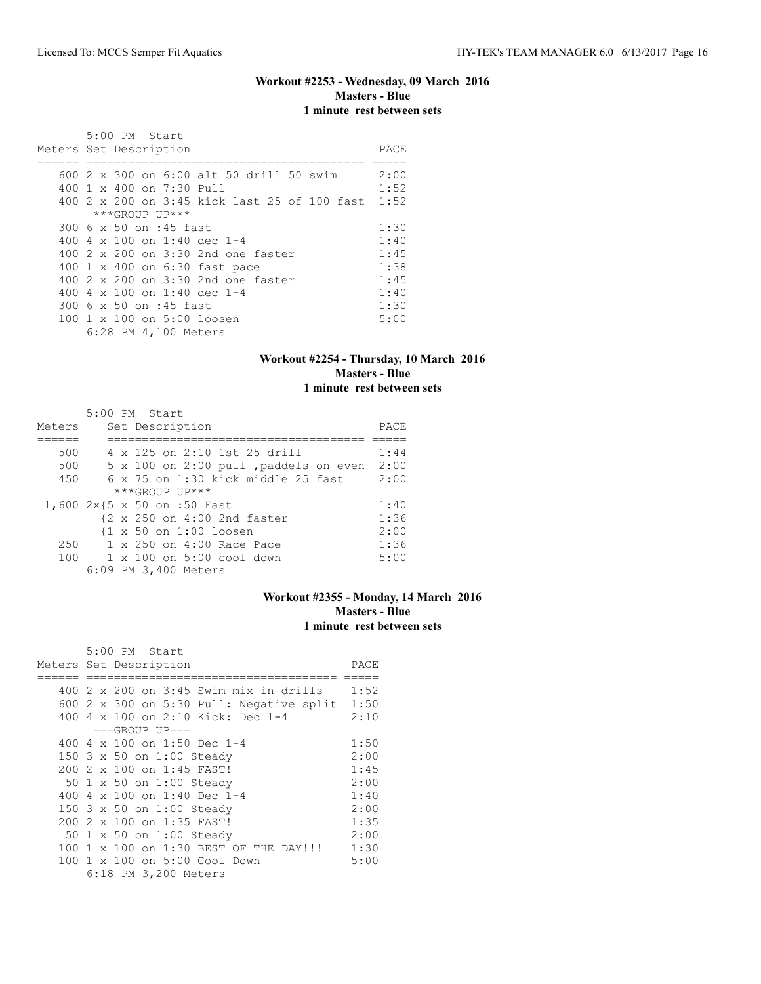# **Workout #2253 - Wednesday, 09 March 2016 Masters - Blue 1 minute rest between sets**

|  | 5:00 PM Start                                     |      |
|--|---------------------------------------------------|------|
|  | Meters Set Description                            | PACE |
|  |                                                   |      |
|  | 600 2 x 300 on 6:00 alt 50 drill 50 swim          | 2:00 |
|  | $400 \t1 x 400$ on $7:30$ Pull                    | 1:52 |
|  | 400 2 x 200 on 3:45 kick last 25 of 100 fast 1:52 |      |
|  | ***GROUP UP***                                    |      |
|  | 300 6 x 50 on :45 fast                            | 1:30 |
|  | 400 4 x 100 on 1:40 dec 1-4                       | 1:40 |
|  | 400 2 x 200 on 3:30 2nd one faster                | 1:45 |
|  | 400 1 x 400 on 6:30 fast pace                     | 1:38 |
|  | 400 2 x 200 on 3:30 2nd one faster                | 1:45 |
|  | 400 4 x 100 on 1:40 dec 1-4                       | 1:40 |
|  | 300 6 x 50 on :45 fast                            | 1:30 |
|  | 100 1 x 100 on 5:00 loosen                        | 5:00 |
|  | 6:28 PM 4,100 Meters                              |      |

### **Workout #2254 - Thursday, 10 March 2016 Masters - Blue 1 minute rest between sets**

|        | 5:00 PM Start                                     |      |
|--------|---------------------------------------------------|------|
| Meters | Set Description                                   | PACE |
|        |                                                   |      |
| 500    | 4 x 125 on 2:10 1st 25 drill                      | 1:44 |
| 500    | 5 x 100 on 2:00 pull , paddels on even            | 2:00 |
| 450    | $6 \times 75$ on 1:30 kick middle 25 fast         | 2:00 |
|        | ***GROUP UP***                                    |      |
|        | 1,600 2x{5 x 50 on :50 Fast                       | 1:40 |
|        | {2 x 250 on 4:00 2nd faster                       | 1:36 |
|        | $\{1 \times 50 \text{ on } 1:00 \text{ loosen}\}$ | 2:00 |
| 250    | 1 x 250 on 4:00 Race Pace                         | 1:36 |
| 100    | 1 x 100 on 5:00 cool down                         | 5:00 |
|        | 6:09 PM 3,400 Meters                              |      |

### **Workout #2355 - Monday, 14 March 2016 Masters - Blue 1 minute rest between sets**

| 5:00 PM Start                                   |      |
|-------------------------------------------------|------|
| Meters Set Description                          | PACE |
|                                                 |      |
| 400 2 x 200 on 3:45 Swim mix in drills          | 1:52 |
| 600 2 x 300 on 5:30 Pull: Negative split $1:50$ |      |
| 400 4 x 100 on 2:10 Kick: Dec 1-4               | 2:10 |
| $===GROUP UP==$                                 |      |
| 400 4 x 100 on 1:50 Dec 1-4                     | 1:50 |
| 150 3 x 50 on 1:00 Steady                       | 2:00 |
| 200 2 x 100 on 1:45 FAST!                       | 1:45 |
| 50 1 x 50 on 1:00 Steady                        | 2:00 |
| 400 4 x 100 on 1:40 Dec 1-4                     | 1:40 |
| 150 3 x 50 on 1:00 Steady                       | 2:00 |
| 200 2 x 100 on 1:35 FAST!                       | 1:35 |
| 50 1 x 50 on 1:00 Steady                        | 2:00 |
| 100 1 x 100 on 1:30 BEST OF THE DAY!!!          | 1:30 |
| 100 1 x 100 on 5:00 Cool Down                   | 5:00 |
| 6:18 PM 3,200 Meters                            |      |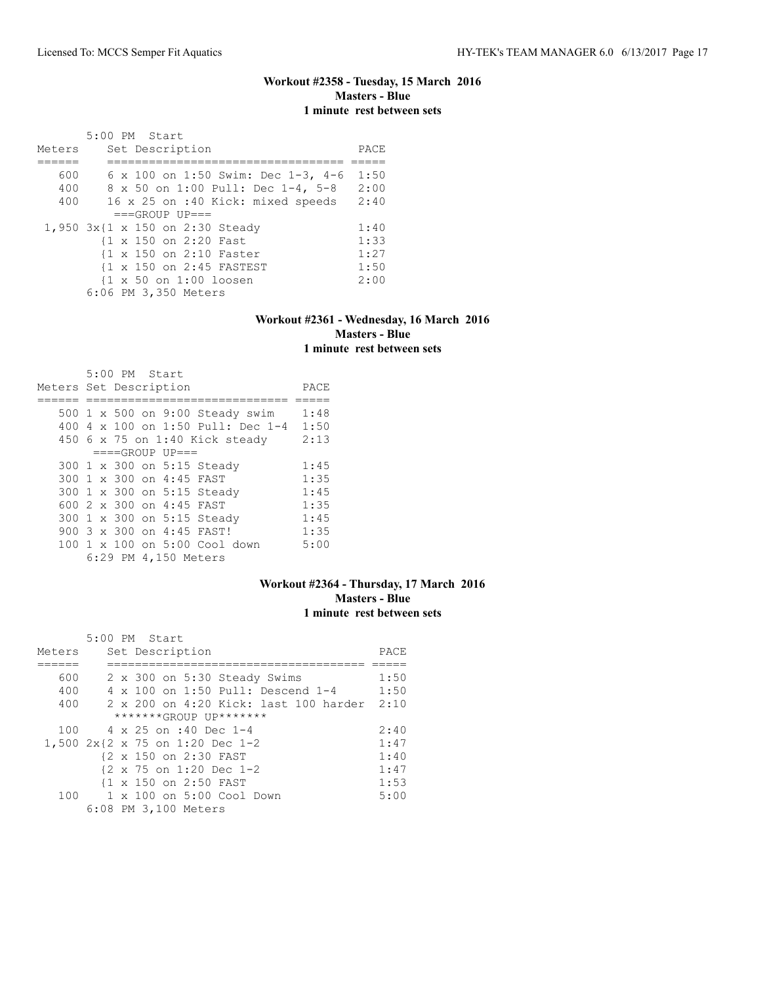### **Workout #2358 - Tuesday, 15 March 2016 Masters - Blue 1 minute rest between sets**

|        | 5:00 PM Start                                     |      |
|--------|---------------------------------------------------|------|
| Meters | Set Description                                   | PACE |
|        |                                                   |      |
| 600    | 6 x 100 on 1:50 Swim: Dec 1-3, 4-6                | 1:50 |
| 400    | 8 x 50 on 1:00 Pull: Dec 1-4, 5-8                 | 2:00 |
| 400    | 16 x 25 on :40 Kick: mixed speeds                 | 2:40 |
|        | $===GROUP UP = =$                                 |      |
|        | 1,950 3x{1 x 150 on 2:30 Steady                   | 1:40 |
|        | {1 x 150 on 2:20 Fast                             | 1:33 |
|        | 11 x 150 on 2:10 Faster                           | 1:27 |
|        | {1 x 150 on 2:45 FASTEST                          | 1:50 |
|        | $\{1 \times 50 \text{ on } 1:00 \text{ loosen}\}$ | 2:00 |
|        | 6:06 PM 3,350 Meters                              |      |

#### **Workout #2361 - Wednesday, 16 March 2016 Masters - Blue 1 minute rest between sets**

|                        |  | 5:00 PM Start |                          |                                   |      |
|------------------------|--|---------------|--------------------------|-----------------------------------|------|
| Meters Set Description |  |               |                          |                                   | PACE |
|                        |  |               |                          |                                   |      |
|                        |  |               |                          | 500 1 x 500 on 9:00 Steady swim   | 1:48 |
|                        |  |               |                          | 400 4 x 100 on 1:50 Pull: Dec 1-4 | 1:50 |
|                        |  |               |                          | 450 6 x 75 on 1:40 Kick steady    | 2:13 |
|                        |  |               | $===GROUP UP = =$        |                                   |      |
|                        |  |               |                          | 300 1 x 300 on 5:15 Steady        | 1:45 |
|                        |  |               | 300 1 x 300 on 4:45 FAST |                                   | 1:35 |
|                        |  |               |                          | 300 1 x 300 on 5:15 Steady        | 1:45 |
|                        |  |               | 600 2 x 300 on 4:45 FAST |                                   | 1:35 |
|                        |  |               |                          | 300 1 x 300 on 5:15 Steady        | 1:45 |
|                        |  |               |                          | 900 3 x 300 on 4:45 FAST!         | 1:35 |
|                        |  |               |                          | 100 1 x 100 on 5:00 Cool down     | 5:00 |
|                        |  |               | 6:29 PM 4,150 Meters     |                                   |      |

#### **Workout #2364 - Thursday, 17 March 2016 Masters - Blue 1 minute rest between sets**

|        | $5:00$ PM Start                       |      |
|--------|---------------------------------------|------|
| Meters | Set Description                       | PACE |
|        |                                       |      |
| 600    | 2 x 300 on 5:30 Steady Swims          | 1:50 |
| 400    | 4 x 100 on 1:50 Pull: Descend 1-4     | 1:50 |
| 400    | 2 x 200 on 4:20 Kick: last 100 harder | 2:10 |
|        | *******GROUP UP*******                |      |
| 100    | 4 x 25 on :40 Dec 1-4                 | 2:40 |
|        | 1,500 2x{2 x 75 on 1:20 Dec 1-2       | 1:47 |
|        | {2 x 150 on 2:30 FAST                 | 1:40 |
|        | {2 x 75 on 1:20 Dec 1-2               | 1:47 |
|        | {1 x 150 on 2:50 FAST                 | 1:53 |
| 100    | 1 x 100 on 5:00 Cool Down             | 5:00 |
|        | 6:08 PM 3,100 Meters                  |      |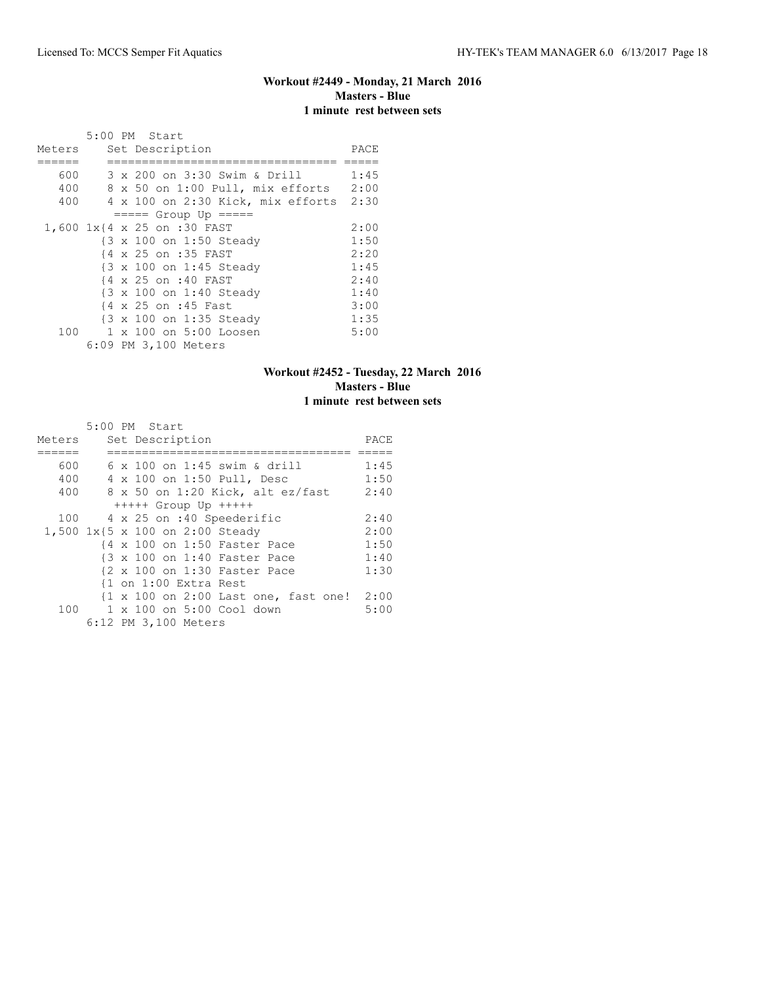### **Workout #2449 - Monday, 21 March 2016 Masters - Blue 1 minute rest between sets**

|        |  | 5:00 PM Start                          |      |
|--------|--|----------------------------------------|------|
| Meters |  | Set Description                        | PACE |
|        |  |                                        |      |
| 600    |  | 3 x 200 on 3:30 Swim & Drill           | 1:45 |
| 400    |  | 8 x 50 on 1:00 Pull, mix efforts       | 2:00 |
| 400    |  | 4 x 100 on 2:30 Kick, mix efforts 2:30 |      |
|        |  | $== == $ Group Up $== == $             |      |
|        |  | 1,600 1x{4 x 25 on :30 FAST            | 2:00 |
|        |  | {3 x 100 on 1:50 Steady                | 1:50 |
|        |  | {4 x 25 on :35 FAST                    | 2:20 |
|        |  | {3 x 100 on 1:45 Steady                | 1:45 |
|        |  | {4 x 25 on :40 FAST                    | 2:40 |
|        |  | {3 x 100 on 1:40 Steady                | 1:40 |
|        |  | {4 x 25 on :45 Fast                    | 3:00 |
|        |  | {3 x 100 on 1:35 Steady                | 1:35 |
| 100    |  | 1 x 100 on 5:00 Loosen                 | 5:00 |
|        |  | 6:09 PM 3,100 Meters                   |      |

### **Workout #2452 - Tuesday, 22 March 2016 Masters - Blue 1 minute rest between sets**

|        | 5:00 PM Start                                                         |      |
|--------|-----------------------------------------------------------------------|------|
| Meters | Set Description                                                       | PACE |
|        |                                                                       |      |
| 600    | 6 x 100 on 1:45 swim & drill                                          | 1:45 |
| 400    | 4 x 100 on 1:50 Pull, Desc                                            | 1:50 |
| 400    | 8 x 50 on 1:20 Kick, alt ez/fast                                      | 2:40 |
|        | $++++$ Group Up $++++$                                                |      |
| 100    | 4 x 25 on :40 Speederific                                             | 2:40 |
|        | 1,500 1x{5 x 100 on 2:00 Steady                                       | 2:00 |
|        | {4 x 100 on 1:50 Faster Pace                                          | 1:50 |
|        | {3 x 100 on 1:40 Faster Pace                                          | 1:40 |
|        | {2 x 100 on 1:30 Faster Pace                                          | 1:30 |
|        | {1 on 1:00 Extra Rest                                                 |      |
|        | $\{1 \times 100 \text{ on } 2:00 \text{ Last one}, \text{fast one}\}$ | 2:00 |
|        | 100 1 x 100 on 5:00 Cool down                                         | 5:00 |
|        | 6:12 PM 3,100 Meters                                                  |      |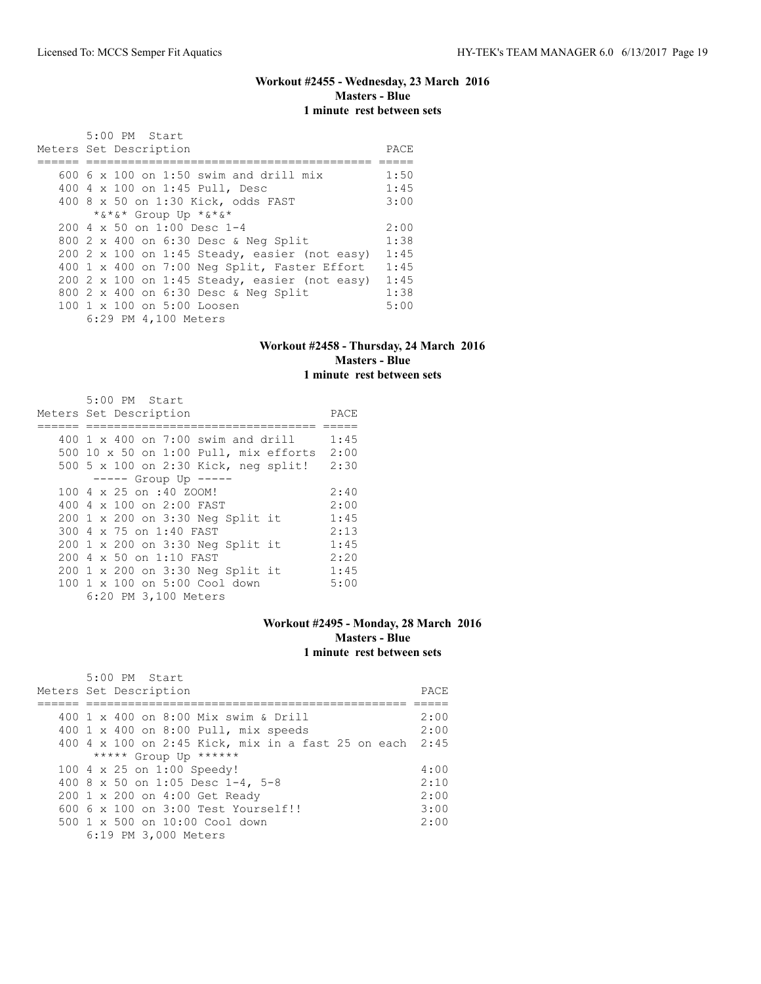# **Workout #2455 - Wednesday, 23 March 2016 Masters - Blue 1 minute rest between sets**

|  | 5:00 PM Start                                 |      |
|--|-----------------------------------------------|------|
|  | Meters Set Description                        | PACE |
|  |                                               |      |
|  | 600 6 x 100 on 1:50 swim and drill mix        | 1:50 |
|  | 400 4 x 100 on 1:45 Pull, Desc                | 1:45 |
|  | 400 8 x 50 on 1:30 Kick, odds FAST            | 3:00 |
|  | *&*&* Group Up *&*&*                          |      |
|  | $200.4 \times 50$ on 1:00 Desc 1-4            | 2:00 |
|  | 800 2 x 400 on 6:30 Desc & Neg Split          | 1:38 |
|  | 200 2 x 100 on 1:45 Steady, easier (not easy) | 1:45 |
|  | 400 1 x 400 on 7:00 Neg Split, Faster Effort  | 1:45 |
|  | 200 2 x 100 on 1:45 Steady, easier (not easy) | 1:45 |
|  | 800 2 x 400 on 6:30 Desc & Neg Split          | 1:38 |
|  | 100 1 x 100 on 5:00 Loosen                    | 5:00 |
|  | 6:29 PM 4,100 Meters                          |      |

#### **Workout #2458 - Thursday, 24 March 2016 Masters - Blue 1 minute rest between sets**

| 5:00 PM Start                             |      |
|-------------------------------------------|------|
| Meters Set Description                    | PACE |
|                                           |      |
| 400 1 $\times$ 400 on 7:00 swim and drill | 1:45 |
| 500 10 x 50 on 1:00 Pull, mix efforts     | 2:00 |
| 500 5 x 100 on 2:30 Kick, neg split!      | 2:30 |
| $--- $ Group Up $--- $                    |      |
| 100 4 x 25 on :40 ZOOM!                   | 2:40 |
| 400 4 $\times$ 100 on 2:00 FAST           | 2:00 |
| 200 1 x 200 on 3:30 Neg Split it          | 1:45 |
| 300 4 x 75 on 1:40 FAST                   | 2:13 |
| 200 1 x 200 on 3:30 Neg Split it          | 1:45 |
| 200 4 x 50 on 1:10 FAST                   | 2:20 |
| 200 1 x 200 on 3:30 Neg Split it          | 1:45 |
| 100 1 x 100 on 5:00 Cool down             | 5:00 |
| 6:20 PM 3,100 Meters                      |      |

#### **Workout #2495 - Monday, 28 March 2016 Masters - Blue 1 minute rest between sets**

| $5:00$ PM Start                                         |      |
|---------------------------------------------------------|------|
| Meters Set Description                                  | PACE |
|                                                         |      |
| 400 1 x 400 on 8:00 Mix swim & Drill                    | 2:00 |
| 400 1 x 400 on 8:00 Pull, mix speeds                    | 2:00 |
| 400 4 x 100 on 2:45 Kick, mix in a fast 25 on each 2:45 |      |
| ***** Group Up ******                                   |      |
| 100 4 x 25 on 1:00 Speedy!                              | 4:00 |
| 400 8 x 50 on 1:05 Desc 1-4, 5-8                        | 2:10 |
| 200 1 x 200 on 4:00 Get Ready                           | 2:00 |
| $6006 \times 100$ on $3:00$ Test Yourself!!             | 3:00 |
| $500 \t 1 \t x \t 500$ on $10:00$ Cool down             | 2:00 |
| 6:19 PM 3,000 Meters                                    |      |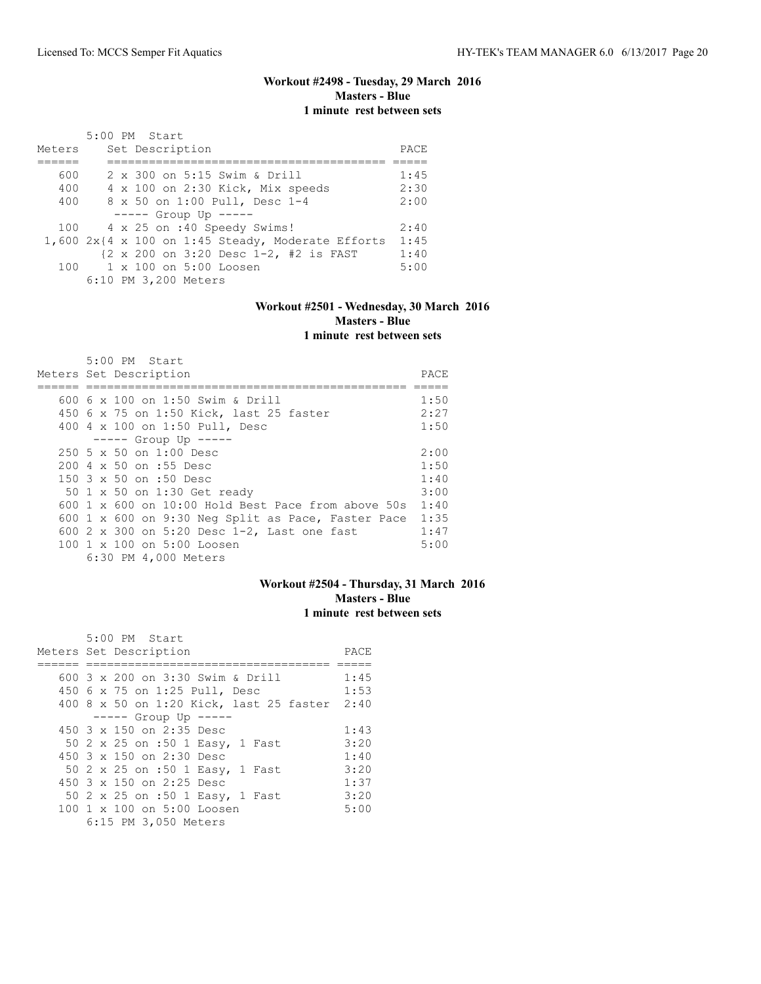### **Workout #2498 - Tuesday, 29 March 2016 Masters - Blue 1 minute rest between sets**

| Meters |  | 5:00 PM Start<br>Set Description                    | PACE |
|--------|--|-----------------------------------------------------|------|
|        |  |                                                     |      |
| 600    |  | 2 x 300 on 5:15 Swim & Drill                        | 1:45 |
| 400    |  | 4 x 100 on 2:30 Kick, Mix speeds                    | 2:30 |
| 400    |  | 8 x 50 on 1:00 Pull, Desc 1-4                       | 2:00 |
|        |  | $--- $ Group Up $---$                               |      |
| 100    |  | 4 x 25 on :40 Speedy Swims!                         | 2:40 |
|        |  | $1,6002x$ {4 x 100 on 1:45 Steady, Moderate Efforts | 1:45 |
|        |  | {2 x 200 on 3:20 Desc 1-2, #2 is FAST               | 1:40 |
|        |  | 100 1 x 100 on 5:00 Loosen                          | 5:00 |
|        |  | 6:10 PM 3,200 Meters                                |      |

#### **Workout #2501 - Wednesday, 30 March 2016 Masters - Blue 1 minute rest between sets**

| 5:00 PM Start                                                   |      |
|-----------------------------------------------------------------|------|
| Meters Set Description                                          | PACE |
|                                                                 |      |
| 600 6 x 100 on 1:50 Swim & Drill                                | 1:50 |
| 450 6 x 75 on 1:50 Kick, last 25 faster                         | 2:27 |
| 400 4 x 100 on 1:50 Pull, Desc                                  | 1:50 |
| $--- -$ Group Up $--- -$                                        |      |
| $250\,5 \times 50$ on $1:00$ Desc                               | 2:00 |
| 200 4 x 50 on :55 Desc                                          | 1:50 |
| 150 3 x 50 on :50 Desc                                          | 1:40 |
| 50 1 x 50 on 1:30 Get ready                                     | 3:00 |
| $600 \text{ 1 x } 600$ on $10:00$ Hold Best Pace from above 50s | 1:40 |
| 600 1 x 600 on 9:30 Neg Split as Pace, Faster Pace              | 1:35 |
| 600 2 x 300 on 5:20 Desc 1-2, Last one fast                     | 1:47 |
| 100 1 x 100 on 5:00 Loosen                                      | 5:00 |
| 6:30 PM 4,000 Meters                                            |      |

### **Workout #2504 - Thursday, 31 March 2016 Masters - Blue 1 minute rest between sets**

| 5:00 PM Start                                |      |
|----------------------------------------------|------|
| Meters Set Description                       | PACE |
|                                              |      |
| 600 3 x 200 on 3:30 Swim & Drill             | 1:45 |
| 450 6 x 75 on 1:25 Pull, Desc                | 1:53 |
| 400 8 x 50 on 1:20 Kick, last 25 faster 2:40 |      |
| $--- $ Group Up $---$                        |      |
| 450 $3 \times 150$ on 2:35 Desc              | 1:43 |
| 50 2 x 25 on :50 1 Easy, 1 Fast              | 3:20 |
| 450 3 x 150 on 2:30 Desc                     | 1:40 |
| 50 2 x 25 on :50 1 Easy, 1 Fast              | 3:20 |
| 450 $3 \times 150$ on 2:25 Desc              | 1:37 |
| 50 2 x 25 on :50 1 Easy, 1 Fast              | 3:20 |
| 100 1 x 100 on 5:00 Loosen                   | 5:00 |
| 6:15 PM 3,050 Meters                         |      |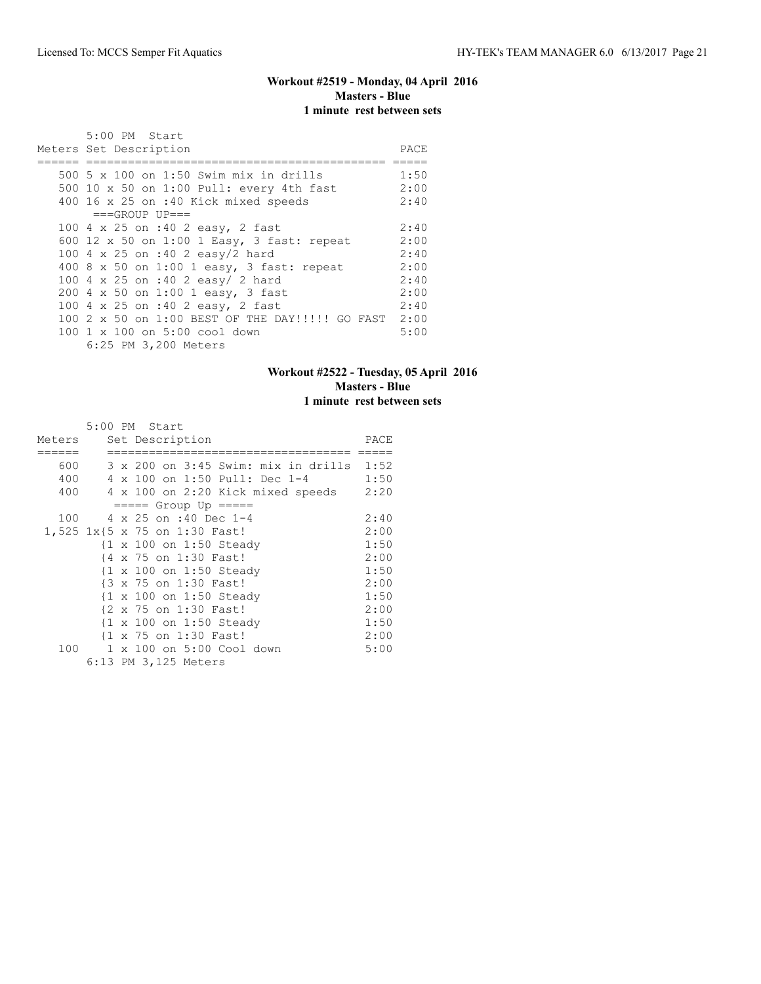# **Workout #2519 - Monday, 04 April 2016 Masters - Blue 1 minute rest between sets**

| 5:00 PM Start<br>Meters Set Description                                          | PACE         |
|----------------------------------------------------------------------------------|--------------|
| 500 5 x 100 on 1:50 Swim mix in drills                                           | 1:50<br>2:00 |
| 500 10 x 50 on 1:00 Pull: every 4th fast<br>400 16 x 25 on :40 Kick mixed speeds | 2:40         |
| $===GROUP UP==$                                                                  |              |
| 100 4 x 25 on :40 2 easy, 2 fast                                                 | 2:40         |
| 600 12 x 50 on 1:00 1 Easy, 3 fast: repeat                                       | 2:00         |
| 100 4 x 25 on :40 2 easy/2 hard                                                  | 2:40         |
| 400 8 x 50 on 1:00 1 easy, 3 fast: repeat                                        | 2:00         |
| 100 4 x 25 on :40 2 easy/ 2 hard                                                 | 2:40         |
| 200 4 x 50 on 1:00 1 easy, 3 fast                                                | 2:00         |
| 100 4 x 25 on :40 2 easy, 2 fast                                                 | 2:40         |
| 100 2 x 50 on 1:00 BEST OF THE DAY!!!!! GO FAST                                  | 2:00         |
| 100 1 x 100 on 5:00 cool down                                                    | 5:00         |
| 6:25 PM 3,200 Meters                                                             |              |

### **Workout #2522 - Tuesday, 05 April 2016 Masters - Blue 1 minute rest between sets**

|        |              | 5:00 PM Start                            |      |
|--------|--------------|------------------------------------------|------|
| Meters |              | Set Description                          | PACE |
|        |              |                                          |      |
| 600    |              | 3 x 200 on 3:45 Swim: mix in drills 1:52 |      |
| 400    |              | 4 x 100 on 1:50 Pull: Dec 1-4            | 1:50 |
| 400    |              | 4 x 100 on 2:20 Kick mixed speeds        | 2:20 |
|        |              | $== == $ Group Up $== == $               |      |
| 100    |              | 4 x 25 on :40 Dec 1-4                    | 2:40 |
|        |              | 1,525 1x{5 x 75 on 1:30 Fast!            | 2:00 |
|        |              | {1 x 100 on 1:50 Steady                  | 1:50 |
|        |              | {4 x 75 on 1:30 Fast!                    | 2:00 |
|        |              | {1 x 100 on 1:50 Steady                  | 1:50 |
|        |              | {3 x 75 on 1:30 Fast!                    | 2:00 |
|        |              | {1 x 100 on 1:50 Steady                  | 1:50 |
|        |              | {2 x 75 on 1:30 Fast!                    | 2:00 |
|        |              | {1 x 100 on 1:50 Steady                  | 1:50 |
|        |              | {1 x 75 on 1:30 Fast!                    | 2:00 |
| 100    | $\mathbf{1}$ | x 100 on 5:00 Cool down                  | 5:00 |
|        |              | 6:13 PM 3,125 Meters                     |      |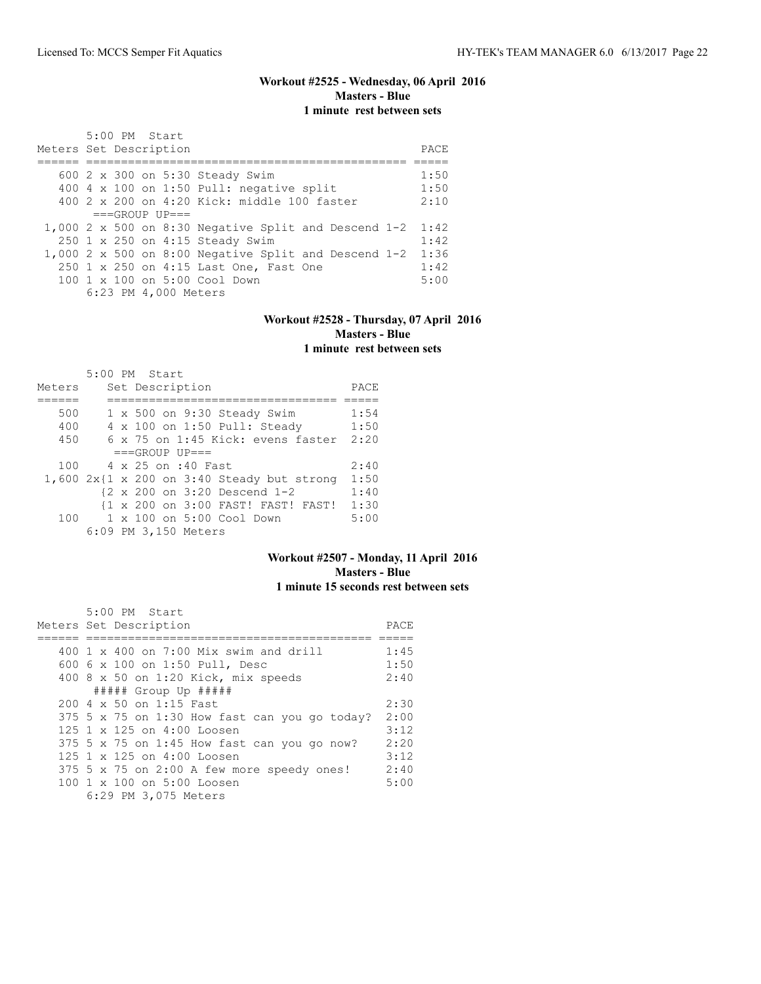# **Workout #2525 - Wednesday, 06 April 2016 Masters - Blue 1 minute rest between sets**

| 5:00 PM Start                                               |      |
|-------------------------------------------------------------|------|
| Meters Set Description                                      | PACE |
|                                                             |      |
| 600 2 x 300 on 5:30 Steady Swim                             | 1:50 |
| 400 4 x 100 on 1:50 Pull: negative split                    | 1:50 |
| $400.2 \times 200$ on $4:20$ Kick: middle 100 faster        | 2:10 |
| $===GROUP UP = =$                                           |      |
| 1,000 2 x 500 on 8:30 Negative Split and Descend $1-2$ 1:42 |      |
| 250 1 x 250 on 4:15 Steady Swim                             | 1:42 |
| 1,000 2 x 500 on 8:00 Negative Split and Descend 1-2        | 1:36 |
| 250 1 x 250 on 4:15 Last One, Fast One                      | 1:42 |
| $100 \t 1 \t x \t 100$ on 5:00 Cool Down                    | 5:00 |
| 6:23 PM 4,000 Meters                                        |      |

#### **Workout #2528 - Thursday, 07 April 2016 Masters - Blue 1 minute rest between sets**

|        | 5:00 PM Start |  |                      |                                            |      |
|--------|---------------|--|----------------------|--------------------------------------------|------|
| Meters |               |  | Set Description      |                                            | PACE |
|        |               |  |                      |                                            |      |
| 500    |               |  |                      | 1 x 500 on 9:30 Steady Swim                | 1:54 |
| 400    |               |  |                      | 4 x 100 on 1:50 Pull: Steady               | 1:50 |
| 450    |               |  |                      | $6 \times 75$ on 1:45 Kick: evens faster   | 2:20 |
|        |               |  | $===GROUP UP = =$    |                                            |      |
| 100    |               |  | 4 x 25 on :40 Fast   |                                            | 2:40 |
|        |               |  |                      | 1,600 2x{1 x 200 on 3:40 Steady but strong | 1:50 |
|        |               |  |                      | {2 x 200 on 3:20 Descend 1-2               | 1:40 |
|        |               |  |                      | {1 x 200 on 3:00 FAST! FAST! FAST!         | 1:30 |
| 100    |               |  |                      | 1 x 100 on 5:00 Cool Down                  | 5:00 |
|        |               |  | 6:09 PM 3,150 Meters |                                            |      |

#### **Workout #2507 - Monday, 11 April 2016 Masters - Blue 1 minute 15 seconds rest between sets**

| $5:00$ PM Start<br>Meters Set Description     | PACE |
|-----------------------------------------------|------|
| 400 $1 \times 400$ on 7:00 Mix swim and drill | 1:45 |
| 600 6 x 100 on 1:50 Pull, Desc                | 1:50 |
| 400 8 x 50 on 1:20 Kick, mix speeds           | 2:40 |
| ##### Group Up #####                          |      |
| 200 4 x 50 on 1:15 Fast                       | 2:30 |
| 375 5 x 75 on 1:30 How fast can you go today? | 2:00 |
| $125$ 1 x 125 on 4:00 Loosen                  | 3:12 |
| $375$ 5 x 75 on 1:45 How fast can you go now? | 2:20 |
| $125$ 1 x 125 on 4:00 Loosen                  | 3:12 |
| 375 5 x 75 on 2:00 A few more speedy ones!    | 2:40 |
| 100 1 x 100 on 5:00 Loosen                    | 5:00 |
| 6:29 PM 3,075 Meters                          |      |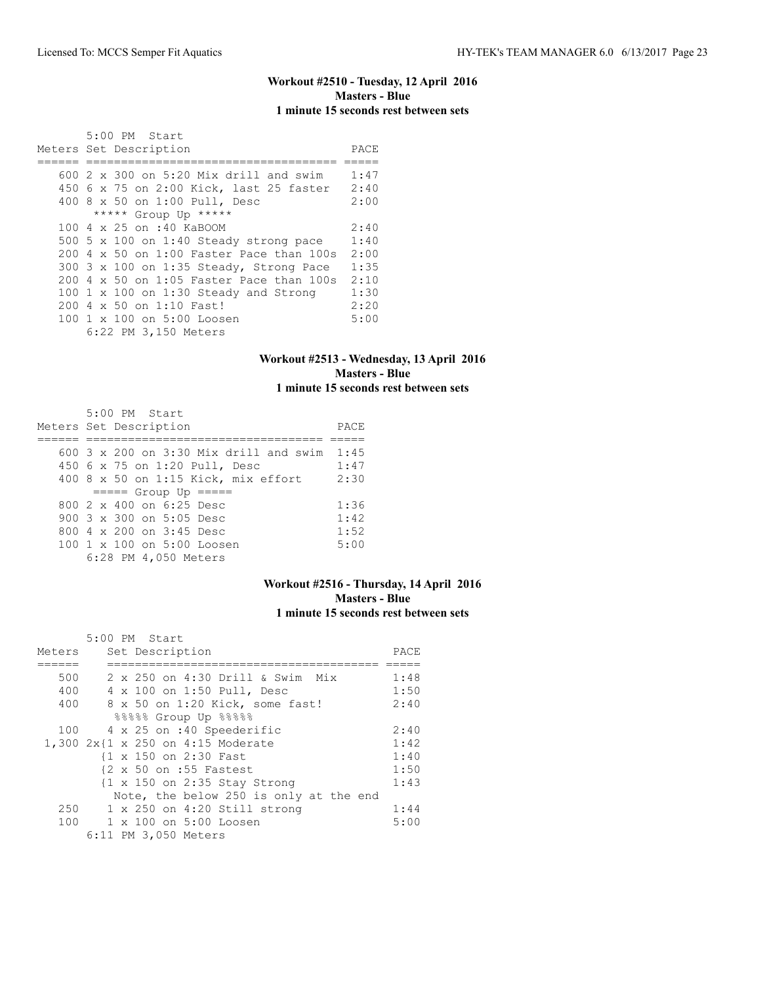# **Workout #2510 - Tuesday, 12 April 2016 Masters - Blue 1 minute 15 seconds rest between sets**

| 5:00 PM Start                                 |      |
|-----------------------------------------------|------|
| Meters Set Description                        | PACE |
|                                               |      |
| 600 2 x 300 on 5:20 Mix drill and swim        | 1:47 |
| 450 6 x 75 on 2:00 Kick, last 25 faster       | 2:40 |
| 400 8 x 50 on 1:00 Pull, Desc                 | 2:00 |
| ***** Group Up *****                          |      |
| 100 4 x 25 on :40 KaBOOM                      | 2:40 |
| 500 5 x 100 on 1:40 Steady strong pace        | 1:40 |
| $200\,4\,$ x 50 on 1:00 Faster Pace than 100s | 2:00 |
| 300 3 x 100 on 1:35 Steady, Strong Pace       | 1:35 |
| 200 4 x 50 on 1:05 Faster Pace than 100s      | 2:10 |
| 100 $1 \times 100$ on 1:30 Steady and Strong  | 1:30 |
| 200 4 x 50 on 1:10 Fast!                      | 2:20 |
| 100 1 x 100 on 5:00 Loosen                    | 5:00 |
| 6:22 PM 3,150 Meters                          |      |

#### **Workout #2513 - Wednesday, 13 April 2016 Masters - Blue 1 minute 15 seconds rest between sets**

| 5:00 PM Start<br>Meters Set Description  | PACE |
|------------------------------------------|------|
|                                          |      |
| $600$ 3 x 200 on 3:30 Mix drill and swim | 1:45 |
| 450 6 x 75 on 1:20 Pull, Desc            | 1:47 |
| 400 8 x 50 on 1:15 Kick, mix effort      | 2:30 |
| $== == $ Group Up $== == $               |      |
| 800 $2 \times 400$ on 6:25 Desc          | 1:36 |
| 900 $3 \times 300$ on $5:05$ Desc        | 1:42 |
| 800 4 x 200 on 3:45 Desc                 | 1:52 |
| $100 \t 1 \t x \t 100$ on 5:00 Loosen    | 5:00 |
| 6:28 PM 4,050 Meters                     |      |

#### **Workout #2516 - Thursday, 14 April 2016 Masters - Blue 1 minute 15 seconds rest between sets**

|        | 5:00 PM Start                          |      |
|--------|----------------------------------------|------|
| Meters | Set Description                        | PACE |
|        |                                        |      |
| 500    | 2 x 250 on 4:30 Drill & Swim Mix       | 1:48 |
| 400    | 4 x 100 on 1:50 Pull, Desc             | 1:50 |
| 400    | 8 x 50 on 1:20 Kick, some fast!        | 2:40 |
|        | %%%%% Group Up %%%%                    |      |
| 100    | 4 x 25 on :40 Speederific              | 2:40 |
|        | 1,300 2x{1 x 250 on 4:15 Moderate      | 1:42 |
|        | {1 x 150 on 2:30 Fast                  | 1:40 |
|        | {2 x 50 on :55 Fastest                 | 1:50 |
|        | {1 x 150 on 2:35 Stay Strong           | 1:43 |
|        | Note, the below 250 is only at the end |      |
| 250    | $1 \times 250$ on $4:20$ Still strong  | 1:44 |
| 100    | 1 x 100 on 5:00 Loosen                 | 5:00 |
|        | 6:11 PM 3,050 Meters                   |      |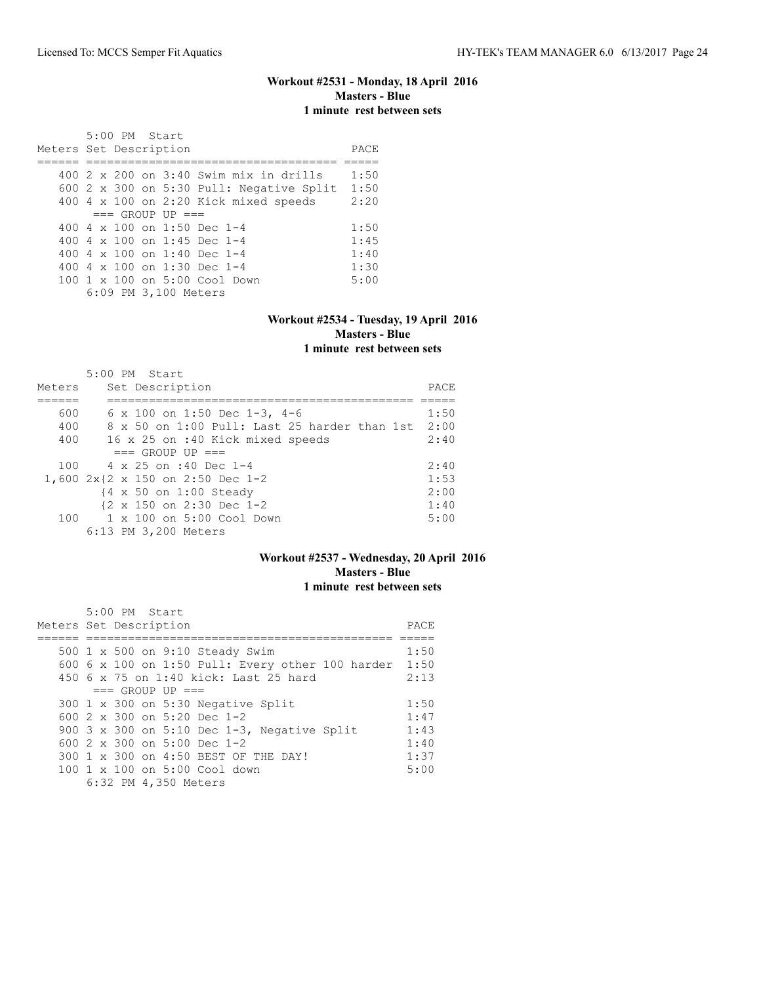#### **Workout #2531 - Monday, 18 April 2016 Masters - Blue 1 minute rest between sets**

 5:00 PM Start Meters Set Description **PACE** ====== ==================================== ===== 400 2 x 200 on 3:40 Swim mix in drills 1:50 600 2 x 300 on 5:30 Pull: Negative Split 1:50 400 4 x 100 on 2:20 Kick mixed speeds 2:20  $==$  GROUP UP  $==$ <br>400 4 x 100 on 1:50 Dec 1-4 400 4 x 100 on 1:50 Dec 1-4 1:50 400 4 x 100 on 1:45 Dec 1-4 1:45 400 4 x 100 on 1:40 Dec 1-4 1:40 400 4 x 100 on 1:30 Dec 1-4 1:30 100 1 x 100 on 5:00 Cool Down 5:00 6:09 PM 3,100 Meters

# **Workout #2534 - Tuesday, 19 April 2016 Masters - Blue**

### **1 minute rest between sets**

|        | 5:00 PM Start                                |      |
|--------|----------------------------------------------|------|
| Meters | Set Description                              | PACE |
|        |                                              |      |
| 600    | 6 x 100 on 1:50 Dec 1-3, 4-6                 | 1:50 |
| 400    | 8 x 50 on 1:00 Pull: Last 25 harder than 1st | 2:00 |
| 400    | 16 x 25 on :40 Kick mixed speeds             | 2:40 |
|        | $==$ GROUP UP $==$                           |      |
| 100    | 4 x 25 on :40 Dec 1-4                        | 2:40 |
|        | 1,600 2x{2 x 150 on 2:50 Dec 1-2             | 1:53 |
|        | {4 x 50 on 1:00 Steady                       | 2:00 |
|        | {2 x 150 on 2:30 Dec 1-2                     | 1:40 |
| 100    | 1 x 100 on 5:00 Cool Down                    | 5:00 |
|        | 6:13 PM 3,200 Meters                         |      |

#### **Workout #2537 - Wednesday, 20 April 2016 Masters - Blue 1 minute rest between sets**

| $5:00$ PM Start<br>Meters Set Description             | PACE |
|-------------------------------------------------------|------|
| 500 1 x 500 on 9:10 Steady Swim                       | 1:50 |
| 600 6 x 100 on 1:50 Pull: Every other 100 harder 1:50 |      |
| 450 6 x 75 on 1:40 kick: Last 25 hard                 | 2:13 |
| $==$ GROUP UP $==$                                    |      |
| 300 1 x 300 on 5:30 Negative Split                    | 1:50 |
| 600 $2 \times 300$ on 5:20 Dec 1-2                    | 1:47 |
| 900 $3 \times 300$ on $5:10$ Dec 1-3, Negative Split  | 1:43 |
| 600 $2 \times 300$ on 5:00 Dec 1-2                    | 1:40 |
| 300 1 x 300 on 4:50 BEST OF THE DAY!                  | 1:37 |
| $100 \t 1 \t x \t 100$ on 5:00 Cool down              | 5:00 |
| 6:32 PM 4,350 Meters                                  |      |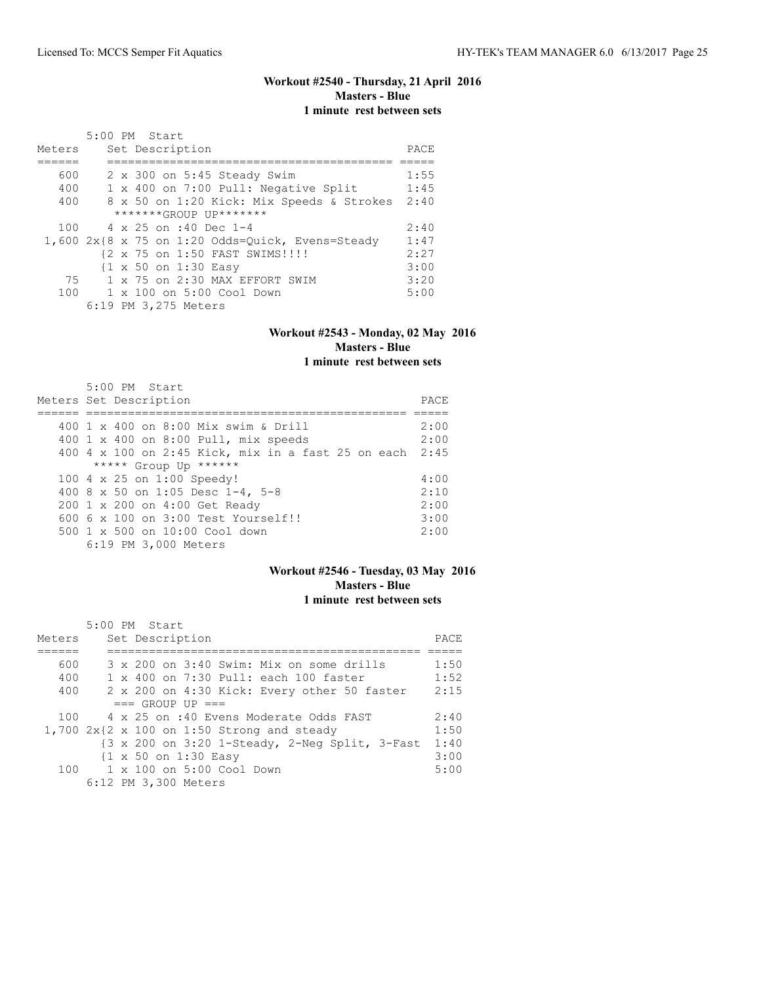### **Workout #2540 - Thursday, 21 April 2016 Masters - Blue 1 minute rest between sets**

|        | 5:00 PM Start                                      |      |
|--------|----------------------------------------------------|------|
| Meters | Set Description                                    | PACE |
|        |                                                    |      |
| 600    | 2 x 300 on 5:45 Steady Swim                        | 1:55 |
| 400    | 1 x 400 on 7:00 Pull: Negative Split               | 1:45 |
| 400    | 8 x 50 on 1:20 Kick: Mix Speeds & Strokes          | 2:40 |
|        | *******GROUP UP*******                             |      |
|        | 100 4 x 25 on :40 Dec 1-4                          | 2:40 |
|        | $1,600$ 2x{8 x 75 on 1:20 Odds=Quick, Evens=Steady | 1:47 |
|        | {2 x 75 on 1:50 FAST SWIMS!!!!                     | 2:27 |
|        | {1 x 50 on 1:30 Easy                               | 3:00 |
| 75     | 1 x 75 on 2:30 MAX EFFORT SWIM                     | 3:20 |
|        | $100 \t 1 \times 100$ on $5:00$ Cool Down          | 5:00 |
|        | 6:19 PM 3,275 Meters                               |      |

#### **Workout #2543 - Monday, 02 May 2016 Masters - Blue 1 minute rest between sets**

| $5:00$ PM Start<br>Meters Set Description               | PACE |
|---------------------------------------------------------|------|
|                                                         |      |
| 400 1 x 400 on 8:00 Mix swim & Drill                    | 2:00 |
| 400 1 x 400 on 8:00 Pull, mix speeds                    | 2:00 |
| 400 4 x 100 on 2:45 Kick, mix in a fast 25 on each 2:45 |      |
| ***** Group Up ******                                   |      |
| 100 4 x 25 on 1:00 Speedy!                              | 4:00 |
| 400 8 x 50 on 1:05 Desc 1-4, 5-8                        | 2:10 |
| 200 1 x 200 on 4:00 Get Ready                           | 2:00 |
| $6006 \times 100$ on $3:00$ Test Yourself!!             | 3:00 |
| $500 \t 1 \t x \t 500$ on $10:00$ Cool down             | 2:00 |
| 6:19 PM 3,000 Meters                                    |      |

# **Workout #2546 - Tuesday, 03 May 2016 Masters - Blue 1 minute rest between sets**

| Meters | 5:00 PM Start<br>Set Description               | PACE |
|--------|------------------------------------------------|------|
| 600    | 3 x 200 on 3:40 Swim: Mix on some drills       | 1:50 |
| 400    | 1 x 400 on 7:30 Pull: each 100 faster          | 1:52 |
| 400    | 2 x 200 on 4:30 Kick: Every other 50 faster    | 2:15 |
|        | $==$ GROUP UP $==$                             |      |
| 100    | 4 x 25 on :40 Evens Moderate Odds FAST         | 2:40 |
|        | $1,700$ 2x{2 x 100 on 1:50 Strong and steady   | 1:50 |
|        | {3 x 200 on 3:20 1-Steady, 2-Neg Split, 3-Fast | 1:40 |
|        | {1 x 50 on 1:30 Easy                           | 3:00 |
|        | 100    1 x 100    an 5:00    Cool    Down      | 5:00 |
|        | 6:12 PM 3,300 Meters                           |      |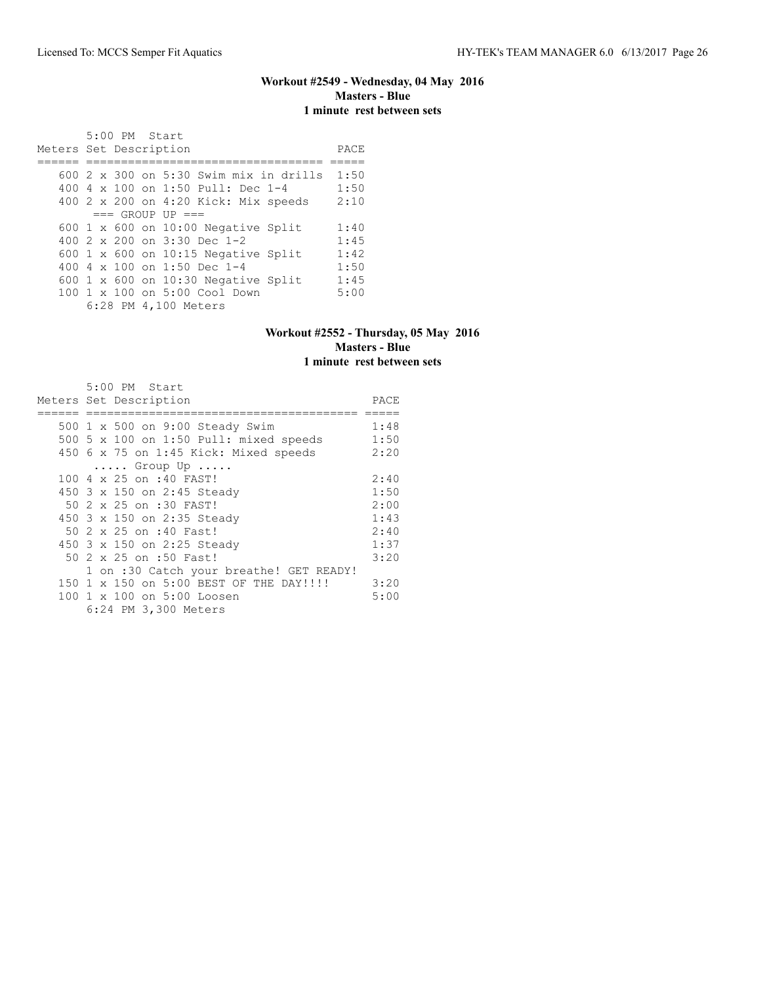### **Workout #2549 - Wednesday, 04 May 2016 Masters - Blue 1 minute rest between sets**

 5:00 PM Start Meters Set Description **PACE** ====== ================================== ===== 600 2 x 300 on 5:30 Swim mix in drills 1:50 400 4 x 100 on 1:50 Pull: Dec 1-4 1:50 400 2 x 200 on 4:20 Kick: Mix speeds 2:10  $==$  GROUP UP  $==$ 600 1 x 600 on 10:00 Negative Split 1:40<br>400 2 x 200 on 3:30 Dec 1-2 1:45 400 2 x 200 on 3:30 Dec 1-2 1:45<br>600 1 x 600 on 10:15 Negative Split 1:42<br>400 4 x 100 on 1:50 Dec 1-4 1:50 600 1 x 600 on 10:15 Negative Split 400 4 x 100 on 1:50 Dec 1-4 400 4 x 100 on 1:50 Dec 1-4 1:50 600 1 x 600 on 10:30 Negative Split 1:45 100 1 x 100 on 5:00 Cool Down 5:00 6:28 PM 4,100 Meters

#### **Workout #2552 - Thursday, 05 May 2016 Masters - Blue 1 minute rest between sets**

| 5:00 PM Start                            |      |
|------------------------------------------|------|
| Meters Set Description                   | PACE |
|                                          |      |
| 500 1 x 500 on 9:00 Steady Swim          | 1:48 |
| 500 5 x 100 on 1:50 Pull: mixed speeds   | 1:50 |
| 450 6 x 75 on 1:45 Kick: Mixed speeds    | 2:20 |
| $\ldots$ . Group Up $\ldots$ .           |      |
| 100 4 x 25 on :40 FAST!                  | 2:40 |
| 450 3 x 150 on 2:45 Steady               | 1:50 |
| 50 2 x 25 on :30 FAST!                   | 2:00 |
| 450 3 x 150 on 2:35 Steady               | 1:43 |
| 50 2 x 25 on :40 Fast!                   | 2:40 |
| 450 3 x 150 on 2:25 Steady               | 1:37 |
| 50 2 x 25 on :50 Fast!                   | 3:20 |
| 1 on :30 Catch your breathe! GET READY!  |      |
| 150 1 x 150 on 5:00 BEST OF THE DAY!!!!! | 3:20 |
| 100 1 x 100 on 5:00 Loosen               | 5:00 |
| 6:24 PM 3,300 Meters                     |      |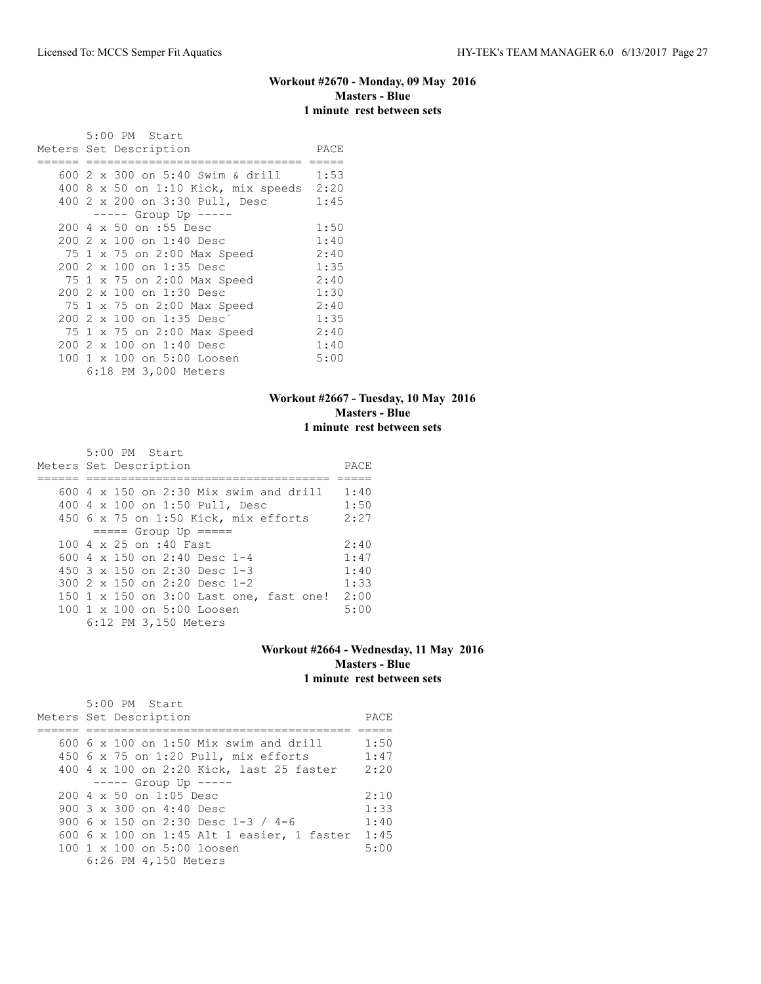#### **Workout #2670 - Monday, 09 May 2016 Masters - Blue 1 minute rest between sets**

|  | 5:00 PM Start<br>Meters Set Description | PACE |
|--|-----------------------------------------|------|
|  | 600 2 x 300 on 5:40 Swim & drill        | 1:53 |
|  |                                         | 2:20 |
|  | 400 8 x 50 on 1:10 Kick, mix speeds     |      |
|  | 400 2 x 200 on 3:30 Pull, Desc          | 1:45 |
|  | ----- Group Up -----                    |      |
|  | 200 4 x 50 on :55 Desc                  | 1:50 |
|  | 200 2 x 100 on 1:40 Desc                | 1:40 |
|  | 75 1 x 75 on 2:00 Max Speed             | 2:40 |
|  | 200 2 x 100 on 1:35 Desc                | 1:35 |
|  | 75 1 x 75 on 2:00 Max Speed             | 2:40 |
|  | 200 2 x 100 on 1:30 Desc                | 1:30 |
|  | 75 1 x 75 on 2:00 Max Speed             | 2:40 |
|  | $2002 \times 100$ on 1:35 Desc)         | 1:35 |
|  | 75 1 x 75 on 2:00 Max Speed             | 2:40 |
|  | 200 2 x 100 on 1:40 Desc                | 1:40 |
|  | 100 1 x 100 on 5:00 Loosen              | 5:00 |
|  | 6:18 PM 3,000 Meters                    |      |

#### **Workout #2667 - Tuesday, 10 May 2016 Masters - Blue 1 minute rest between sets**

 5:00 PM Start Meters Set Description PACE ====== =================================== ===== 600 4 x 150 on 2:30 Mix swim and drill 1:40 400 4 x 100 on 1:50 Pull, Desc 1:50<br>450 6 x 75 on 1:50 Kick, mix efforts 2:27 450 6 x 75 on 1:50 Kick, mix efforts  $==== =$  Group Up  $== ==$ 100 4 x 25 on :40 Fast 2:40 600 4 x 150 on 2:40 Desc 1-4 1:47 450 3 x 150 on 2:30 Desc 1-3 1:40 300 2 x 150 on 2:20 Desc 1-2 1:33 150 1 x 150 on 3:00 Last one, fast one! 2:00 100 1 x 100 on 5:00 Loosen 5:00 6:12 PM 3,150 Meters

#### **Workout #2664 - Wednesday, 11 May 2016 Masters - Blue 1 minute rest between sets**

|                                                 | PACE                                    |
|-------------------------------------------------|-----------------------------------------|
|                                                 |                                         |
| $600\,$ 6 x 100 on 1:50 Mix swim and drill      | 1:50                                    |
| 450 6 x 75 on 1:20 Pull, mix efforts            | 1:47                                    |
| 400 4 x 100 on 2:20 Kick, last 25 faster        | 2:20                                    |
| $--- $ Group Up $---$                           |                                         |
| 200 4 x 50 on 1:05 Desc                         | 2:10                                    |
| 900 $3 \times 300$ on 4:40 Desc                 | 1:33                                    |
| 900 6 x 150 on 2:30 Desc 1-3 / 4-6              | 1:40                                    |
| 600 6 x 100 on 1:45 Alt 1 easier, 1 faster 1:45 |                                         |
| 100 1 x 100 on 5:00 loosen                      | 5:00                                    |
| 6:26 PM 4,150 Meters                            |                                         |
|                                                 | 5:00 PM Start<br>Meters Set Description |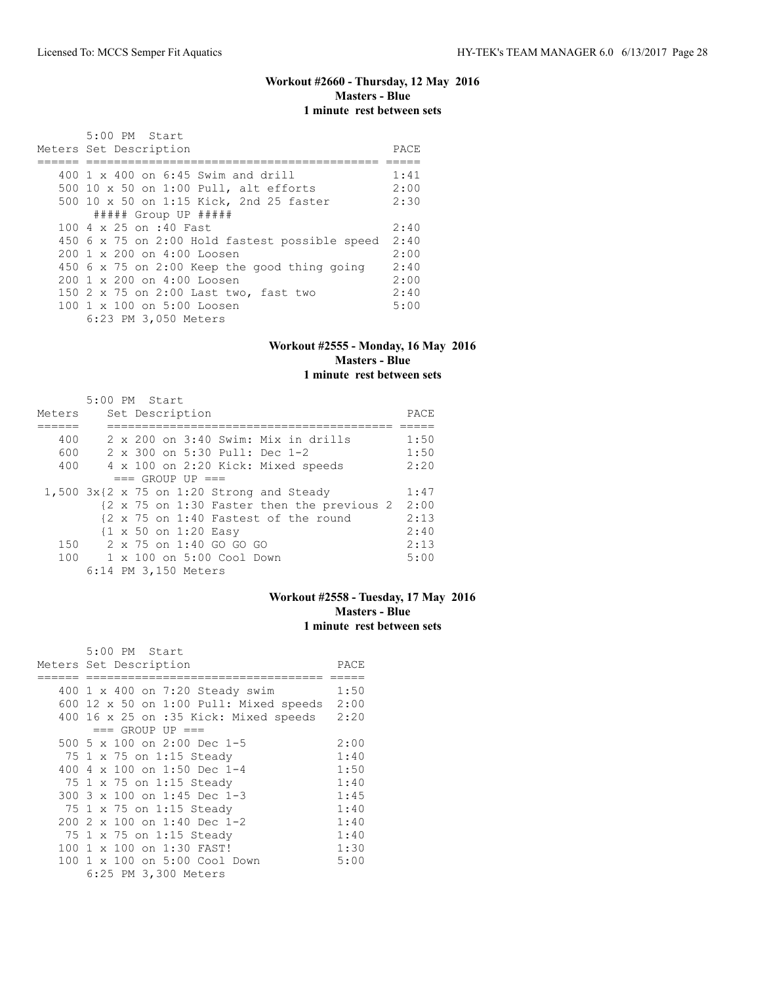# **Workout #2660 - Thursday, 12 May 2016 Masters - Blue 1 minute rest between sets**

| 5:00 PM Start                                          |      |  |  |  |  |
|--------------------------------------------------------|------|--|--|--|--|
| Meters Set Description                                 |      |  |  |  |  |
|                                                        |      |  |  |  |  |
| 400 1 x 400 on 6:45 Swim and drill                     | 1:41 |  |  |  |  |
| 500 10 x 50 on 1:00 Pull, alt efforts                  | 2:00 |  |  |  |  |
| 500 10 x 50 on 1:15 Kick, 2nd 25 faster                | 2:30 |  |  |  |  |
| ##### Group UP #####                                   |      |  |  |  |  |
| 100 4 x 25 on :40 Fast                                 | 2:40 |  |  |  |  |
| 450 6 x 75 on 2:00 Hold fastest possible speed         | 2:40 |  |  |  |  |
| $200 \text{ 1 x } 200 \text{ on } 4:00 \text{ Loosen}$ | 2:00 |  |  |  |  |
| 450 6 x 75 on 2:00 Keep the good thing going           | 2:40 |  |  |  |  |
| $200 \text{ 1 x } 200 \text{ on } 4:00 \text{ Loosen}$ | 2:00 |  |  |  |  |
| 150 2 x 75 on 2:00 Last two, fast two                  | 2:40 |  |  |  |  |
| 100 1 x 100 on 5:00 Loosen                             | 5:00 |  |  |  |  |
| 6:23 PM 3,050 Meters                                   |      |  |  |  |  |

#### **Workout #2555 - Monday, 16 May 2016 Masters - Blue 1 minute rest between sets**

|        | $5:00$ PM Start                              |      |  |  |  |  |  |
|--------|----------------------------------------------|------|--|--|--|--|--|
| Meters | Set Description                              |      |  |  |  |  |  |
|        |                                              |      |  |  |  |  |  |
| 400    | $2 \times 200$ on $3:40$ Swim: Mix in drills | 1:50 |  |  |  |  |  |
| 600    | 2 x 300 on 5:30 Pull: Dec 1-2                | 1:50 |  |  |  |  |  |
| 400    | 4 x 100 on 2:20 Kick: Mixed speeds           | 2:20 |  |  |  |  |  |
|        | $==$ GROUP UP $==$                           |      |  |  |  |  |  |
|        | $1,500$ 3x{2 x 75 on 1:20 Strong and Steady  | 1:47 |  |  |  |  |  |
|        | {2 x 75 on 1:30 Faster then the previous 2   | 2:00 |  |  |  |  |  |
|        | {2 x 75 on 1:40 Fastest of the round         | 2:13 |  |  |  |  |  |
|        | {1 x 50 on 1:20 Easy                         | 2:40 |  |  |  |  |  |
|        | 150 2 x 75 on 1:40 GO GO GO                  | 2:13 |  |  |  |  |  |
| 100    | 1 x 100 on 5:00 Cool Down                    | 5:00 |  |  |  |  |  |
|        | 6:14 PM 3,150 Meters                         |      |  |  |  |  |  |

### **Workout #2558 - Tuesday, 17 May 2016 Masters - Blue 1 minute rest between sets**

|     | 5:00 PM Start                                 |      |
|-----|-----------------------------------------------|------|
|     | Meters Set Description                        | PACE |
|     |                                               |      |
|     | 400 1 x 400 on 7:20 Steady swim               | 1:50 |
|     | 600 12 $\times$ 50 on 1:00 Pull: Mixed speeds | 2:00 |
|     | 400 16 x 25 on :35 Kick: Mixed speeds         | 2:20 |
|     | $==$ GROUP UP $==$                            |      |
|     | 500 5 x 100 on 2:00 Dec 1-5                   | 2:00 |
|     | 75 1 x 75 on 1:15 Steady                      | 1:40 |
| 400 | 4 x 100 on 1:50 Dec 1-4                       | 1:50 |
|     | 75 1 x 75 on 1:15 Steady                      | 1:40 |
|     | 300 3 x 100 on 1:45 Dec 1-3                   | 1:45 |
|     | 75 1 x 75 on 1:15 Steady                      | 1:40 |
| 200 | 2 x 100 on 1:40 Dec 1-2                       | 1:40 |
|     | 75 1 x 75 on 1:15 Steady                      | 1:40 |
| 100 | 1 x 100 on 1:30 FAST!                         | 1:30 |
|     | 100 1 x 100 on 5:00 Cool Down                 | 5:00 |
|     | 6:25 PM 3,300 Meters                          |      |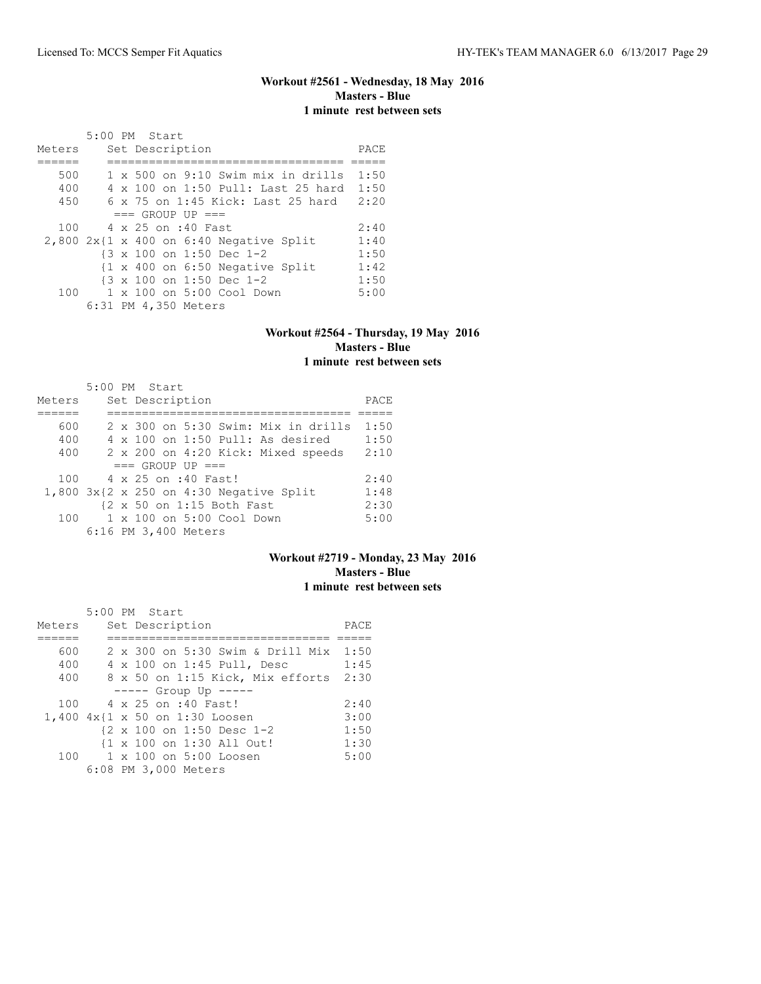# **Workout #2561 - Wednesday, 18 May 2016 Masters - Blue 1 minute rest between sets**

|        | 5:00 PM Start |  |                      |                                                            |      |
|--------|---------------|--|----------------------|------------------------------------------------------------|------|
| Meters |               |  | Set Description      |                                                            | PACE |
|        |               |  |                      |                                                            |      |
| 500    |               |  |                      | 1 x 500 on 9:10 Swim mix in drills                         | 1:50 |
| 400    |               |  |                      | 4 x 100 on 1:50 Pull: Last 25 hard                         | 1:50 |
| 450    |               |  |                      | $6 \times 75$ on 1:45 Kick: Last 25 hard                   | 2:20 |
|        |               |  | $==$ GROUP UP $==$   |                                                            |      |
| 100    |               |  | 4 x 25 on :40 Fast   |                                                            | 2:40 |
|        |               |  |                      | $2,800$ 2x{1 x 400 on 6:40 Negative Split                  | 1:40 |
|        |               |  |                      | {3 x 100 on 1:50 Dec 1-2                                   | 1:50 |
|        |               |  |                      | $\{1 \times 400 \text{ on } 6:50 \text{ Negative Split}\}$ | 1:42 |
|        |               |  |                      | {3 x 100 on 1:50 Dec 1-2                                   | 1:50 |
| 100    |               |  |                      | 1 x 100 on 5:00 Cool Down                                  | 5:00 |
|        |               |  | 6:31 PM 4,350 Meters |                                                            |      |

#### **Workout #2564 - Thursday, 19 May 2016 Masters - Blue 1 minute rest between sets**

|        | $5:00$ PM Start |  |                      |                                    |                                                   |      |
|--------|-----------------|--|----------------------|------------------------------------|---------------------------------------------------|------|
| Meters |                 |  | Set Description      |                                    |                                                   | PACE |
|        |                 |  |                      |                                    |                                                   |      |
| 600    |                 |  |                      |                                    | $2 \times 300$ on $5:30$ Swim: Mix in drills      | 1:50 |
| 400    |                 |  |                      |                                    | $4 \times 100$ on $1:50$ Pull: As desired         | 1:50 |
| 400    |                 |  |                      |                                    | 2 x 200 on 4:20 Kick: Mixed speeds                | 2:10 |
|        |                 |  | $==$ GROUP UP $==$   |                                    |                                                   |      |
| 100    |                 |  | 4 x 25 on :40 Fast!  |                                    |                                                   | 2:40 |
|        |                 |  |                      |                                    | $1,800$ $3x$ { $2 x 250$ on $4:30$ Negative Split | 1:48 |
|        |                 |  |                      | {2 x 50 on 1:15 Both Fast          |                                                   | 2:30 |
| 100    |                 |  |                      | $1 \times 100$ on $5:00$ Cool Down |                                                   | 5:00 |
|        |                 |  | 6:16 PM 3,400 Meters |                                    |                                                   |      |

# **Workout #2719 - Monday, 23 May 2016 Masters - Blue 1 minute rest between sets**

|        |  | 5:00 PM Start                                         |      |
|--------|--|-------------------------------------------------------|------|
| Meters |  | Set Description                                       | PACE |
|        |  |                                                       |      |
| 600    |  | 2 x 300 on 5:30 Swim & Drill Mix 1:50                 |      |
| 400    |  | 4 x 100 on 1:45 Pull, Desc                            | 1:45 |
| 400    |  | 8 x 50 on 1:15 Kick, Mix efforts                      | 2:30 |
|        |  | $--- -$ Group Up $--- -$                              |      |
| 100    |  | 4 x 25 on :40 Fast!                                   | 2:40 |
|        |  | 1,400 4x{1 x 50 on 1:30 Loosen                        | 3:00 |
|        |  | $\{2 \times 100 \text{ on } 1:50 \text{ Desc } 1-2\}$ | 1:50 |
|        |  | {1 x 100 on 1:30 All Out!                             | 1:30 |
| 100    |  | 1 x 100 on 5:00 Loosen                                | 5:00 |
|        |  | 6:08 PM 3,000 Meters                                  |      |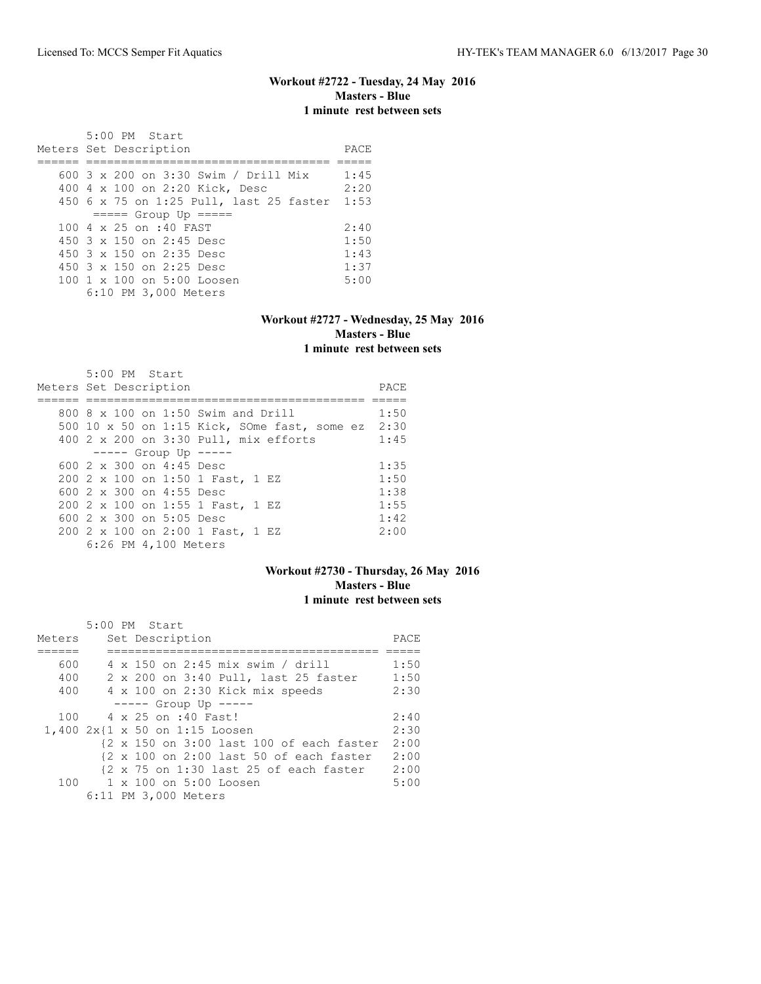#### **Workout #2722 - Tuesday, 24 May 2016 Masters - Blue 1 minute rest between sets**

 5:00 PM Start Meters Set Description **PACE** ====== =================================== ===== 600 3 x 200 on 3:30 Swim / Drill Mix 1:45 400 4 x 100 on 2:20 Kick, Desc 2:20 450 6 x 75 on 1:25 Pull, last 25 faster 1:53 ===== Group Up ===== 100 4 x 25 on :40 FAST 2:40<br>450 3 x 150 on 2:45 Desc 1:50 450 3 x 150 on 2:45 Desc 1:50 450 3 x 150 on 2:35 Desc 1:43 450 3 x 150 on 2:25 Desc 1:37 100 1 x 100 on 5:00 Loosen 5:00 6:10 PM 3,000 Meters

#### **Workout #2727 - Wednesday, 25 May 2016 Masters - Blue 1 minute rest between sets**

| $5:00$ PM Start<br>Meters Set Description         | PACE |
|---------------------------------------------------|------|
| 800 $8 \times 100$ on 1:50 Swim and Drill         | 1:50 |
|                                                   |      |
| 500 10 x 50 on 1:15 Kick, SOme fast, some ez 2:30 |      |
| 400 2 x 200 on 3:30 Pull, mix efforts             | 1:45 |
| $--- -$ Group Up $--- -$                          |      |
| 600 $2 \times 300$ on 4:45 Desc                   | 1:35 |
| 200 2 x 100 on 1:50 1 Fast, 1 EZ                  | 1:50 |
| 600 2 x 300 on 4:55 Desc                          | 1:38 |
| 200 2 x 100 on 1:55 1 Fast, 1 EZ                  | 1:55 |
| 600 $2 \times 300$ on $5:05$ Desc                 | 1:42 |
| 200 2 x 100 on 2:00 1 Fast, 1 EZ                  | 2:00 |
| 6:26 PM 4,100 Meters                              |      |

# **Workout #2730 - Thursday, 26 May 2016 Masters - Blue 1 minute rest between sets**

|        | 5:00 PM Start                          |                                                                             |      |
|--------|----------------------------------------|-----------------------------------------------------------------------------|------|
| Meters | Set Description                        |                                                                             | PACE |
|        |                                        |                                                                             |      |
| 600    | 4 x 150 on 2:45 mix swim / drill       |                                                                             | 1:50 |
| 400    |                                        | 2 x 200 on 3:40 Pull, last 25 faster                                        | 1:50 |
| 400    | 4 x 100 on 2:30 Kick mix speeds        |                                                                             | 2:30 |
|        | $--- $ Group Up $---$                  |                                                                             |      |
|        | 100 4 x 25 on :40 Fast!                |                                                                             | 2:40 |
|        | $1,400$ $2x$ {1 $x$ 50 on 1:15 Loosen  |                                                                             | 2:30 |
|        |                                        | {2 x 150 on 3:00 last 100 of each faster                                    | 2:00 |
|        |                                        | $\{2 \times 100 \text{ on } 2:00 \text{ last } 50 \text{ of each faster}\}$ | 2:00 |
|        |                                        | {2 x 75 on 1:30 last 25 of each faster                                      | 2:00 |
|        | $100 \t 1 \times 100$ on $5:00$ Loosen |                                                                             | 5:00 |
|        | 6:11 PM 3,000 Meters                   |                                                                             |      |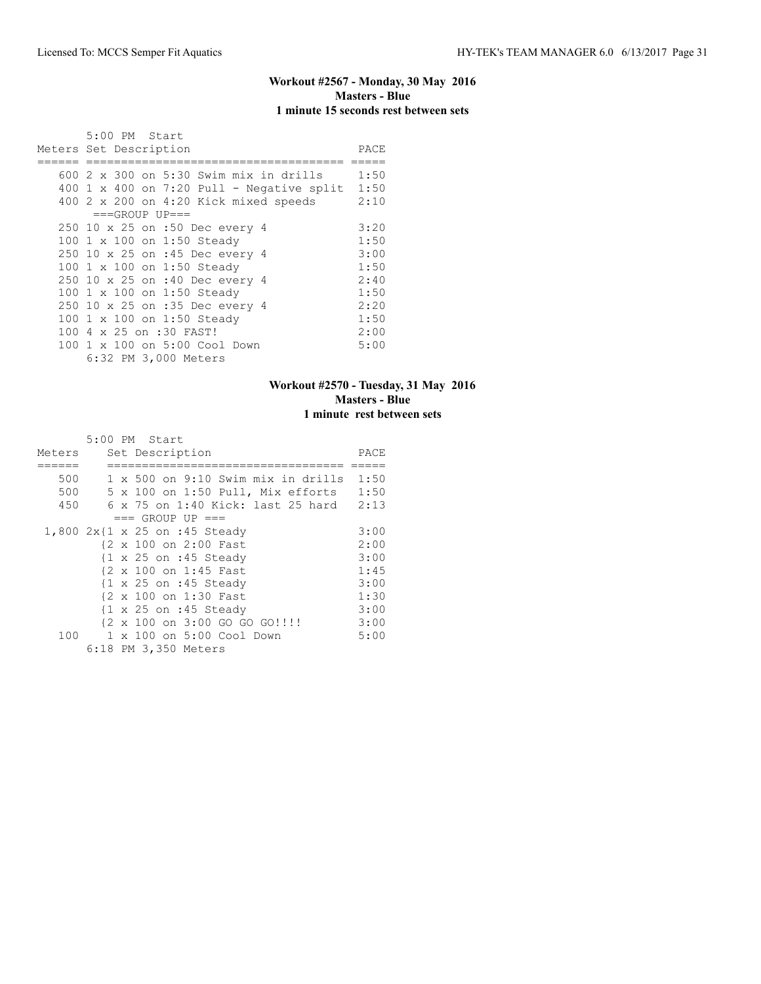# **Workout #2567 - Monday, 30 May 2016 Masters - Blue 1 minute 15 seconds rest between sets**

| 5:00 PM Start                               |      |
|---------------------------------------------|------|
| Meters Set Description                      | PACE |
|                                             |      |
| 600 2 x 300 on 5:30 Swim mix in drills      | 1:50 |
| $400$ 1 x 400 on 7:20 Pull - Negative split | 1:50 |
| 400 2 x 200 on 4:20 Kick mixed speeds       | 2:10 |
| $===GROUP UP=-$                             |      |
| 250 10 x 25 on :50 Dec every 4              | 3:20 |
| 100 1 x 100 on 1:50 Steady                  | 1:50 |
| 250 10 x 25 on :45 Dec every 4              | 3:00 |
| 100 1 x 100 on 1:50 Steady                  | 1:50 |
| 250 10 x 25 on :40 Dec every 4              | 2:40 |
| 100 1 x 100 on 1:50 Steady                  | 1:50 |
| 250 10 x 25 on :35 Dec every 4              | 2:20 |
| 100 1 x 100 on 1:50 Steady                  | 1:50 |
| 100 4 x 25 on :30 FAST!                     | 2:00 |
| 100 1 x 100 on 5:00 Cool Down               | 5:00 |
| 6:32 PM 3,000 Meters                        |      |

### **Workout #2570 - Tuesday, 31 May 2016 Masters - Blue 1 minute rest between sets**

|        | 5:00 PM Start                                     |      |
|--------|---------------------------------------------------|------|
| Meters | Set Description                                   | PACE |
|        |                                                   |      |
| 500    | 1 x 500 on 9:10 Swim mix in drills                | 1:50 |
| 500    | 5 x 100 on 1:50 Pull, Mix efforts                 | 1:50 |
| 450    | $6 \times 75$ on 1:40 Kick: last 25 hard          | 2:13 |
|        | $==$ GROUP UP $==$                                |      |
|        | 1,800 2x{1 x 25 on :45 Steady                     | 3:00 |
|        | {2 x 100 on 2:00 Fast                             | 2:00 |
|        | $\{1 \times 25 \text{ on } : 45 \text{ Steady}\}$ | 3:00 |
|        | {2 x 100 on 1:45 Fast                             | 1:45 |
|        | $\{1 \times 25 \text{ on } : 45 \text{ Steadv}\}$ | 3:00 |
|        | {2 x 100 on 1:30 Fast                             | 1:30 |
|        | $\{1 \times 25 \text{ on } : 45 \text{ Steady}\}$ | 3:00 |
|        | {2 x 100 on 3:00 GO GO GO!!!!                     | 3:00 |
| 100    | 1 x 100 on 5:00 Cool Down                         | 5:00 |
|        | 6:18 PM 3,350 Meters                              |      |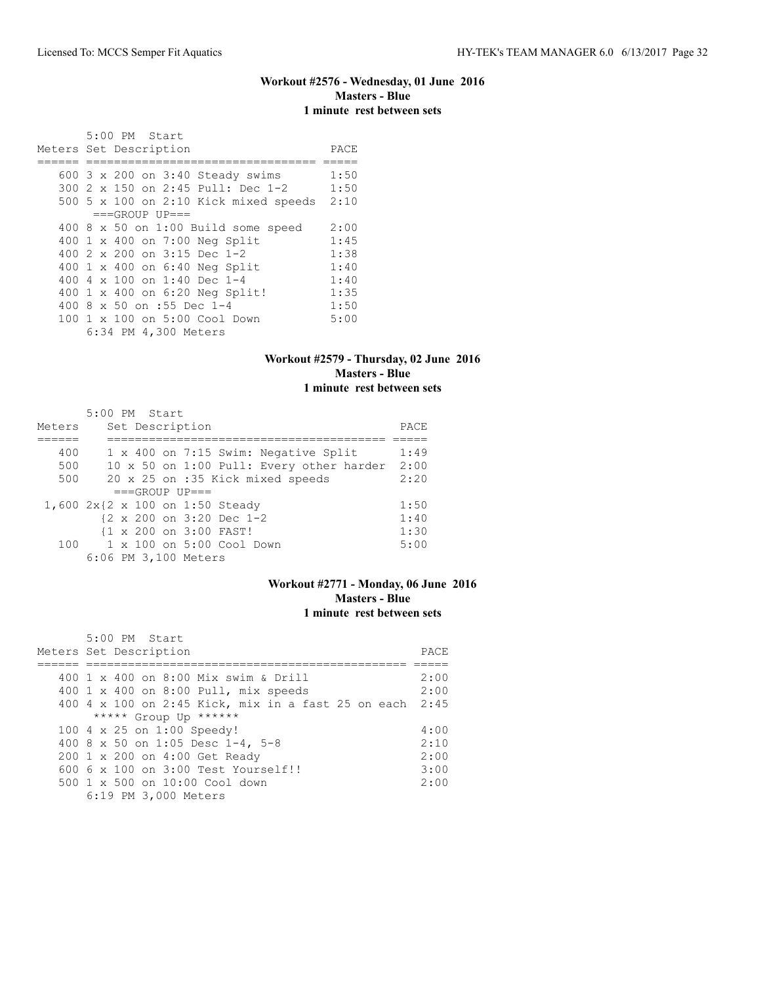# **Workout #2576 - Wednesday, 01 June 2016 Masters - Blue 1 minute rest between sets**

| 5:00 PM Start                              |      |
|--------------------------------------------|------|
| Meters Set Description                     | PACE |
|                                            |      |
| 600 3 x 200 on 3:40 Steady swims           | 1:50 |
| 300 2 x 150 on 2:45 Pull: Dec 1-2          | 1:50 |
| 500 5 x 100 on 2:10 Kick mixed speeds      | 2:10 |
| $===GROUP UP=-$                            |      |
| 400 $8 \times 50$ on 1:00 Build some speed | 2:00 |
| 400 1 x 400 on 7:00 Neg Split              | 1:45 |
| 400 $2 \times 200$ on $3:15$ Dec 1-2       | 1:38 |
| 400 1 x 400 on 6:40 Neg Split              | 1:40 |
| 400 4 x 100 on 1:40 Dec 1-4                | 1:40 |
| 400 1 x 400 on 6:20 Neg Split!             | 1:35 |
| 400 8 x 50 on :55 Dec 1-4                  | 1:50 |
| 100 1 x 100 on 5:00 Cool Down              | 5:00 |
| 6:34 PM 4,300 Meters                       |      |

### **Workout #2579 - Thursday, 02 June 2016 Masters - Blue 1 minute rest between sets**

|        | 5:00 PM Start                            |      |
|--------|------------------------------------------|------|
| Meters | Set Description                          | PACE |
|        |                                          |      |
| 400    | 1 x 400 on 7:15 Swim: Negative Split     | 1:49 |
| 500    | 10 x 50 on 1:00 Pull: Every other harder | 2:00 |
| 500    | 20 x 25 on :35 Kick mixed speeds         | 2:20 |
|        | $===GROUP UP = =$                        |      |
|        | 1,600 2x{2 x 100 on 1:50 Steady          | 1:50 |
|        | {2 x 200 on 3:20 Dec 1-2                 | 1:40 |
|        | {1 x 200 on 3:00 FAST!                   | 1:30 |
| 100    | 1 x 100 on 5:00 Cool Down                | 5:00 |
|        | 6:06 PM 3,100 Meters                     |      |

#### **Workout #2771 - Monday, 06 June 2016 Masters - Blue 1 minute rest between sets**

| 5:00 PM Start                                           |      |
|---------------------------------------------------------|------|
| Meters Set Description                                  | PACE |
|                                                         |      |
| 400 1 x 400 on 8:00 Mix swim & Drill                    | 2:00 |
| 400 1 x 400 on 8:00 Pull, mix speeds                    | 2:00 |
| 400 4 x 100 on 2:45 Kick, mix in a fast 25 on each 2:45 |      |
| ***** Group Up ******                                   |      |
| 100 4 x 25 on 1:00 Speedy!                              | 4:00 |
| 400 8 x 50 on 1:05 Desc 1-4, 5-8                        | 2:10 |
| 200 1 x 200 on 4:00 Get Ready                           | 2:00 |
| $6006 \times 100$ on $3:00$ Test Yourself!!             | 3:00 |
| $500 \t 1 \t x \t 500$ on $10:00$ Cool down             | 2:00 |
| 6:19 PM 3,000 Meters                                    |      |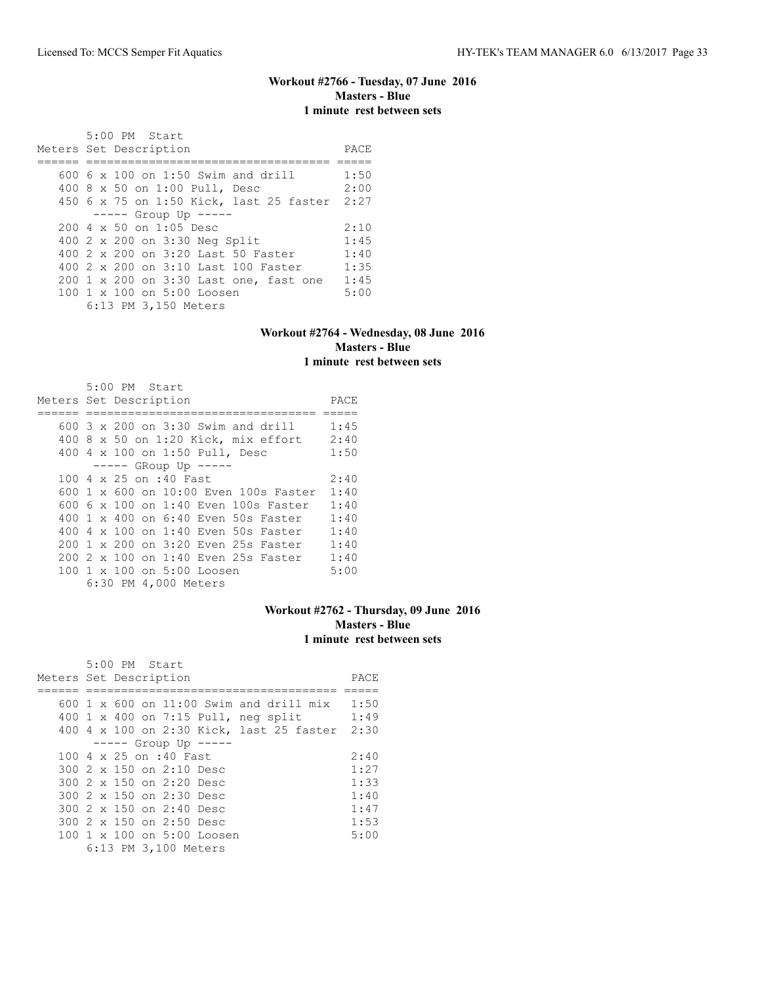### **Workout #2766 - Tuesday, 07 June 2016 Masters - Blue 1 minute rest between sets**

| 5:00 PM Start<br>Meters Set Description                | PACE |
|--------------------------------------------------------|------|
| 600 $6 \times 100$ on 1:50 Swim and drill              | 1:50 |
| 400 8 x 50 on 1:00 Pull, Desc                          | 2:00 |
| 450 6 x 75 on 1:50 Kick, last 25 faster 2:27           |      |
| $--- -$ Group Up $--- -$                               |      |
| 200 4 x 50 on 1:05 Desc                                | 2:10 |
| 400 2 x 200 on 3:30 Neg Split                          | 1:45 |
| 400 2 x 200 on 3:20 Last 50 Faster                     | 1:40 |
| 400 2 x 200 on 3:10 Last 100 Faster                    | 1:35 |
| 200 1 x 200 on 3:30 Last one, fast one                 | 1:45 |
| $100 \text{ 1 x } 100 \text{ on } 5:00 \text{ Loosen}$ | 5:00 |
| 6:13 PM 3,150 Meters                                   |      |

### **Workout #2764 - Wednesday, 08 June 2016 Masters - Blue 1 minute rest between sets**

| $5:00$ PM Start                              |      |
|----------------------------------------------|------|
| Meters Set Description                       | PACE |
|                                              |      |
| 600 3 x 200 on 3:30 Swim and drill           | 1:45 |
| 400 8 x 50 on 1:20 Kick, mix effort 2:40     |      |
| 400 4 x 100 on 1:50 Pull, Desc               | 1:50 |
| $---$ GRoup Up $---$                         |      |
| 100 4 x 25 on :40 Fast                       | 2:40 |
| 600 $1 \times$ 600 on 10:00 Even 100s Faster | 1:40 |
| 600 6 $\times$ 100 on 1:40 Even 100s Faster  | 1:40 |
| 400 1 x 400 on 6:40 Even 50s Faster          | 1:40 |
| 400 4 x 100 on 1:40 Even 50s Faster          | 1:40 |
| 200 1 x 200 on 3:20 Even 25s Faster          | 1:40 |
| 200 2 x 100 on 1:40 Even 25s Faster          | 1:40 |
| 100 1 x 100 on 5:00 Loosen                   | 5:00 |
| 6:30 PM 4,000 Meters                         |      |

# **Workout #2762 - Thursday, 09 June 2016 Masters - Blue 1 minute rest between sets**

|                        | 5:00 PM Start |                                 |                                          |  |      |
|------------------------|---------------|---------------------------------|------------------------------------------|--|------|
| Meters Set Description |               |                                 |                                          |  | PACE |
|                        |               |                                 |                                          |  |      |
|                        |               |                                 | 600 1 x 600 on 11:00 Swim and drill mix  |  | 1:50 |
|                        |               |                                 | 400 1 x 400 on 7:15 Pull, neg split      |  | 1:49 |
|                        |               |                                 | 400 4 x 100 on 2:30 Kick, last 25 faster |  | 2:30 |
|                        |               | $--- $ Group Up $--- $          |                                          |  |      |
|                        |               | 100 4 x 25 on :40 Fast          |                                          |  | 2:40 |
|                        |               | $300.2 \times 150$ on 2:10 Desc |                                          |  | 1:27 |
|                        |               | 300 2 x 150 on 2:20 Desc        |                                          |  | 1:33 |
|                        |               | 300 2 x 150 on 2:30 Desc        |                                          |  | 1:40 |
|                        |               | 300 2 x 150 on 2:40 Desc        |                                          |  | 1:47 |
|                        |               | 300 2 x 150 on 2:50 Desc        |                                          |  | 1:53 |
|                        |               |                                 | 100 1 x 100 on 5:00 Loosen               |  | 5:00 |
|                        |               | 6:13 PM 3,100 Meters            |                                          |  |      |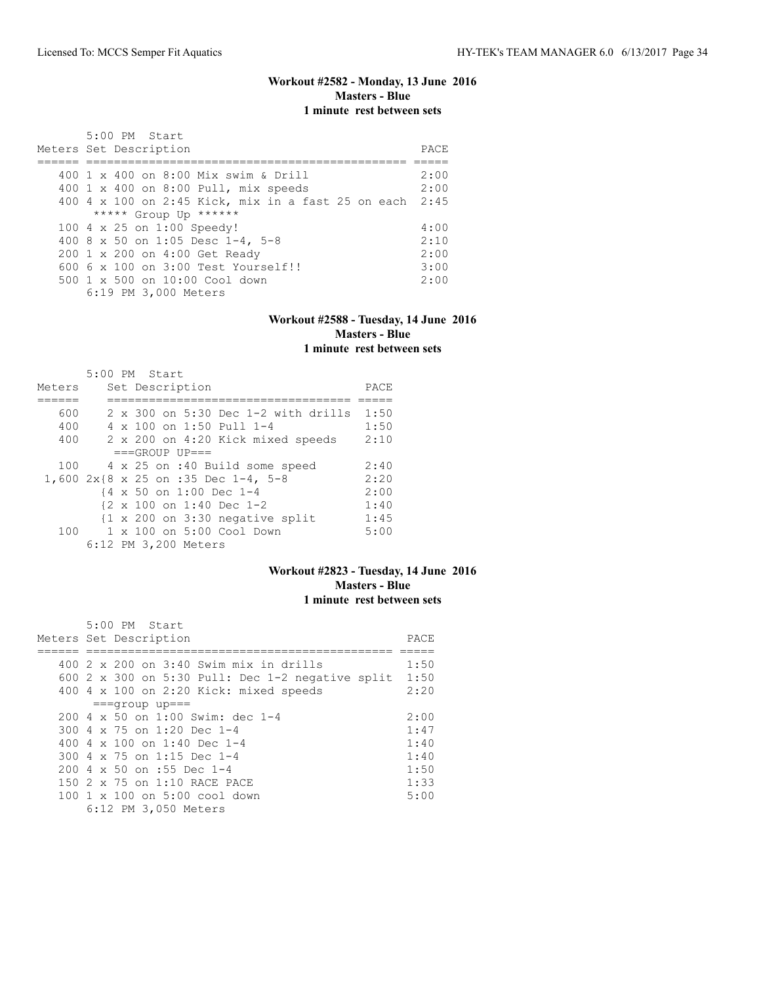# **Workout #2582 - Monday, 13 June 2016 Masters - Blue 1 minute rest between sets**

| 5:00 PM Start<br>Meters Set Description                 | PACE. |
|---------------------------------------------------------|-------|
| 400 1 x 400 on 8:00 Mix swim & Drill                    | 2:00  |
|                                                         |       |
| 400 1 x 400 on 8:00 Pull, mix speeds                    | 2:00  |
| 400 4 x 100 on 2:45 Kick, mix in a fast 25 on each 2:45 |       |
| ***** Group Up ******                                   |       |
| 100 4 x 25 on 1:00 Speedy!                              | 4:00  |
| 400 8 x 50 on 1:05 Desc 1-4, 5-8                        | 2:10  |
| 200 1 x 200 on 4:00 Get Ready                           | 2:00  |
| $6006 \times 100$ on $3:00$ Test Yourself!!             | 3:00  |
| 500 1 x 500 on 10:00 Cool down                          | 2:00  |
| 6:19 PM 3,000 Meters                                    |       |

#### **Workout #2588 - Tuesday, 14 June 2016 Masters - Blue 1 minute rest between sets**

|        | $5:00$ PM Start |  |                      |                                                            |                                            |      |
|--------|-----------------|--|----------------------|------------------------------------------------------------|--------------------------------------------|------|
| Meters |                 |  | Set Description      |                                                            |                                            | PACE |
|        |                 |  |                      |                                                            |                                            |      |
| 600    |                 |  |                      |                                                            | $2 \times 300$ on 5:30 Dec 1-2 with drills | 1:50 |
| 400    |                 |  |                      | $4 \times 100$ on 1:50 Pull 1-4                            |                                            | 1:50 |
| 400    |                 |  |                      | 2 x 200 on 4:20 Kick mixed speeds                          |                                            | 2:10 |
|        |                 |  | $===GROUP UP = =$    |                                                            |                                            |      |
| 100    |                 |  |                      | 4 x 25 on :40 Build some speed                             |                                            | 2:40 |
|        |                 |  |                      | 1,600 2x{8 x 25 on :35 Dec 1-4, 5-8                        |                                            | 2:20 |
|        |                 |  |                      | {4 x 50 on 1:00 Dec 1-4                                    |                                            | 2:00 |
|        |                 |  |                      | $\{2 \times 100 \text{ on } 1:40 \text{ Dec } 1-2\}$       |                                            | 1:40 |
|        |                 |  |                      | $\{1 \times 200 \text{ on } 3:30 \text{ negative split}\}$ |                                            | 1:45 |
| 100    |                 |  |                      | 1 x 100 on 5:00 Cool Down                                  |                                            | 5:00 |
|        |                 |  | 6:12 PM 3,200 Meters |                                                            |                                            |      |

## **Workout #2823 - Tuesday, 14 June 2016 Masters - Blue 1 minute rest between sets**

|  | $5:00$ PM Start                                                                                                |      |
|--|----------------------------------------------------------------------------------------------------------------|------|
|  | Meters Set Description                                                                                         | PACE |
|  |                                                                                                                |      |
|  | 400 2 x 200 on 3:40 Swim mix in drills                                                                         | 1:50 |
|  | 600 2 x 300 on 5:30 Pull: Dec 1-2 negative split                                                               | 1:50 |
|  | 400 4 x 100 on 2:20 Kick: mixed speeds                                                                         | 2:20 |
|  | $==qrow$ up===                                                                                                 |      |
|  | 200 4 x 50 on 1:00 Swim: dec 1-4                                                                               | 2:00 |
|  | 300 4 x 75 on 1:20 Dec 1-4                                                                                     | 1:47 |
|  | 400 4 $\times$ 100 on 1:40 Dec 1-4                                                                             | 1:40 |
|  | 300 4 x 75 on 1:15 Dec 1-4                                                                                     | 1:40 |
|  | $200 \text{ } 4 \text{ } \times \text{ } 50 \text{ } \text{on} \text{ } : 55 \text{ } \text{Dec} \text{ } 1-4$ | 1:50 |
|  | 150 2 x 75 on 1:10 RACE PACE                                                                                   | 1:33 |
|  | 100 1 x 100 on 5:00 cool down                                                                                  | 5:00 |
|  | 6:12 PM 3,050 Meters                                                                                           |      |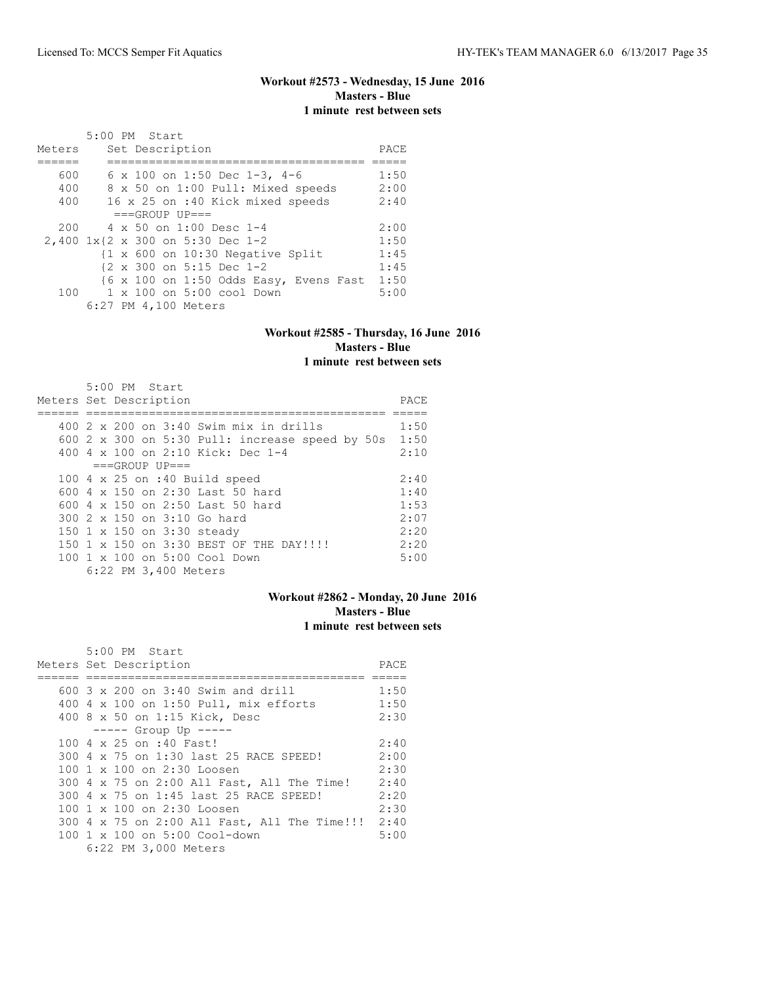# **Workout #2573 - Wednesday, 15 June 2016 Masters - Blue 1 minute rest between sets**

|        | 5:00 PM Start                                        |      |
|--------|------------------------------------------------------|------|
| Meters | Set Description                                      | PACE |
|        |                                                      |      |
| 600    | 6 x 100 on 1:50 Dec 1-3, 4-6                         | 1:50 |
| 400    | 8 x 50 on 1:00 Pull: Mixed speeds                    | 2:00 |
| 400    | 16 x 25 on :40 Kick mixed speeds                     | 2:40 |
|        | $===GROUP UP = =$                                    |      |
| 200    | 4 x 50 on 1:00 Desc 1-4                              | 2:00 |
|        | 2,400 1x{2 x 300 on 5:30 Dec 1-2                     | 1:50 |
|        | {1 x 600 on 10:30 Negative Split                     | 1:45 |
|        | $\{2 \times 300 \text{ on } 5:15 \text{ Dec } 1-2\}$ | 1:45 |
|        | {6 x 100 on 1:50 Odds Easy, Evens Fast 1:50          |      |
| 100    | 1 x 100 on 5:00 cool Down                            | 5:00 |
|        | 6:27 PM 4,100 Meters                                 |      |

#### **Workout #2585 - Thursday, 16 June 2016 Masters - Blue 1 minute rest between sets**

| Meters Set Description | $5:00$ PM Start            |                                                 | PACE |
|------------------------|----------------------------|-------------------------------------------------|------|
|                        |                            | $400$ 2 x 200 on 3:40 Swim mix in drills        | 1:50 |
|                        |                            | 600 2 x 300 on 5:30 Pull: increase speed by 50s | 1:50 |
|                        |                            | 400 4 x 100 on 2:10 Kick: Dec 1-4               | 2:10 |
|                        | $===GROUP UP==$            |                                                 |      |
|                        |                            | 100 4 x 25 on :40 Build speed                   | 2:40 |
|                        |                            | 600 $4 \times 150$ on 2:30 Last 50 hard         | 1:40 |
|                        |                            | 600 $4 \times 150$ on 2:50 Last 50 hard         | 1:53 |
|                        |                            | 300 2 x 150 on 3:10 Go hard                     | 2:07 |
|                        | 150 1 x 150 on 3:30 steady |                                                 | 2:20 |
|                        |                            | 150 1 x 150 on 3:30 BEST OF THE DAY!!!!         | 2:20 |
|                        |                            | 100 1 x 100 on 5:00 Cool Down                   | 5:00 |
|                        | 6:22 PM 3,400 Meters       |                                                 |      |

#### **Workout #2862 - Monday, 20 June 2016 Masters - Blue 1 minute rest between sets**

| 5:00 PM Start                                     |      |
|---------------------------------------------------|------|
| Meters Set Description                            | PACE |
|                                                   |      |
| $600$ 3 x 200 on 3:40 Swim and drill              | 1:50 |
| 400 4 x 100 on 1:50 Pull, mix efforts             | 1:50 |
| 400 8 x 50 on 1:15 Kick, Desc                     | 2:30 |
| $--- $ Group Up $--- $                            |      |
| 100 4 x 25 on :40 Fast!                           | 2:40 |
| 300 4 x 75 on 1:30 last 25 RACE SPEED!            | 2:00 |
| 100 1 x 100 on 2:30 Loosen                        | 2:30 |
| 300 4 x 75 on 2:00 All Fast, All The Time!        | 2:40 |
| 300 4 x 75 on 1:45 last 25 RACE SPEED!            | 2:20 |
| 100 1 x 100 on 2:30 Loosen                        | 2:30 |
| 300 4 x 75 on 2:00 All Fast, All The Time!!! 2:40 |      |
| $100 \t 1 \t x \t 100$ on 5:00 Cool-down          | 5:00 |
| 6:22 PM 3,000 Meters                              |      |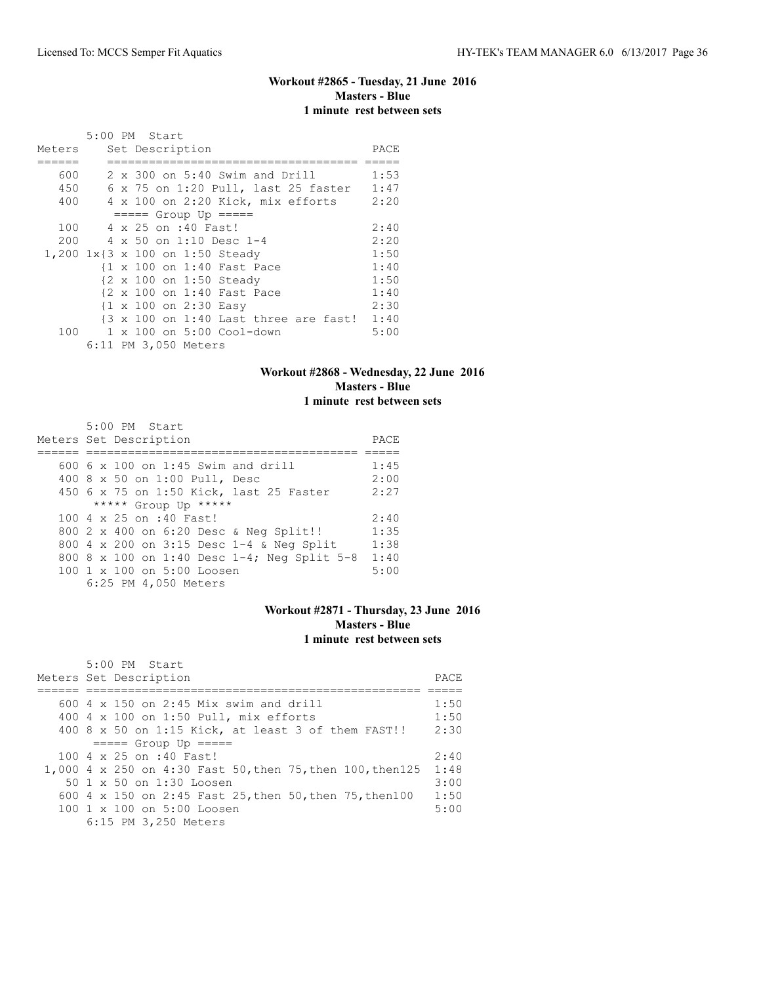## **Workout #2865 - Tuesday, 21 June 2016 Masters - Blue 1 minute rest between sets**

|        |  | 5:00 PM Start                   |                                                                  |      |
|--------|--|---------------------------------|------------------------------------------------------------------|------|
| Meters |  | Set Description                 |                                                                  | PACE |
|        |  |                                 |                                                                  |      |
| 600    |  |                                 | $2 \times 300$ on 5:40 Swim and Drill                            | 1:53 |
| 450    |  |                                 | 6 x 75 on 1:20 Pull, last 25 faster                              | 1:47 |
| 400    |  |                                 | 4 x 100 on 2:20 Kick, mix efforts                                | 2:20 |
|        |  | $== == $ Group Up $== == $      |                                                                  |      |
| 100    |  | 4 x 25 on :40 Fast!             |                                                                  | 2:40 |
| 200    |  |                                 | 4 x 50 on 1:10 Desc 1-4                                          | 2:20 |
|        |  | 1,200 1x{3 x 100 on 1:50 Steady |                                                                  | 1:50 |
|        |  |                                 | {1 x 100 on 1:40 Fast Pace                                       | 1:40 |
|        |  | {2 x 100 on 1:50 Steady         |                                                                  | 1:50 |
|        |  |                                 | {2 x 100 on 1:40 Fast Pace                                       | 1:40 |
|        |  | {1 x 100 on 2:30 Easy           |                                                                  | 2:30 |
|        |  |                                 | $\{3 \times 100 \text{ on } 1:40 \text{ Last three are fast!}\}$ | 1:40 |
| 100    |  |                                 | 1 x 100 on 5:00 Cool-down                                        | 5:00 |
|        |  | 6:11 PM 3,050 Meters            |                                                                  |      |

#### **Workout #2868 - Wednesday, 22 June 2016 Masters - Blue 1 minute rest between sets**

| 5:00 PM Start                               |      |
|---------------------------------------------|------|
| Meters Set Description                      | PACE |
|                                             |      |
| 600 $6 \times 100$ on 1:45 Swim and drill   | 1:45 |
| 400 8 x 50 on 1:00 Pull, Desc               | 2:00 |
| 450 6 x 75 on 1:50 Kick, last 25 Faster     | 2:27 |
| ***** Group Up *****                        |      |
| 100 4 x 25 on :40 Fast!                     | 2:40 |
| 800 2 x 400 on 6:20 Desc & Neg Split!!      | 1:35 |
| 800 4 x 200 on 3:15 Desc 1-4 & Neq Split    | 1:38 |
| 800 8 x 100 on 1:40 Desc 1-4; Neg Split 5-8 | 1:40 |
| 100 1 x 100 on 5:00 Loosen                  | 5:00 |
| 6:25 PM 4,050 Meters                        |      |

#### **Workout #2871 - Thursday, 23 June 2016 Masters - Blue 1 minute rest between sets**

| $5:00$ PM Start<br>Meters Set Description                  | PACE |
|------------------------------------------------------------|------|
| 600 $4 \times 150$ on 2:45 Mix swim and drill              | 1:50 |
| 400 4 x 100 on 1:50 Pull, mix efforts                      | 1:50 |
|                                                            |      |
| 400 8 x 50 on 1:15 Kick, at least 3 of them FAST!!         | 2:30 |
| $== == $ Group Up $== == $                                 |      |
| $100.4 \times 25$ on :40 Fast!                             | 2:40 |
| 1,000 4 x 250 on 4:30 Fast 50, then 75, then 100, then 125 | 1:48 |
| 50 1 x 50 on 1:30 Loosen                                   | 3:00 |
| 600 4 x 150 on 2:45 Fast 25, then 50, then 75, then 100    | 1:50 |
| $100 \text{ 1 x } 100 \text{ on } 5:00 \text{ Loosen}$     | 5:00 |
| 6:15 PM 3,250 Meters                                       |      |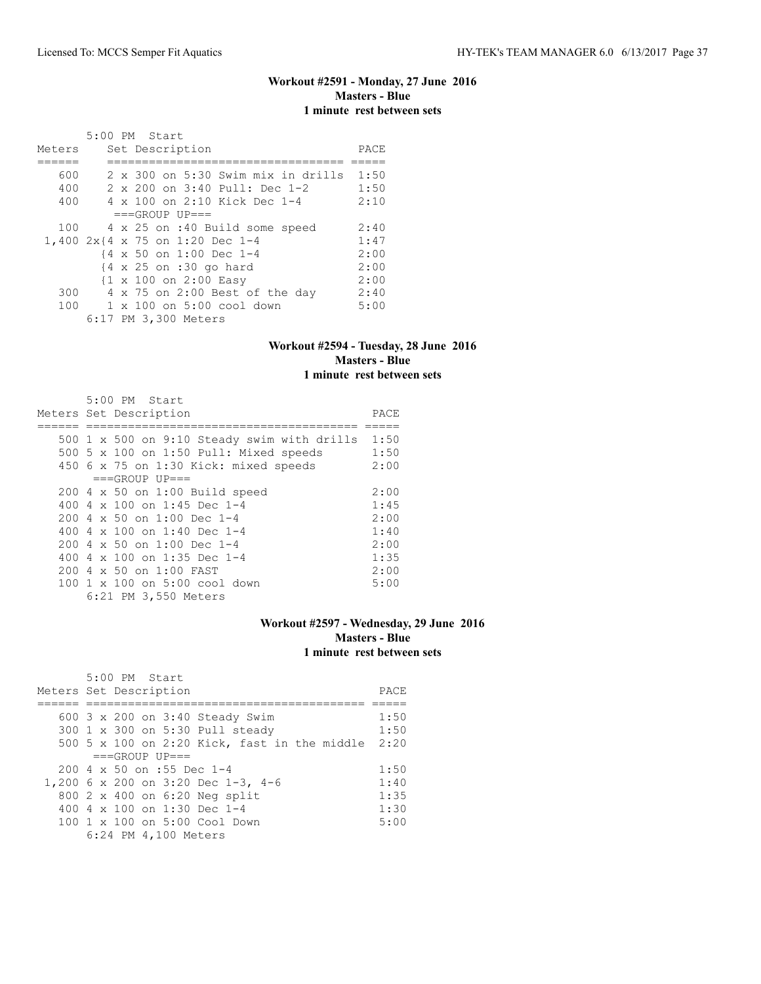# **Workout #2591 - Monday, 27 June 2016 Masters - Blue 1 minute rest between sets**

|        |  | 5:00 PM Start |                                                    |                                |                                    |      |
|--------|--|---------------|----------------------------------------------------|--------------------------------|------------------------------------|------|
| Meters |  |               | Set Description                                    |                                |                                    | PACE |
|        |  |               |                                                    |                                |                                    |      |
| 600    |  |               |                                                    |                                | 2 x 300 on 5:30 Swim mix in drills | 1:50 |
| 400    |  |               |                                                    | 2 x 200 on 3:40 Pull: Dec 1-2  |                                    | 1:50 |
| 400    |  |               |                                                    | 4 x 100 on 2:10 Kick Dec 1-4   |                                    | 2:10 |
|        |  |               | $===GROUP UP = =$                                  |                                |                                    |      |
| 100    |  |               |                                                    | 4 x 25 on :40 Build some speed |                                    | 2:40 |
|        |  |               | 1,400 2x{4 x 75 on 1:20 Dec 1-4                    |                                |                                    | 1:47 |
|        |  |               | {4 x 50 on 1:00 Dec 1-4                            |                                |                                    | 2:00 |
|        |  |               | $\{4 \times 25 \text{ on } : 30 \text{ go hard}\}$ |                                |                                    | 2:00 |
|        |  |               | {1 x 100 on 2:00 Easy                              |                                |                                    | 2:00 |
| 300    |  |               |                                                    | 4 x 75 on 2:00 Best of the day |                                    | 2:40 |
| 100    |  |               |                                                    | 1 x 100 on 5:00 cool down      |                                    | 5:00 |
|        |  |               | 6:17 PM 3,300 Meters                               |                                |                                    |      |

### **Workout #2594 - Tuesday, 28 June 2016 Masters - Blue 1 minute rest between sets**

| $5:00$ PM Start                             |      |
|---------------------------------------------|------|
| Meters Set Description                      | PACE |
|                                             |      |
| 500 1 x 500 on 9:10 Steady swim with drills | 1:50 |
| 500 5 x 100 on 1:50 Pull: Mixed speeds      | 1:50 |
| 450 6 x 75 on 1:30 Kick: mixed speeds       | 2:00 |
| $===GROUP UP=-$                             |      |
| 200 4 x 50 on 1:00 Build speed              | 2:00 |
| 400 4 $\times$ 100 on 1:45 Dec 1-4          | 1:45 |
| 200 4 x 50 on 1:00 Dec 1-4                  | 2:00 |
| 400 4 $\times$ 100 on 1:40 Dec 1-4          | 1:40 |
| $2004 \times 50$ on 1:00 Dec 1-4            | 2:00 |
| 400 4 x 100 on 1:35 Dec 1-4                 | 1:35 |
| 200 4 x 50 on 1:00 FAST                     | 2:00 |
| 100 1 x 100 on 5:00 cool down               | 5:00 |
| 6:21 PM 3,550 Meters                        |      |

### **Workout #2597 - Wednesday, 29 June 2016 Masters - Blue 1 minute rest between sets**

| 5:00 PM Start                                     |      |
|---------------------------------------------------|------|
| Meters Set Description                            | PACE |
|                                                   |      |
| 600 $3 \times 200$ on $3:40$ Steady Swim          | 1:50 |
| 300 1 x 300 on 5:30 Pull steady                   | 1:50 |
| 500 5 x 100 on 2:20 Kick, fast in the middle 2:20 |      |
| $===GROUP UP==$                                   |      |
| 200 4 x 50 on :55 Dec 1-4                         | 1:50 |
| 1,200 6 x 200 on 3:20 Dec 1-3, 4-6                | 1:40 |
| 800 2 x 400 on 6:20 Neg split                     | 1:35 |
| 400 4 x 100 on 1:30 Dec 1-4                       | 1:30 |
| $100 \t 1 \t x \t 100$ on 5:00 Cool Down          | 5:00 |
| 6:24 PM 4,100 Meters                              |      |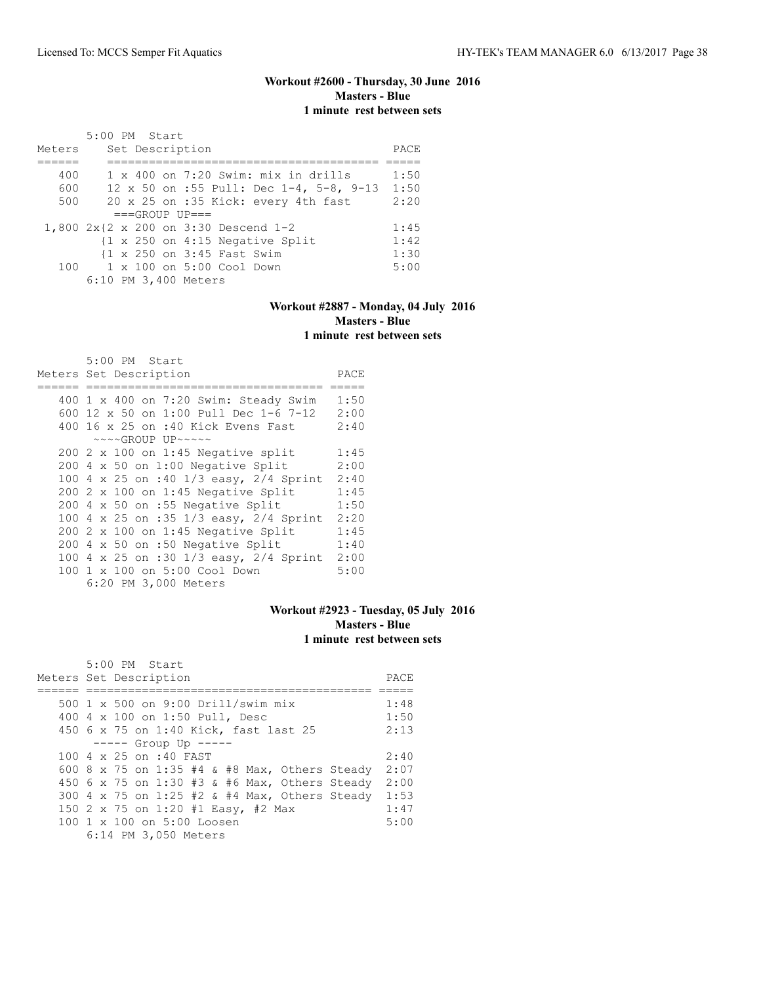### **Workout #2600 - Thursday, 30 June 2016 Masters - Blue 1 minute rest between sets**

|        | 5:00 PM Start                                              |      |
|--------|------------------------------------------------------------|------|
| Meters | Set Description                                            | PACE |
|        |                                                            |      |
| 400    | $1 \times 400$ on 7:20 Swim: mix in drills                 | 1:50 |
| 600    | 12 x 50 on :55 Pull: Dec 1-4, 5-8, 9-13                    | 1:50 |
| 500    | 20 x 25 on :35 Kick: every 4th fast                        | 2:20 |
|        | $===GROUP UP = =$                                          |      |
|        | 1,800 2x{2 x 200 on 3:30 Descend 1-2                       | 1:45 |
|        | $\{1 \times 250 \text{ on } 4:15 \text{ Negative Split}\}$ | 1:42 |
|        | {1 x 250 on 3:45 Fast Swim                                 | 1:30 |
|        | 100 1 x 100 on 5:00 Cool Down                              | 5:00 |
|        | 6:10 PM 3,400 Meters                                       |      |

### **Workout #2887 - Monday, 04 July 2016 Masters - Blue 1 minute rest between sets**

| 5:00 PM Start                              |      |
|--------------------------------------------|------|
| Meters Set Description                     | PACE |
|                                            |      |
| 400 1 x 400 on 7:20 Swim: Steady Swim      | 1:50 |
| 600 12 x 50 on 1:00 Pull Dec 1-6 7-12      | 2:00 |
| 400 16 x 25 on :40 Kick Evens Fast         | 2:40 |
| $\sim\sim\sim GROUP$ UP $\sim\sim\sim\sim$ |      |
| 200 2 x 100 on 1:45 Negative split         | 1:45 |
| 200 4 x 50 on 1:00 Negative Split          | 2:00 |
| 100 4 x 25 on :40 1/3 easy, 2/4 Sprint     | 2:40 |
| $200$ 2 x 100 on 1:45 Negative Split       | 1:45 |
| 200 4 x 50 on :55 Negative Split           | 1:50 |
| 100 4 x 25 on :35 1/3 easy, 2/4 Sprint     | 2:20 |
| $200$ 2 x 100 on 1:45 Negative Split       | 1:45 |
| 200 4 x 50 on :50 Negative Split           | 1:40 |
| 100 4 x 25 on :30 1/3 easy, 2/4 Sprint     | 2:00 |
| 100 1 x 100 on 5:00 Cool Down              | 5:00 |
| 6:20 PM 3,000 Meters                       |      |

# **Workout #2923 - Tuesday, 05 July 2016 Masters - Blue 1 minute rest between sets**

| $5:00$ PM Start                               |      |
|-----------------------------------------------|------|
| Meters Set Description                        | PACE |
|                                               |      |
| 500 1 x 500 on 9:00 Drill/swim mix            | 1:48 |
| 400 4 x 100 on 1:50 Pull, Desc                | 1:50 |
| 450 6 x 75 on 1:40 Kick, fast last 25         | 2:13 |
| $--- $ Group Up $---$                         |      |
| 100 4 x 25 on :40 FAST                        | 2:40 |
| 600 8 x 75 on 1:35 #4 & #8 Max, Others Steady | 2:07 |
| 450 6 x 75 on 1:30 #3 & #6 Max, Others Steady | 2:00 |
| 300 4 x 75 on 1:25 #2 & #4 Max, Others Steady | 1:53 |
| 150 2 x 75 on 1:20 #1 Easy, #2 Max            | 1:47 |
| 100 1 x 100 on 5:00 Loosen                    | 5:00 |
| 6:14 PM 3,050 Meters                          |      |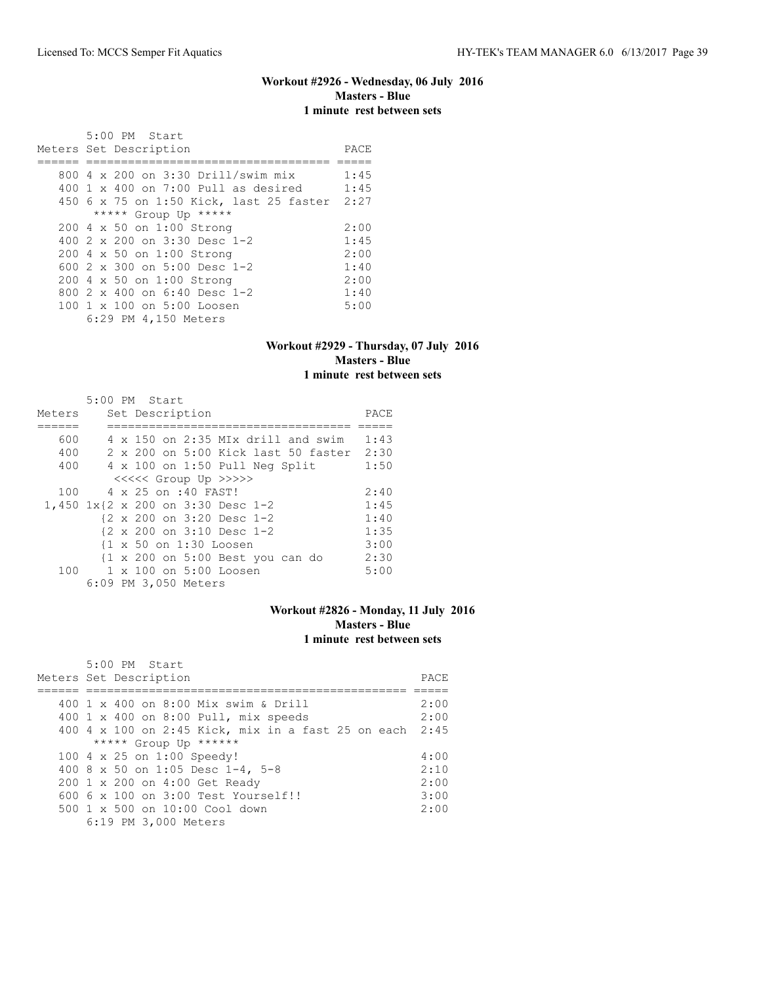# **Workout #2926 - Wednesday, 06 July 2016 Masters - Blue 1 minute rest between sets**

| $5:00$ PM Start<br>Meters Set Description | PACE |
|-------------------------------------------|------|
| 800 4 x 200 on 3:30 Drill/swim mix        | 1:45 |
| $400$ 1 x $400$ on 7:00 Pull as desired   | 1:45 |
| 450 6 x 75 on 1:50 Kick, last 25 faster   | 2:27 |
| ***** Group Up *****                      |      |
| 200 4 x 50 on 1:00 Strong                 | 2:00 |
| 400 2 x 200 on 3:30 Desc 1-2              | 1:45 |
| 200 4 x 50 on 1:00 Strong                 | 2:00 |
| 600 $2 \times 300$ on $5:00$ Desc 1-2     | 1:40 |
| 200 4 x 50 on 1:00 Strong                 | 2:00 |
| 800 $2 \times 400$ on 6:40 Desc 1-2       | 1:40 |
| 100 1 x 100 on 5:00 Loosen                | 5:00 |
| 6:29 PM 4,150 Meters                      |      |

### **Workout #2929 - Thursday, 07 July 2016 Masters - Blue 1 minute rest between sets**

|        | 5:00 PM Start        |  |                     |                                                       |      |
|--------|----------------------|--|---------------------|-------------------------------------------------------|------|
| Meters |                      |  | Set Description     |                                                       | PACE |
|        |                      |  |                     |                                                       |      |
| 600    |                      |  |                     | 4 x 150 on 2:35 MIx drill and swim                    | 1:43 |
| 400    |                      |  |                     | 2 x 200 on 5:00 Kick last 50 faster                   | 2:30 |
| 400    |                      |  |                     | $4 \times 100$ on 1:50 Pull Neg Split                 | 1:50 |
|        |                      |  |                     | <<<<<< Group Up >>>>>                                 |      |
| 100    |                      |  | 4 x 25 on :40 FAST! |                                                       | 2:40 |
|        |                      |  |                     | 1,450 1x{2 x 200 on 3:30 Desc 1-2                     | 1:45 |
|        |                      |  |                     | {2 x 200 on 3:20 Desc 1-2                             | 1:40 |
|        |                      |  |                     | $\{2 \times 200 \text{ on } 3:10 \text{ Desc } 1-2\}$ | 1:35 |
|        |                      |  |                     | {1 x 50 on 1:30 Loosen                                | 3:00 |
|        |                      |  |                     | {1 x 200 on 5:00 Best you can do                      | 2:30 |
| 100    |                      |  |                     | 1 x 100 on 5:00 Loosen                                | 5:00 |
|        | 6:09 PM 3,050 Meters |  |                     |                                                       |      |

# **Workout #2826 - Monday, 11 July 2016 Masters - Blue 1 minute rest between sets**

| 5:00 PM Start                                           |      |
|---------------------------------------------------------|------|
| Meters Set Description                                  | PACE |
|                                                         |      |
| 400 1 x 400 on 8:00 Mix swim & Drill                    | 2:00 |
| 400 1 x 400 on 8:00 Pull, mix speeds                    | 2:00 |
| 400 4 x 100 on 2:45 Kick, mix in a fast 25 on each 2:45 |      |
| ***** Group Up ******                                   |      |
| 100 4 x 25 on 1:00 Speedy!                              | 4:00 |
| 400 8 x 50 on 1:05 Desc 1-4, 5-8                        | 2:10 |
| 200 1 x 200 on 4:00 Get Ready                           | 2:00 |
| $6006 \times 100$ on $3:00$ Test Yourself!!             | 3:00 |
| $500 \t 1 \t x \t 500$ on $10:00$ Cool down             | 2:00 |
| 6:19 PM 3,000 Meters                                    |      |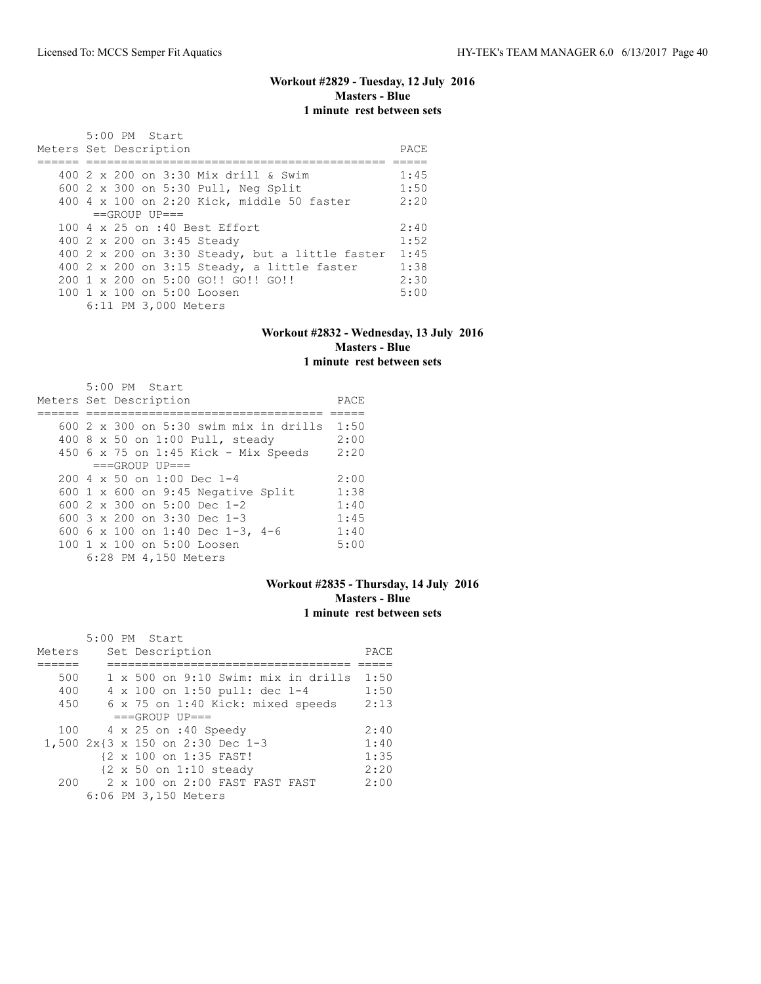# **Workout #2829 - Tuesday, 12 July 2016 Masters - Blue 1 minute rest between sets**

| Meters Set Description |  | 5:00 PM Start   |                      |                                                      | PACE |
|------------------------|--|-----------------|----------------------|------------------------------------------------------|------|
|                        |  |                 |                      |                                                      |      |
|                        |  |                 |                      |                                                      |      |
|                        |  |                 |                      | 400 2 x 200 on 3:30 Mix drill & Swim                 | 1:45 |
|                        |  |                 |                      | 600 2 x 300 on 5:30 Pull, Neg Split                  | 1:50 |
|                        |  |                 |                      | 400 4 x 100 on 2:20 Kick, middle 50 faster           | 2:20 |
|                        |  | $==GROUP UP ==$ |                      |                                                      |      |
|                        |  |                 |                      | 100 4 x 25 on :40 Best Effort                        | 2:40 |
|                        |  |                 |                      | 400 2 x 200 on 3:45 Steady                           | 1:52 |
|                        |  |                 |                      | 400 2 x 200 on 3:30 Steady, but a little faster 1:45 |      |
|                        |  |                 |                      | $400$ 2 x 200 on 3:15 Steady, a little faster        | 1:38 |
|                        |  |                 |                      | 200 1 x 200 on 5:00 GO!! GO!! GO!!                   | 2:30 |
|                        |  |                 |                      | 100 1 x 100 on 5:00 Loosen                           | 5:00 |
|                        |  |                 | 6:11 PM 3,000 Meters |                                                      |      |

### **Workout #2832 - Wednesday, 13 July 2016 Masters - Blue 1 minute rest between sets**

| 5:00 PM Start                                 |      |
|-----------------------------------------------|------|
| Meters Set Description                        | PACE |
|                                               |      |
| 600 $2 \times 300$ on 5:30 swim mix in drills | 1:50 |
| 400 8 x 50 on 1:00 Pull, steady               | 2:00 |
| 450 6 x 75 on 1:45 Kick - Mix Speeds          | 2:20 |
| $===GROUP UP = =$                             |      |
| $200.4 \times 50$ on 1:00 Dec 1-4             | 2:00 |
| 600 $1 \times 600$ on 9:45 Negative Split     | 1:38 |
| 600 $2 \times 300$ on 5:00 Dec 1-2            | 1:40 |
| 600 $3 \times 200$ on $3:30$ Dec 1-3          | 1:45 |
| 600 6 x 100 on 1:40 Dec 1-3, 4-6              | 1:40 |
| 100 1 x 100 on 5:00 Loosen                    | 5:00 |
| 6:28 PM 4,150 Meters                          |      |

### **Workout #2835 - Thursday, 14 July 2016 Masters - Blue 1 minute rest between sets**

|        |  | 5:00 PM Start                                     |      |
|--------|--|---------------------------------------------------|------|
| Meters |  | Set Description                                   | PACE |
|        |  |                                                   |      |
| 500    |  | 1 x 500 on 9:10 Swim: mix in drills               | 1:50 |
| 400    |  | 4 x 100 on 1:50 pull: dec 1-4                     | 1:50 |
| 450    |  | 6 x 75 on 1:40 Kick: mixed speeds                 | 2:13 |
|        |  | $===GROUP UP = =$                                 |      |
| 100    |  | 4 x 25 on :40 Speedy                              | 2:40 |
|        |  | 1,500 2x{3 x 150 on 2:30 Dec 1-3                  | 1:40 |
|        |  | {2 x 100 on 1:35 FAST!                            | 1:35 |
|        |  | $\{2 \times 50 \text{ on } 1:10 \text{ steady}\}$ | 2:20 |
| 200    |  | $2 \times 100$ on $2:00$ FAST FAST FAST           | 2:00 |
|        |  | 6:06 PM 3,150 Meters                              |      |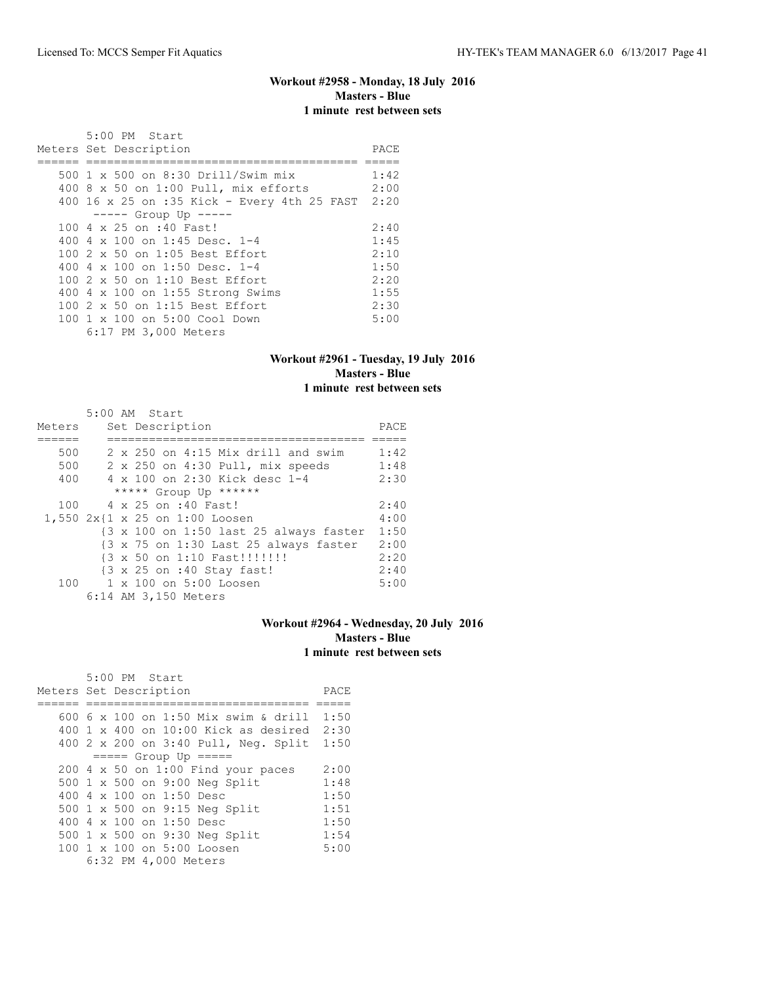# **Workout #2958 - Monday, 18 July 2016 Masters - Blue 1 minute rest between sets**

| 5:00 PM Start                               |      |
|---------------------------------------------|------|
| Meters Set Description                      | PACE |
|                                             |      |
| 500 1 x 500 on 8:30 Drill/Swim mix          | 1:42 |
| 400 8 x 50 on 1:00 Pull, mix efforts        | 2:00 |
| 400 16 x 25 on :35 Kick - Every 4th 25 FAST | 2:20 |
| $--- $ Group Up $---$                       |      |
| 100 4 x 25 on :40 Fast!                     | 2:40 |
| 400 4 x 100 on 1:45 Desc. 1-4               | 1:45 |
| 100 2 x 50 on 1:05 Best Effort              | 2:10 |
| 400 4 x 100 on 1:50 Desc. 1-4               | 1:50 |
| 100 2 x 50 on 1:10 Best Effort              | 2:20 |
| 400 4 x 100 on 1:55 Strong Swims            | 1:55 |
| 100 2 x 50 on 1:15 Best Effort              | 2:30 |
| 100 1 x 100 on 5:00 Cool Down               | 5:00 |
| 6:17 PM 3,000 Meters                        |      |

## **Workout #2961 - Tuesday, 19 July 2016 Masters - Blue 1 minute rest between sets**

|        | 5:00 AM Start                                                             |      |
|--------|---------------------------------------------------------------------------|------|
| Meters | Set Description                                                           | PACE |
|        |                                                                           |      |
| 500    | $2 \times 250$ on $4:15$ Mix drill and swim                               | 1:42 |
| 500    | 2 x 250 on 4:30 Pull, mix speeds                                          | 1:48 |
| 400    | 4 x 100 on 2:30 Kick desc 1-4                                             | 2:30 |
|        | ***** Group Up ******                                                     |      |
| 100    | 4 x 25 on :40 Fast!                                                       | 2:40 |
|        | 1,550 2x{1 x 25 on 1:00 Loosen                                            | 4:00 |
|        | {3 x 100 on 1:50 last 25 always faster                                    | 1:50 |
|        | $\{3 \times 75 \text{ on } 1:30 \text{ Last } 25 \text{ always faster}\}$ | 2:00 |
|        | {3 x 50 on 1:10 Fast!!!!!!!!                                              | 2:20 |
|        | {3 x 25 on :40 Stay fast!                                                 | 2:40 |
| 100    | 1 x 100 on 5:00 Loosen                                                    | 5:00 |
|        | 6:14 AM 3,150 Meters                                                      |      |

### **Workout #2964 - Wednesday, 20 July 2016 Masters - Blue 1 minute rest between sets**

| 5:00 PM Start                              |      |
|--------------------------------------------|------|
| Meters Set Description                     | PACE |
|                                            |      |
| 600 6 x 100 on 1:50 Mix swim & drill       | 1:50 |
| $400$ 1 x $400$ on $10:00$ Kick as desired | 2:30 |
| 400 2 x 200 on 3:40 Pull, Neg. Split       | 1:50 |
| $== == $ Group Up $== == $                 |      |
| $200$ 4 x 50 on 1:00 Find your paces       | 2:00 |
| 500 1 x 500 on 9:00 Neg Split              | 1:48 |
| 400 4 x 100 on 1:50 Desc                   | 1:50 |
| 500 1 x 500 on 9:15 Neg Split              | 1:51 |
| 400 4 x 100 on 1:50 Desc                   | 1:50 |
| 500 1 x 500 on 9:30 Neg Split              | 1:54 |
| 100 1 x 100 on 5:00 Loosen                 | 5:00 |
| 6:32 PM 4,000 Meters                       |      |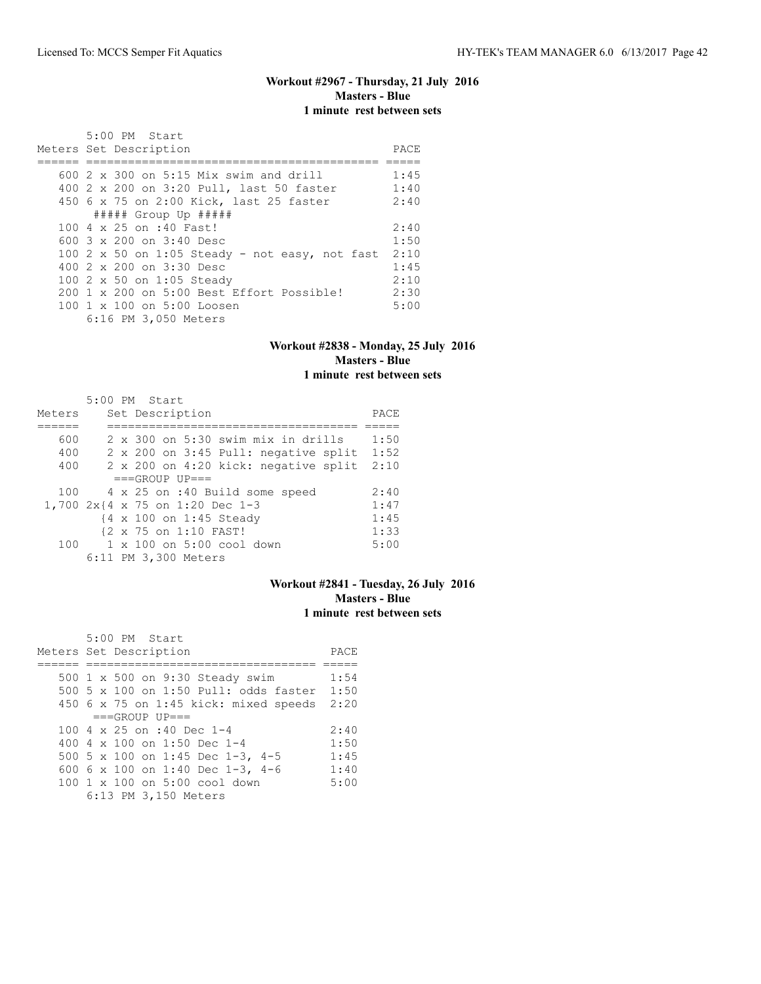### **Workout #2967 - Thursday, 21 July 2016 Masters - Blue 1 minute rest between sets**

| 5:00 PM Start                                          |      |
|--------------------------------------------------------|------|
| Meters Set Description                                 | PACE |
|                                                        |      |
| 600 $2 \times 300$ on 5:15 Mix swim and drill          | 1:45 |
| 400 2 x 200 on 3:20 Pull, last 50 faster               | 1:40 |
| 450 6 x 75 on 2:00 Kick, last 25 faster                | 2:40 |
| ##### Group Up #####                                   |      |
| 100 4 x 25 on :40 Fast!                                | 2:40 |
| 600 3 x 200 on 3:40 Desc                               | 1:50 |
| 100 2 x 50 on 1:05 Steady - not easy, not fast         | 2:10 |
| 400 2 x 200 on 3:30 Desc                               | 1:45 |
| 100 2 x 50 on 1:05 Steady                              | 2:10 |
| $200 \text{ 1 x } 200$ on $5:00$ Best Effort Possible! | 2:30 |
| $100 \text{ 1 x } 100 \text{ on } 5:00 \text{ Loosen}$ | 5:00 |
| 6:16 PM 3,050 Meters                                   |      |

### **Workout #2838 - Monday, 25 July 2016 Masters - Blue 1 minute rest between sets**

|        |  | 5:00 PM Start                        |      |
|--------|--|--------------------------------------|------|
| Meters |  | Set Description                      | PACE |
|        |  |                                      |      |
| 600    |  | 2 x 300 on 5:30 swim mix in drills   | 1:50 |
| 400    |  | 2 x 200 on 3:45 Pull: negative split | 1:52 |
| 400    |  | 2 x 200 on 4:20 kick: negative split | 2:10 |
|        |  | $===GROUP UP = =$                    |      |
| 100    |  | 4 x 25 on :40 Build some speed       | 2:40 |
|        |  | 1,700 2x{4 x 75 on 1:20 Dec 1-3      | 1:47 |
|        |  | {4 x 100 on 1:45 Steady              | 1:45 |
|        |  | {2 x 75 on 1:10 FAST!                | 1:33 |
| 100    |  | $1 \times 100$ on $5:00$ cool down   | 5:00 |
|        |  | 6:11 PM 3,300 Meters                 |      |

# **Workout #2841 - Tuesday, 26 July 2016 Masters - Blue 1 minute rest between sets**

| 5:00 PM Start                         |      |
|---------------------------------------|------|
| Meters Set Description                | PACE |
|                                       |      |
| 500 1 x 500 on 9:30 Steady swim       | 1:54 |
| 500 5 x 100 on 1:50 Pull: odds faster | 1:50 |
| 450 6 x 75 on 1:45 kick: mixed speeds | 2:20 |
| $===GROUP UP = =$                     |      |
| 100 4 $\times$ 25 on :40 Dec 1-4      | 2:40 |
| 400 4 $\times$ 100 on 1:50 Dec 1-4    | 1:50 |
| 500 5 x 100 on 1:45 Dec 1-3, 4-5      | 1:45 |
| 600 6 x 100 on 1:40 Dec 1-3, 4-6      | 1:40 |
| 100 1 x 100 on 5:00 cool down         | 5:00 |
| 6:13 PM 3,150 Meters                  |      |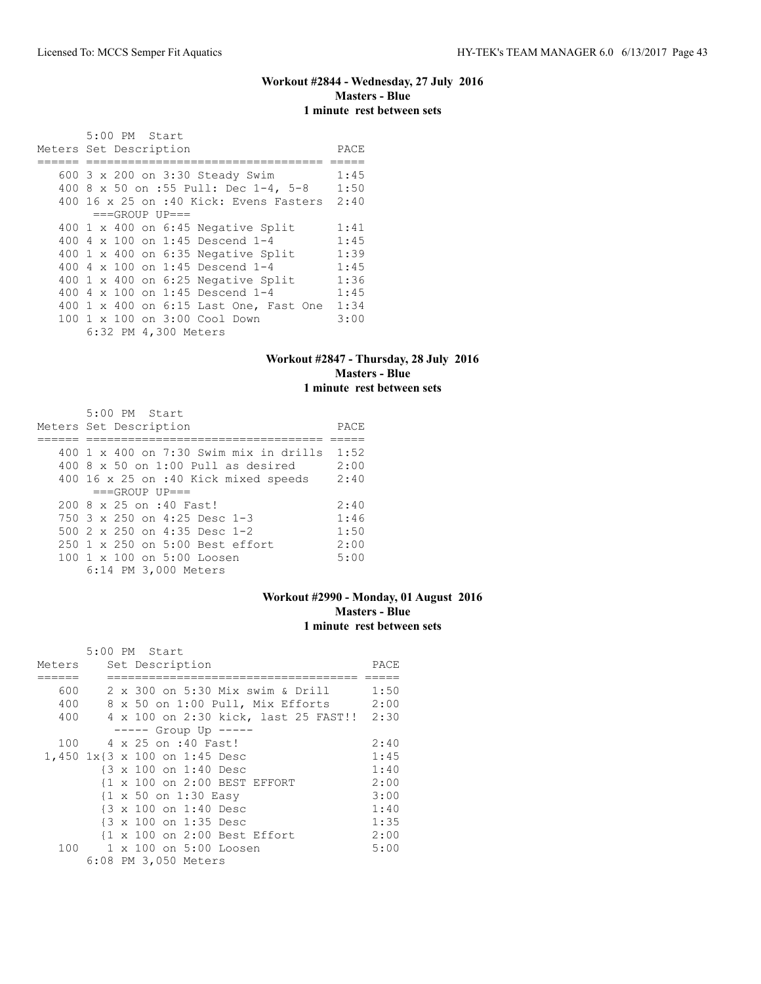### **Workout #2844 - Wednesday, 27 July 2016 Masters - Blue 1 minute rest between sets**

 5:00 PM Start Meters Set Description **PACE** ====== ================================== ===== 600 3 x 200 on 3:30 Steady Swim 1:45 400 8 x 50 on :55 Pull: Dec 1-4, 5-8 1:50 400 16 x 25 on :40 Kick: Evens Fasters 2:40  $===GROUP UP==$ 400 1 x 400 on 6:45 Negative Split 1:41<br>400 4 x 100 on 1:45 Descend 1-4 1:45 400 4 x 100 on 1:45 Descend 1-4 1:45<br>400 1 x 400 on 6:35 Negative Split 1:39<br>400 4 x 100 on 1:45 Descend 1-4 1:45 400 1 x 400 on 6:35 Negative Split 400 4 x 100 on 1:45 Descend 1-4 400 1 x 400 on 6:25 Negative Split 1:36 400 4 x 100 on 1:45 Descend 1-4 1:45 400 1 x 400 on 6:15 Last One, Fast One 1:34 100 1 x 100 on 3:00 Cool Down 3:00 6:32 PM 4,300 Meters

#### **Workout #2847 - Thursday, 28 July 2016 Masters - Blue 1 minute rest between sets**

| 5:00 PM Start<br>Meters Set Description                            | PACE |
|--------------------------------------------------------------------|------|
| $400 \text{ 1 x } 400 \text{ on } 7:30 \text{ Swim mix in drifts}$ | 1:52 |
| $400.8 \times 50$ on 1:00 Pull as desired                          | 2:00 |
| 400 16 x 25 on :40 Kick mixed speeds                               | 2:40 |
| $===GROUP UP = =$                                                  |      |
| $200.8 \times 25$ on :40 Fast!                                     | 2:40 |
| 750 3 x 250 on 4:25 Desc 1-3                                       | 1:46 |
| 500 $2 \times 250$ on 4:35 Desc 1-2                                | 1:50 |
| 250 1 x 250 on 5:00 Best effort                                    | 2:00 |
| 100 1 x 100 on 5:00 Loosen                                         | 5:00 |
| 6:14 PM 3,000 Meters                                               |      |

### **Workout #2990 - Monday, 01 August 2016 Masters - Blue 1 minute rest between sets**

|        |  | 5:00 PM Start                             |      |
|--------|--|-------------------------------------------|------|
| Meters |  | Set Description                           | PACE |
|        |  |                                           |      |
| 600    |  | 2 x 300 on 5:30 Mix swim & Drill          | 1:50 |
| 400    |  | 8 x 50 on 1:00 Pull, Mix Efforts 2:00     |      |
| 400    |  | 4 x 100 on 2:30 kick, last 25 FAST!! 2:30 |      |
|        |  | $--- $ Group Up $---$                     |      |
| 100    |  | 4 x 25 on :40 Fast!                       | 2:40 |
|        |  | 1,450 1x{3 x 100 on 1:45 Desc             | 1:45 |
|        |  | {3 x 100 on 1:40 Desc                     | 1:40 |
|        |  | {1 x 100 on 2:00 BEST EFFORT              | 2:00 |
|        |  | {1 x 50 on 1:30 Easy                      | 3:00 |
|        |  | {3 x 100 on 1:40 Desc                     | 1:40 |
|        |  | {3 x 100 on 1:35 Desc                     | 1:35 |
|        |  | {1 x 100 on 2:00 Best Effort              | 2:00 |
| 100    |  | $1 \times 100$ on $5:00$ Loosen           | 5:00 |
|        |  | 6:08 PM 3,050 Meters                      |      |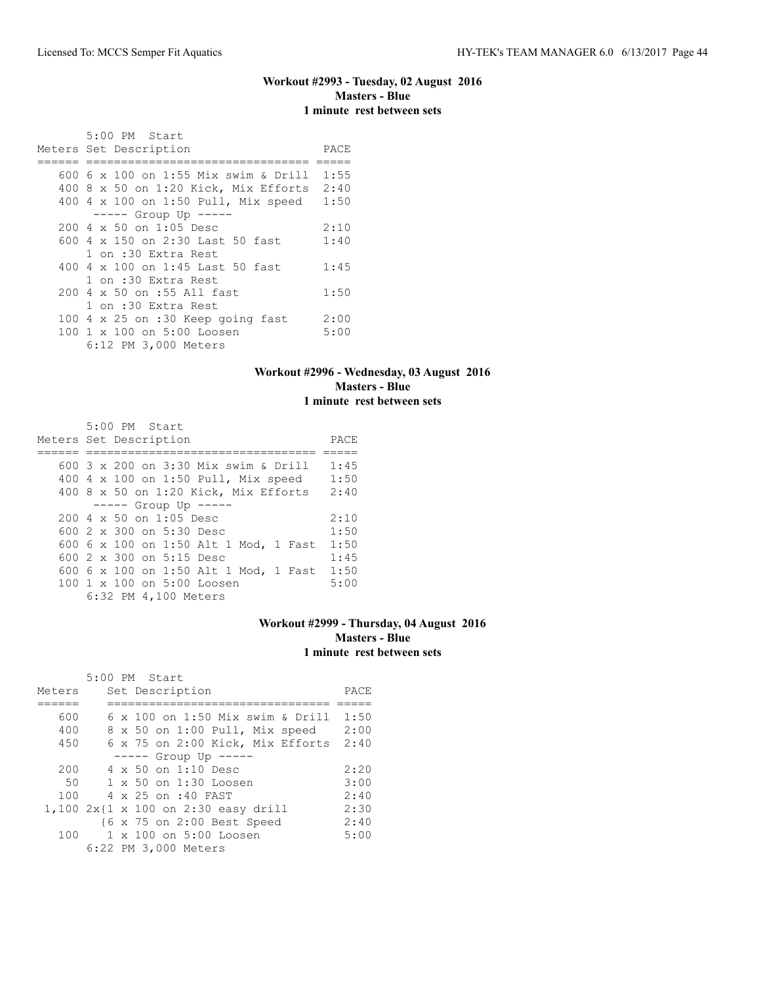### **Workout #2993 - Tuesday, 02 August 2016 Masters - Blue 1 minute rest between sets**

| 5:00 PM Start                             |      |
|-------------------------------------------|------|
| Meters Set Description                    | PACE |
| 600 6 x 100 on 1:55 Mix swim & Drill      | 1:55 |
| 400 8 x 50 on 1:20 Kick, Mix Efforts 2:40 |      |
| 400 4 x 100 on 1:50 Pull, Mix speed       | 1:50 |
| ----- Group Up -----                      |      |
| $200 \, 4 \times 50$ on $1:05$ Desc       | 2:10 |
| 600 4 x 150 on 2:30 Last 50 fast          | 1:40 |
| 1 on :30 Extra Rest                       |      |
| 400 4 $\times$ 100 on 1:45 Last 50 fast   | 1:45 |
| 1 on :30 Extra Rest                       |      |
| 200 4 x 50 on :55 All fast                | 1:50 |
| 1 on :30 Extra Rest                       |      |
| 100 4 x 25 on :30 Keep going fast         | 2:00 |
| 100 1 x 100 on 5:00 Loosen                | 5:00 |
| 6:12 PM 3,000 Meters                      |      |

### **Workout #2996 - Wednesday, 03 August 2016 Masters - Blue 1 minute rest between sets**

| 5:00 PM Start                                    |      |
|--------------------------------------------------|------|
| Meters Set Description                           | PACE |
|                                                  |      |
| 600 3 x 200 on 3:30 Mix swim & Drill             | 1:45 |
| 400 4 x 100 on 1:50 Pull, Mix speed              | 1:50 |
| 400 8 x 50 on 1:20 Kick, Mix Efforts             | 2:40 |
| $--- -$ Group Up $--- -$                         |      |
| $200 \text{ } 4 \text{ } \times 50$ on 1:05 Desc | 2:10 |
| 600 $2 \times 300$ on $5:30$ Desc                | 1:50 |
| 600 6 x 100 on 1:50 Alt 1 Mod, 1 Fast            | 1:50 |
| 600 2 x 300 on 5:15 Desc                         | 1:45 |
| 600 6 x 100 on 1:50 Alt 1 Mod, 1 Fast            | 1:50 |
| 100 1 x 100 on 5:00 Loosen                       | 5:00 |
| 6:32 PM 4,100 Meters                             |      |

## **Workout #2999 - Thursday, 04 August 2016 Masters - Blue 1 minute rest between sets**

|        |  | 5:00 PM Start                       |      |
|--------|--|-------------------------------------|------|
| Meters |  | Set Description                     | PACE |
|        |  |                                     |      |
| 600    |  | 6 x 100 on 1:50 Mix swim & Drill    | 1:50 |
| 400    |  | 8 x 50 on 1:00 Pull, Mix speed      | 2:00 |
| 450    |  | 6 x 75 on 2:00 Kick, Mix Efforts    | 2:40 |
|        |  | $--- $ Group Up $---$               |      |
| 200    |  | $4 \times 50$ on 1:10 Desc          | 2:20 |
| 50     |  | $1 \times 50$ on $1:30$ Loosen      | 3:00 |
| 100    |  | 4 x 25 on :40 FAST                  | 2:40 |
|        |  | 1,100 2x{1 x 100 on 2:30 easy drill | 2:30 |
|        |  | {6 x 75 on 2:00 Best Speed          | 2:40 |
| 100    |  | 1 x 100 on 5:00 Loosen              | 5:00 |
|        |  | 6:22 PM 3,000 Meters                |      |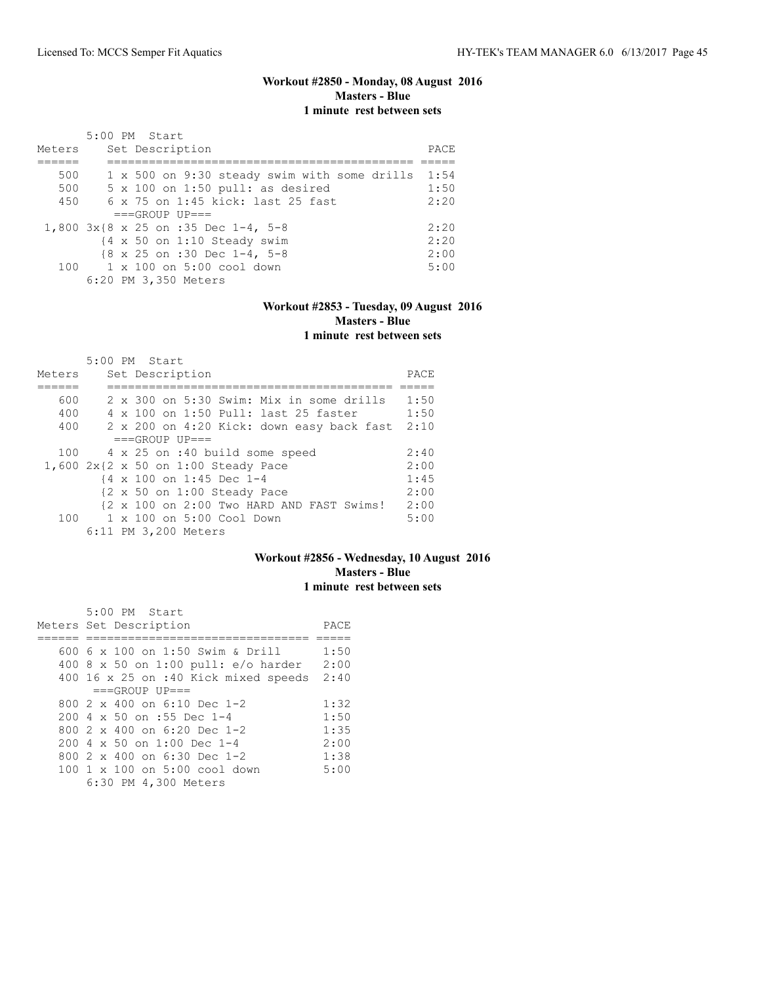## **Workout #2850 - Monday, 08 August 2016 Masters - Blue 1 minute rest between sets**

|        | 5:00 PM Start                                        |      |
|--------|------------------------------------------------------|------|
| Meters | Set Description                                      | PACE |
|        |                                                      |      |
| 500    | 1 x 500 on 9:30 steady swim with some drills         | 1:54 |
| 500    | $5 \times 100$ on 1:50 pull: as desired              | 1:50 |
| 450    | $6 \times 75$ on 1:45 kick: last 25 fast             | 2:20 |
|        | $===GROUP UP==$                                      |      |
|        | 1,800 3x{8 x 25 on :35 Dec 1-4, 5-8                  | 2:20 |
|        | $\{4 \times 50 \text{ on } 1:10 \text{ Steady swim}$ | 2:20 |
|        | {8 x 25 on :30 Dec 1-4, 5-8                          | 2:00 |
|        | 100 1 x 100 on 5:00 cool down                        | 5:00 |
|        | 6:20 PM 3,350 Meters                                 |      |

### **Workout #2853 - Tuesday, 09 August 2016 Masters - Blue 1 minute rest between sets**

|        | $5:00$ PM Start |  |                      |                                                                |                                |                                           |      |
|--------|-----------------|--|----------------------|----------------------------------------------------------------|--------------------------------|-------------------------------------------|------|
| Meters |                 |  | Set Description      |                                                                |                                |                                           | PACE |
|        |                 |  |                      |                                                                |                                |                                           |      |
| 600    |                 |  |                      |                                                                |                                | 2 x 300 on 5:30 Swim: Mix in some drills  | 1:50 |
| 400    |                 |  |                      |                                                                |                                | 4 x 100 on 1:50 Pull: last 25 faster      | 1:50 |
| 400    |                 |  |                      |                                                                |                                | 2 x 200 on 4:20 Kick: down easy back fast | 2:10 |
|        |                 |  | $===GROUP UP = =$    |                                                                |                                |                                           |      |
| 100    |                 |  |                      |                                                                | 4 x 25 on :40 build some speed |                                           | 2:40 |
|        |                 |  |                      | 1,600 $2x\{2 \times 50 \text{ on } 1:00 \text{ Steady Face}\}$ |                                |                                           | 2:00 |
|        |                 |  |                      | {4 x 100 on 1:45 Dec 1-4                                       |                                |                                           | 1:45 |
|        |                 |  |                      | $\{2 \times 50 \text{ on } 1:00 \text{ Steady Race}\}$         |                                |                                           | 2:00 |
|        |                 |  |                      |                                                                |                                | {2 x 100 on 2:00 Two HARD AND FAST Swims! | 2:00 |
| 100    |                 |  |                      | 1 x 100 on 5:00 Cool Down                                      |                                |                                           | 5:00 |
|        |                 |  | 6:11 PM 3,200 Meters |                                                                |                                |                                           |      |

# **Workout #2856 - Wednesday, 10 August 2016 Masters - Blue 1 minute rest between sets**

| 5:00 PM Start                             |      |
|-------------------------------------------|------|
| Meters Set Description                    | PACE |
|                                           |      |
| 600 6 x 100 on 1:50 Swim & Drill          | 1:50 |
| $400$ 8 x 50 on 1:00 pull: e/o harder     | 2:00 |
| 400 16 x 25 on :40 Kick mixed speeds 2:40 |      |
| $===GROUP UP=-$                           |      |
| 800 $2 \times 400$ on 6:10 Dec 1-2        | 1:32 |
| 200 4 x 50 on :55 Dec 1-4                 | 1:50 |
| 800 $2 \times 400$ on 6:20 Dec 1-2        | 1:35 |
| $200.4 \times 50$ on 1:00 Dec 1-4         | 2:00 |
| 800 $2 \times 400$ on 6:30 Dec 1-2        | 1:38 |
| 100 1 x 100 on 5:00 cool down             | 5:00 |
| 6:30 PM 4,300 Meters                      |      |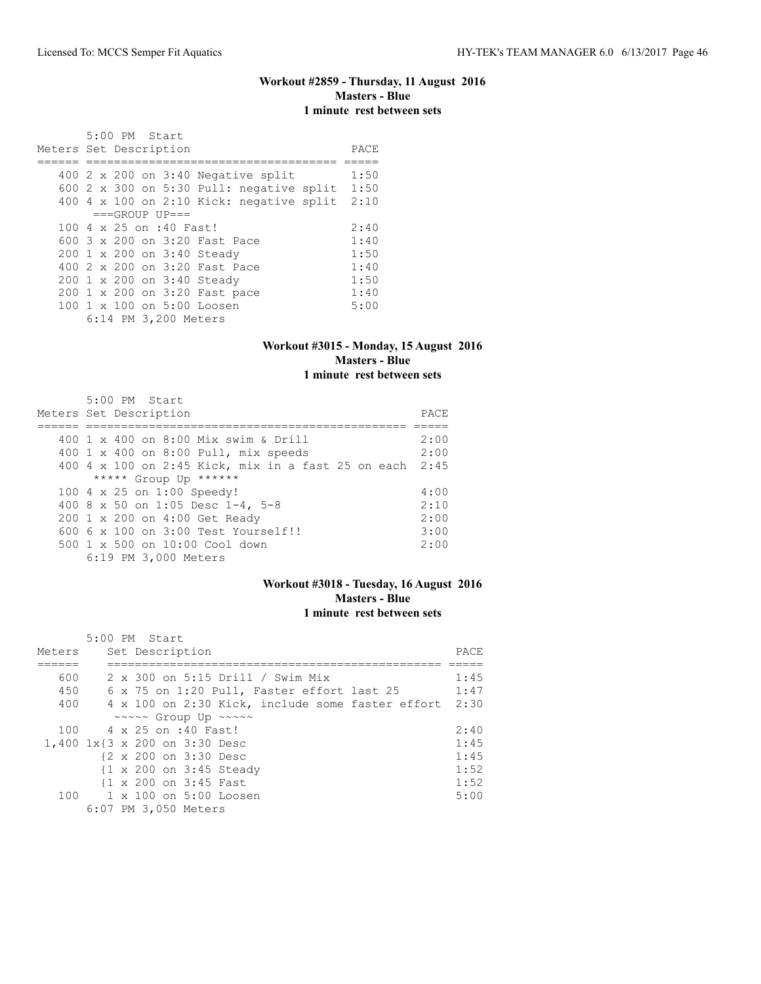# **Workout #2859 - Thursday, 11 August 2016 Masters - Blue 1 minute rest between sets**

| $5:00$ PM Start<br>Meters Set Description     | PACE |
|-----------------------------------------------|------|
|                                               |      |
| 400 $2 \times 200$ on $3:40$ Negative split   | 1:50 |
| 600 2 x 300 on 5:30 Pull: negative split      | 1:50 |
| 400 4 x 100 on 2:10 Kick: negative split 2:10 |      |
| $===GROUP UP=-$                               |      |
| 100 4 x 25 on :40 Fast!                       | 2:40 |
| 600 3 x 200 on 3:20 Fast Pace                 | 1:40 |
| 200 1 x 200 on 3:40 Steady                    | 1:50 |
| 400 2 x 200 on 3:20 Fast Pace                 | 1:40 |
| 200 1 x 200 on 3:40 Steady                    | 1:50 |
| 200 1 x 200 on 3:20 Fast pace                 | 1:40 |
| 100 1 x 100 on 5:00 Loosen                    | 5:00 |
| 6:14 PM 3,200 Meters                          |      |

### **Workout #3015 - Monday, 15 August 2016 Masters - Blue 1 minute rest between sets**

| 5:00 PM Start                                           |      |
|---------------------------------------------------------|------|
| Meters Set Description                                  | PACE |
|                                                         |      |
| 400 1 x 400 on 8:00 Mix swim & Drill                    | 2:00 |
| 400 1 x 400 on 8:00 Pull, mix speeds                    | 2:00 |
| 400 4 x 100 on 2:45 Kick, mix in a fast 25 on each 2:45 |      |
| ***** Group Up ******                                   |      |
| 100 4 x 25 on 1:00 Speedy!                              | 4:00 |
| 400 8 x 50 on 1:05 Desc 1-4, 5-8                        | 2:10 |
| 200 1 x 200 on 4:00 Get Ready                           | 2:00 |
| 600 6 x 100 on 3:00 Test Yourself!!                     | 3:00 |
| 500 1 x 500 on 10:00 Cool down                          | 2:00 |
| 6:19 PM 3,000 Meters                                    |      |

### **Workout #3018 - Tuesday, 16 August 2016 Masters - Blue 1 minute rest between sets**

|        | 5:00 PM Start                                    |      |
|--------|--------------------------------------------------|------|
| Meters | Set Description                                  | PACE |
|        |                                                  |      |
| 600    | 2 x 300 on 5:15 Drill / Swim Mix                 | 1:45 |
| 450    | 6 x 75 on 1:20 Pull, Faster effort last 25       | 1:47 |
| 400    | 4 x 100 on 2:30 Kick, include some faster effort | 2:30 |
|        | ~~~~~ Group Up ~~~~~                             |      |
|        | 100 4 x 25 on :40 Fast!                          | 2:40 |
|        | 1,400 1x{3 x 200 on 3:30 Desc                    | 1:45 |
|        | {2 x 200 on 3:30 Desc                            | 1:45 |
|        | {1 x 200 on 3:45 Steady                          | 1:52 |
|        | {1 x 200 on 3:45 Fast                            | 1:52 |
| 100    | 1 x 100 on 5:00 Loosen                           | 5:00 |
|        | 6:07 PM 3,050 Meters                             |      |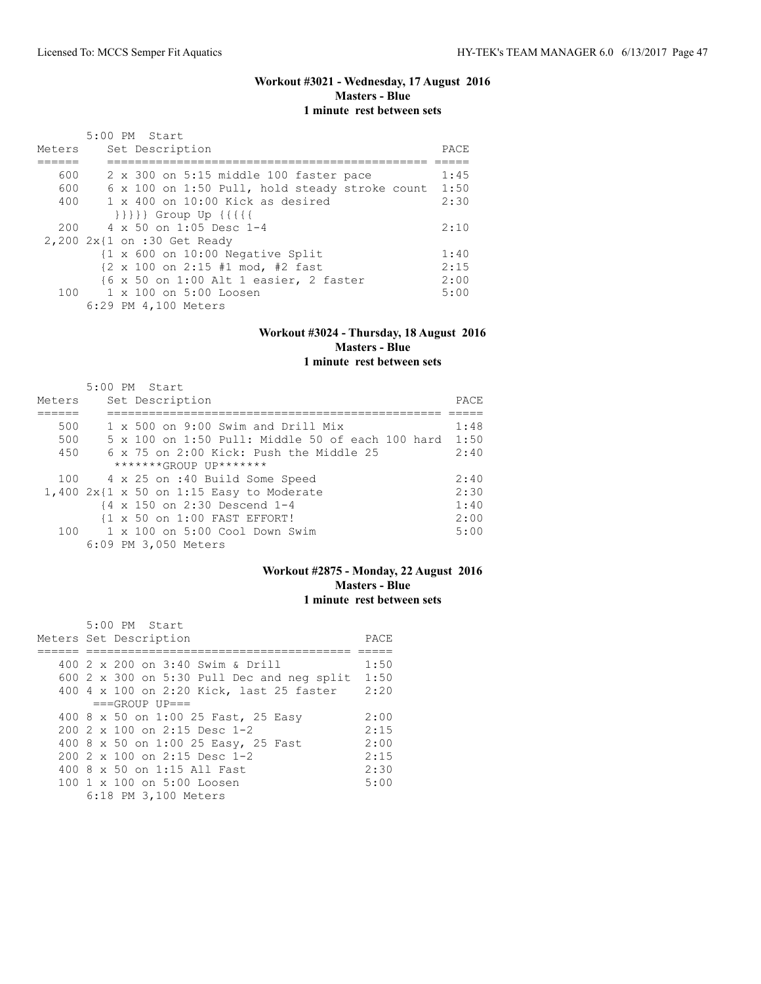# **Workout #3021 - Wednesday, 17 August 2016 Masters - Blue 1 minute rest between sets**

| Meters | $5:00$ PM Start<br>Set Description                                  | PACE |
|--------|---------------------------------------------------------------------|------|
|        |                                                                     |      |
| 600    | 2 x 300 on 5:15 middle 100 faster pace                              | 1:45 |
| 600    | 6 x 100 on 1:50 Pull, hold steady stroke count                      | 1:50 |
| 400    | $1 \times 400$ on $10:00$ Kick as desired                           | 2:30 |
|        | $\{\{\{\{\}\}\}\}$ Group Up $\{\{\{\{\{\}\}\}\}$                    |      |
| 200    | 4 x 50 on 1:05 Desc 1-4                                             | 2:10 |
|        | 2,200 2x{1 on :30 Get Ready                                         |      |
|        | {1 x 600 on 10:00 Negative Split                                    | 1:40 |
|        | $\{2 \times 100 \text{ on } 2:15 \text{ #1 mod. } \text{#2 fast}\}$ | 2:15 |
|        | {6 x 50 on 1:00 Alt 1 easier, 2 faster                              | 2:00 |
| 100    | 1 x 100 on 5:00 Loosen                                              | 5:00 |
|        | 6:29 PM 4,100 Meters                                                |      |

### **Workout #3024 - Thursday, 18 August 2016 Masters - Blue 1 minute rest between sets**

|        | $5:00$ PM Start                                  |      |
|--------|--------------------------------------------------|------|
| Meters | Set Description                                  | PACE |
|        |                                                  |      |
| 500    | $1 \times 500$ on 9:00 Swim and Drill Mix        | 1:48 |
| 500    | 5 x 100 on 1:50 Pull: Middle 50 of each 100 hard | 1:50 |
| 450    | 6 x 75 on 2:00 Kick: Push the Middle 25          | 2:40 |
|        | $******GROUP$ $IP*******$                        |      |
| 100    | 4 x 25 on :40 Build Some Speed                   | 2:40 |
|        | $1,400$ 2x{1 x 50 on 1:15 Easy to Moderate       | 2:30 |
|        | {4 x 150 on 2:30 Descend 1-4                     | 1:40 |
|        | {1 x 50 on 1:00 FAST EFFORT!                     | 2:00 |
| 100    | $1 \times 100$ on $5:00$ Cool Down Swim          | 5:00 |
|        | 6:09 PM 3,050 Meters                             |      |

# **Workout #2875 - Monday, 22 August 2016 Masters - Blue 1 minute rest between sets**

|  | $5:00$ PM Start                                   |      |
|--|---------------------------------------------------|------|
|  | Meters Set Description                            | PACE |
|  |                                                   |      |
|  | 400 2 x 200 on 3:40 Swim & Drill                  | 1:50 |
|  | 600 $2 \times 300$ on 5:30 Pull Dec and neg split | 1:50 |
|  | 400 4 x 100 on 2:20 Kick, last 25 faster          | 2:20 |
|  | $===GROUP UP=-$                                   |      |
|  | 400 8 x 50 on 1:00 25 Fast, 25 Easy               | 2:00 |
|  | 200 2 x 100 on 2:15 Desc 1-2                      | 2:15 |
|  | 400 8 x 50 on 1:00 25 Easy, 25 Fast               | 2:00 |
|  | $2002 \times 100$ on $2:15$ Desc 1-2              | 2:15 |
|  | 400 8 x 50 on 1:15 All Fast                       | 2:30 |
|  | 100 1 x 100 on 5:00 Loosen                        | 5:00 |
|  | 6:18 PM 3,100 Meters                              |      |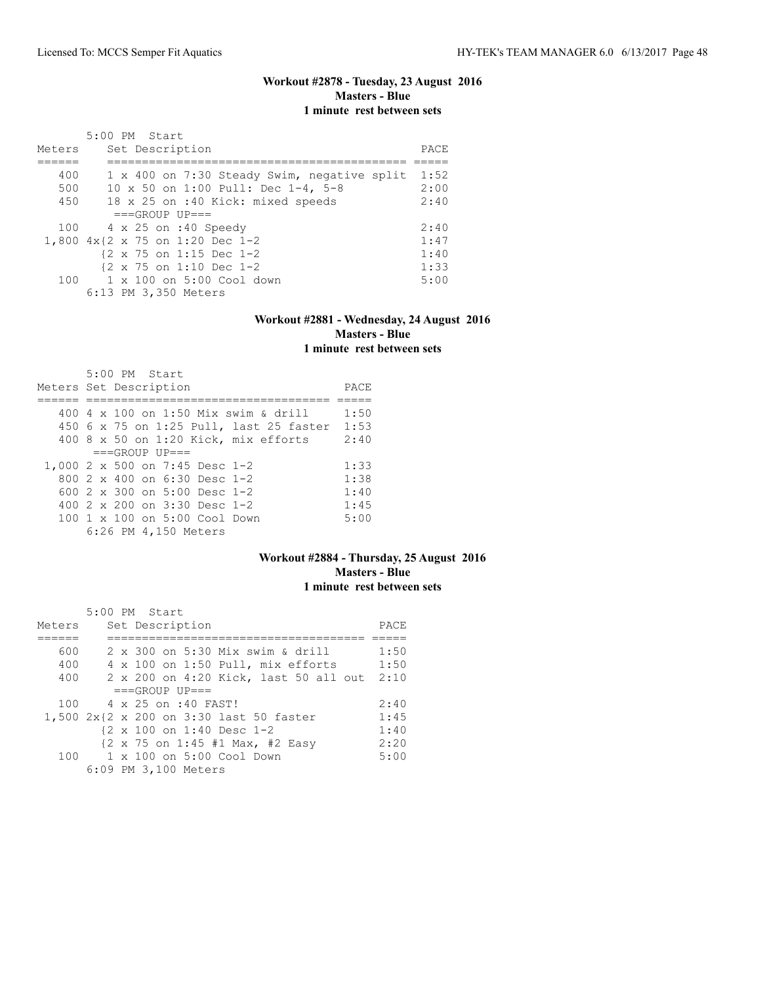## **Workout #2878 - Tuesday, 23 August 2016 Masters - Blue 1 minute rest between sets**

|        | 5:00 PM Start                                       |      |
|--------|-----------------------------------------------------|------|
| Meters | Set Description                                     | PACE |
|        |                                                     |      |
| 400    | 1 x 400 on 7:30 Steady Swim, negative split         | 1:52 |
| 500    | 10 x 50 on 1:00 Pull: Dec 1-4, 5-8                  | 2:00 |
| 450    | 18 x 25 on :40 Kick: mixed speeds                   | 2:40 |
|        | $===GROUP UP = =$                                   |      |
|        | 100 4 x 25 on :40 Speedy                            | 2:40 |
|        | 1,800 4x{2 x 75 on 1:20 Dec 1-2                     | 1:47 |
|        | $\{2 \times 75 \text{ on } 1:15 \text{ Dec } 1-2\}$ | 1:40 |
|        | $\{2 \times 75 \text{ on } 1:10 \text{ Dec } 1-2\}$ | 1:33 |
|        | $100 \t 1 \times 100$ on 5:00 Cool down             | 5:00 |
|        | 6:13 PM 3,350 Meters                                |      |

### **Workout #2881 - Wednesday, 24 August 2016 Masters - Blue 1 minute rest between sets**

|                        | 5:00 PM Start |                                       |                                         |      |
|------------------------|---------------|---------------------------------------|-----------------------------------------|------|
| Meters Set Description |               |                                       |                                         | PACE |
|                        |               |                                       |                                         |      |
|                        |               |                                       | 400 4 x 100 on 1:50 Mix swim & drill    | 1:50 |
|                        |               |                                       | 450 6 x 75 on 1:25 Pull, last 25 faster | 1:53 |
|                        |               |                                       | $400$ 8 x 50 on 1:20 Kick, mix efforts  | 2:40 |
|                        |               | $===GROUP UP = =$                     |                                         |      |
|                        |               | 1,000 2 x 500 on 7:45 Desc 1-2        |                                         | 1:33 |
|                        |               | 800 $2 \times 400$ on 6:30 Desc 1-2   |                                         | 1:38 |
|                        |               | 600 $2 \times 300$ on 5:00 Desc 1-2   |                                         | 1:40 |
|                        |               | 400 $2 \times 200$ on $3:30$ Desc 1-2 |                                         | 1:45 |
|                        |               | 100 1 x 100 on 5:00 Cool Down         |                                         | 5:00 |
|                        |               | 6:26 PM 4,150 Meters                  |                                         |      |

### **Workout #2884 - Thursday, 25 August 2016 Masters - Blue 1 minute rest between sets**

|        |  | $5:00$ PM Start                                                         |      |
|--------|--|-------------------------------------------------------------------------|------|
| Meters |  | Set Description                                                         | PACE |
|        |  |                                                                         |      |
| 600    |  | 2 x 300 on 5:30 Mix swim & drill                                        | 1:50 |
| 400    |  | $4 \times 100$ on 1:50 Pull, mix efforts                                | 1:50 |
| 400    |  | 2 x 200 on 4:20 Kick, last 50 all out                                   | 2:10 |
|        |  | $===GROUP UP = =$                                                       |      |
| 100    |  | 4 x 25 on :40 FAST!                                                     | 2:40 |
|        |  | 1,500 2x{2 x 200 on 3:30 last 50 faster                                 | 1:45 |
|        |  | $\{2 \times 100 \text{ on } 1:40 \text{ Desc } 1-2$                     | 1:40 |
|        |  | $\{2 \times 75 \text{ on } 1:45 \# 1 \text{ Max, } \# 2 \text{ Easy}\}$ | 2:20 |
| 100    |  | 1 x 100 on 5:00 Cool Down                                               | 5:00 |
|        |  | 6:09 PM 3,100 Meters                                                    |      |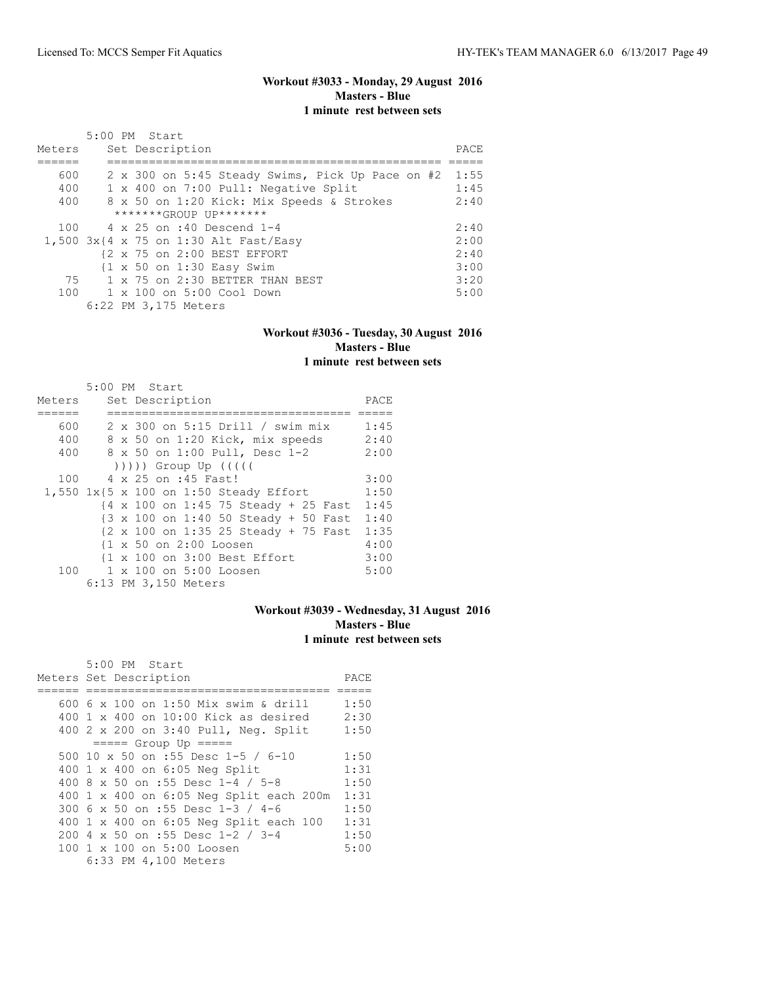### **Workout #3033 - Monday, 29 August 2016 Masters - Blue 1 minute rest between sets**

| Meters | 5:00 PM Start<br>Set Description                             | PACE |
|--------|--------------------------------------------------------------|------|
|        |                                                              |      |
| 600    | 2 x 300 on 5:45 Steady Swims, Pick Up Pace on #2             | 1:55 |
| 400    | 1 x 400 on 7:00 Pull: Negative Split                         | 1:45 |
| 400    | 8 x 50 on 1:20 Kick: Mix Speeds & Strokes                    | 2:40 |
|        | $******GROUP$ $IP*******$                                    |      |
|        | 100 4 x 25 on :40 Descend 1-4                                | 2:40 |
|        | 1,500 3x{4 x 75 on 1:30 Alt Fast/Easy                        | 2:00 |
|        | {2 x 75 on 2:00 BEST EFFORT                                  | 2:40 |
|        | $\{1 \times 50 \text{ on } 1:30 \text{ Easy } \text{Swim}\}$ | 3:00 |
|        | 75 1 x 75 on 2:30 BETTER THAN BEST                           | 3:20 |
|        | 100 1 x 100 on 5:00 Cool Down                                | 5:00 |
|        | 6:22 PM 3,175 Meters                                         |      |

### **Workout #3036 - Tuesday, 30 August 2016 Masters - Blue 1 minute rest between sets**

|        | 5:00 PM Start                                                              |      |
|--------|----------------------------------------------------------------------------|------|
| Meters | Set Description                                                            | PACE |
|        |                                                                            |      |
| 600    | 2 x 300 on 5:15 Drill / swim mix                                           | 1:45 |
| 400    | 8 x 50 on 1:20 Kick, mix speeds                                            | 2:40 |
| 400    | 8 x 50 on 1:00 Pull, Desc 1-2                                              | 2:00 |
|        | $( ) )$ ))) Group Up $( ( )$                                               |      |
| 100    | 4 x 25 on :45 Fast!                                                        | 3:00 |
|        | 1,550 1x{5 x 100 on 1:50 Steady Effort                                     | 1:50 |
|        | {4 x 100 on 1:45 75 Steady + 25 Fast                                       | 1:45 |
|        | {3 x 100 on 1:40 50 Steady + 50 Fast                                       | 1:40 |
|        | $\{2 \times 100 \text{ on } 1:35\ 25 \text{ Steady } + 75 \text{ Fast} \}$ | 1:35 |
|        | {1 x 50 on 2:00 Loosen                                                     | 4:00 |
|        | {1 x 100 on 3:00 Best Effort                                               | 3:00 |
|        | 100 1 x 100 on 5:00 Loosen                                                 | 5:00 |
|        | 6:13 PM 3,150 Meters                                                       |      |

# **Workout #3039 - Wednesday, 31 August 2016 Masters - Blue 1 minute rest between sets**

| 5:00 PM Start                           |      |
|-----------------------------------------|------|
| Meters Set Description                  | PACE |
|                                         |      |
| 600 6 x 100 on 1:50 Mix swim & drill    | 1:50 |
| 400 1 x 400 on 10:00 Kick as desired    | 2:30 |
| 400 2 x 200 on 3:40 Pull, Neq. Split    | 1:50 |
| $== == $ Group Up $== == $              |      |
| 500 10 x 50 on :55 Desc 1-5 / 6-10      | 1:50 |
| 400 1 x 400 on 6:05 Neg Split           | 1:31 |
| 400 8 x 50 on :55 Desc 1-4 / 5-8        | 1:50 |
| 400 1 x 400 on 6:05 Neg Split each 200m | 1:31 |
| 300 6 x 50 on :55 Desc 1-3 / 4-6        | 1:50 |
| 400 1 x 400 on 6:05 Neg Split each 100  | 1:31 |
| 200 4 x 50 on :55 Desc 1-2 / 3-4        | 1:50 |
| 100 1 x 100 on 5:00 Loosen              | 5:00 |
| 6:33 PM 4,100 Meters                    |      |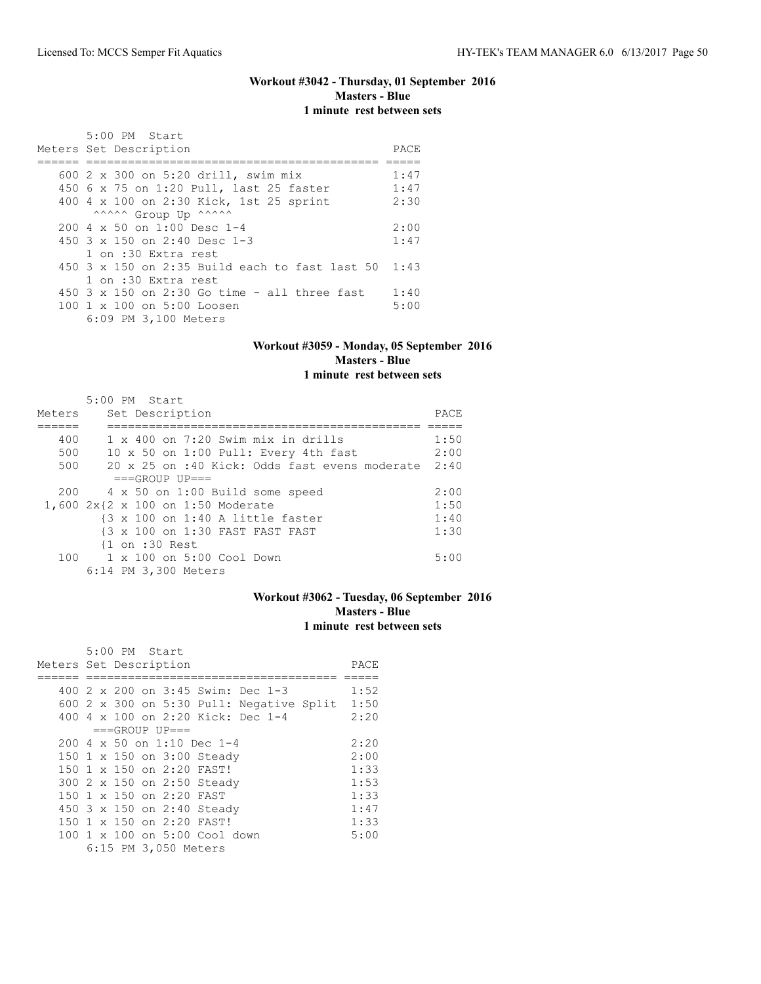### **Workout #3042 - Thursday, 01 September 2016 Masters - Blue 1 minute rest between sets**

| 5:00 PM Start                                    |      |
|--------------------------------------------------|------|
| Meters Set Description                           | PACE |
|                                                  |      |
| 600 2 x 300 on 5:20 drill, swim mix              | 1:47 |
| 450 6 x 75 on 1:20 Pull, last 25 faster          | 1:47 |
| 400 4 x 100 on 2:30 Kick, 1st 25 sprint          | 2:30 |
| ^^^^^^ Group Up ^^^^^^                           |      |
| $200 \text{ } 4 \times 50$ on $1:00$ Desc 1-4    | 2:00 |
| 450 3 x 150 on 2:40 Desc 1-3                     | 1:47 |
| 1 on :30 Extra rest                              |      |
| $450$ 3 x 150 on 2:35 Build each to fast last 50 | 1:43 |
| 1 on :30 Extra rest                              |      |
| 450 3 x 150 on 2:30 Go time - all three fast     | 1:40 |
| 100 1 x 100 on 5:00 Loosen                       | 5:00 |
| 6:09 PM 3,100 Meters                             |      |

#### **Workout #3059 - Monday, 05 September 2016 Masters - Blue 1 minute rest between sets**

#### 5:00 PM Start Meters Set Description PACE ====== ============================================= ===== 400 1 x 400 on 7:20 Swim mix in drills 1:50 500 10 x 50 on 1:00 Pull: Every 4th fast 2:00 500 20 x 25 on :40 Kick: Odds fast evens moderate 2:40  $===GROUP UP==$  200 4 x 50 on 1:00 Build some speed 2:00 1,600 2x{2 x 100 on 1:50 Moderate 1:50 {3 x 100 on 1:40 A little faster 1:40<br>{3 x 100 on 1:30 FAST FAST FAST 1:30 {3 x 100 on 1:30 FAST FAST FAST 1:30 {1 on :30 Rest 100 1 x 100 on 5:00 Cool Down 5:00 6:14 PM 3,300 Meters

### **Workout #3062 - Tuesday, 06 September 2016 Masters - Blue 1 minute rest between sets**

|                        |  | 5:00 PM Start |                          |                                            |  |                                                 |      |
|------------------------|--|---------------|--------------------------|--------------------------------------------|--|-------------------------------------------------|------|
| Meters Set Description |  |               |                          |                                            |  |                                                 | PACE |
|                        |  |               |                          |                                            |  |                                                 |      |
|                        |  |               |                          | 400 $2 \times 200$ on $3:45$ Swim: Dec 1-3 |  |                                                 | 1:52 |
|                        |  |               |                          |                                            |  | 600 $2 \times 300$ on 5:30 Pull: Negative Split | 1:50 |
|                        |  |               |                          | 400 4 x 100 on 2:20 Kick: Dec 1-4          |  |                                                 | 2:20 |
|                        |  |               | $===GROUP UP=-$          |                                            |  |                                                 |      |
|                        |  |               |                          | $200.4 \times 50$ on 1:10 Dec 1-4          |  |                                                 | 2:20 |
|                        |  |               |                          | 150 1 x 150 on 3:00 Steady                 |  |                                                 | 2:00 |
|                        |  |               |                          | 150 1 x 150 on 2:20 FAST!                  |  |                                                 | 1:33 |
|                        |  |               |                          | 300 2 x 150 on 2:50 Steady                 |  |                                                 | 1:53 |
|                        |  |               | 150 1 x 150 on 2:20 FAST |                                            |  |                                                 | 1:33 |
|                        |  |               |                          | 450 3 x 150 on 2:40 Steady                 |  |                                                 | 1:47 |
|                        |  |               |                          | 150 1 x 150 on 2:20 FAST!                  |  |                                                 | 1:33 |
|                        |  |               |                          | 100 1 x 100 on 5:00 Cool down              |  |                                                 | 5:00 |
|                        |  |               | 6:15 PM 3,050 Meters     |                                            |  |                                                 |      |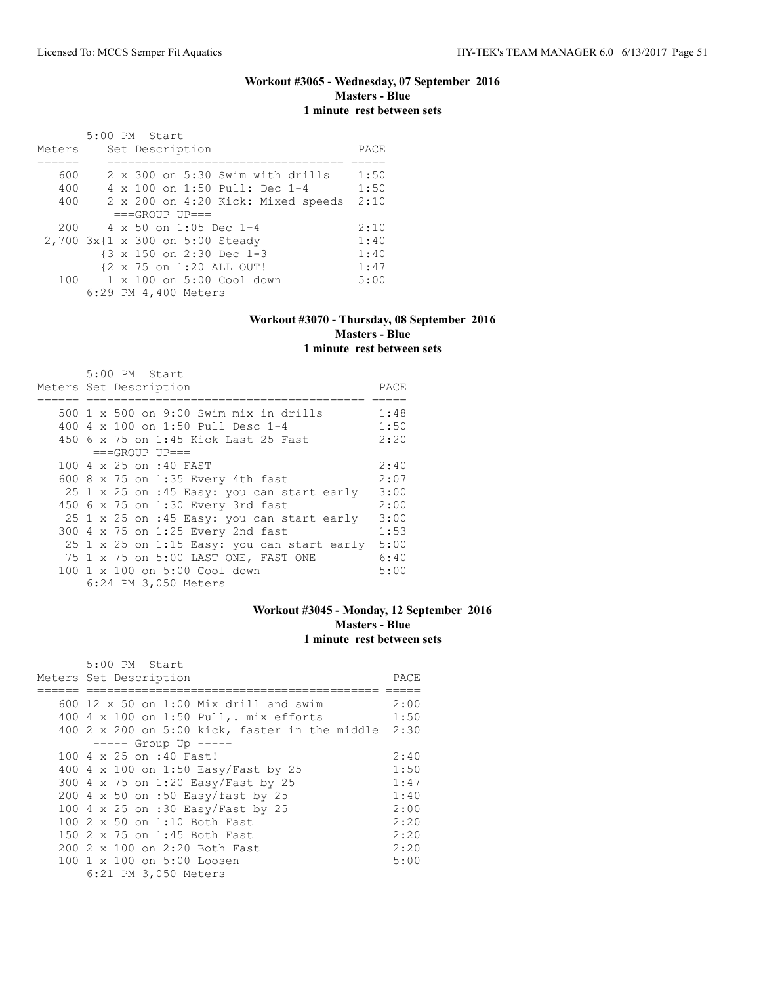### **Workout #3065 - Wednesday, 07 September 2016 Masters - Blue 1 minute rest between sets**

|                                 | 5:00 PM Start |  |                      |                                         |                                    |      |
|---------------------------------|---------------|--|----------------------|-----------------------------------------|------------------------------------|------|
| Meters                          |               |  | Set Description      |                                         |                                    | PACE |
|                                 |               |  |                      |                                         |                                    |      |
| 600                             |               |  |                      |                                         | 2 x 300 on 5:30 Swim with drills   | 1:50 |
| 400                             |               |  |                      | 4 x 100 on 1:50 Pull: Dec 1-4           |                                    | 1:50 |
| 400                             |               |  |                      |                                         | 2 x 200 on 4:20 Kick: Mixed speeds | 2:10 |
|                                 |               |  | $===GROUP UP = =$    |                                         |                                    |      |
| 200                             |               |  |                      | $4 \times 50$ on 1:05 Dec 1-4           |                                    | 2:10 |
| 2,700 3x{1 x 300 on 5:00 Steady |               |  |                      |                                         |                                    | 1:40 |
|                                 |               |  |                      | {3 x 150 on 2:30 Dec 1-3                |                                    | 1:40 |
|                                 |               |  |                      | {2 x 75 on 1:20 ALL OUT!                |                                    | 1:47 |
|                                 |               |  |                      | $100 \t 1 \times 100$ on 5:00 Cool down |                                    | 5:00 |
|                                 |               |  | 6:29 PM 4,400 Meters |                                         |                                    |      |

### **Workout #3070 - Thursday, 08 September 2016 Masters - Blue 1 minute rest between sets**

|  | 5:00 PM Start                               |      |
|--|---------------------------------------------|------|
|  | Meters Set Description                      | PACE |
|  |                                             |      |
|  | 500 1 x 500 on 9:00 Swim mix in drills      | 1:48 |
|  | 400 4 x 100 on 1:50 Pull Desc 1-4           | 1:50 |
|  | 450 6 x 75 on 1:45 Kick Last 25 Fast        | 2:20 |
|  | $===GROUP UP==$                             |      |
|  | 100 4 x 25 on :40 FAST                      | 2:40 |
|  | 600 8 x 75 on 1:35 Every 4th fast           | 2:07 |
|  | 25 1 x 25 on :45 Easy: you can start early  | 3:00 |
|  | 450 6 x 75 on 1:30 Every 3rd fast           | 2:00 |
|  | 25 1 x 25 on :45 Easy: you can start early  | 3:00 |
|  | 300 4 x 75 on 1:25 Every 2nd fast           | 1:53 |
|  | 25 1 x 25 on 1:15 Easy: you can start early | 5:00 |
|  | 75 1 x 75 on 5:00 LAST ONE, FAST ONE        | 6:40 |
|  | 100 1 x 100 on 5:00 Cool down               | 5:00 |
|  | 6:24 PM 3,050 Meters                        |      |

# **Workout #3045 - Monday, 12 September 2016 Masters - Blue 1 minute rest between sets**

| 5:00 PM Start                                  |      |
|------------------------------------------------|------|
| Meters Set Description                         | PACE |
|                                                |      |
| 600 12 $\times$ 50 on 1:00 Mix drill and swim  | 2:00 |
| 400 4 x 100 on 1:50 Pull,. mix efforts         | 1:50 |
| 400 2 x 200 on 5:00 kick, faster in the middle | 2:30 |
| $--- $ Group Up $---$                          |      |
| 100 4 x 25 on :40 Fast!                        | 2:40 |
| 400 4 x 100 on 1:50 Easy/Fast by 25            | 1:50 |
| 300 4 x 75 on 1:20 Easy/Fast by 25             | 1:47 |
| 200 4 x 50 on :50 Easy/fast by 25              | 1:40 |
| 100 4 x 25 on :30 Easy/Fast by 25              | 2:00 |
| 100 $2 \times 50$ on 1:10 Both Fast            | 2:20 |
| 150 2 x 75 on 1:45 Both Fast                   | 2:20 |
| 200 2 x 100 on 2:20 Both Fast                  | 2:20 |
| 100 1 x 100 on 5:00 Loosen                     | 5:00 |
| 6:21 PM 3,050 Meters                           |      |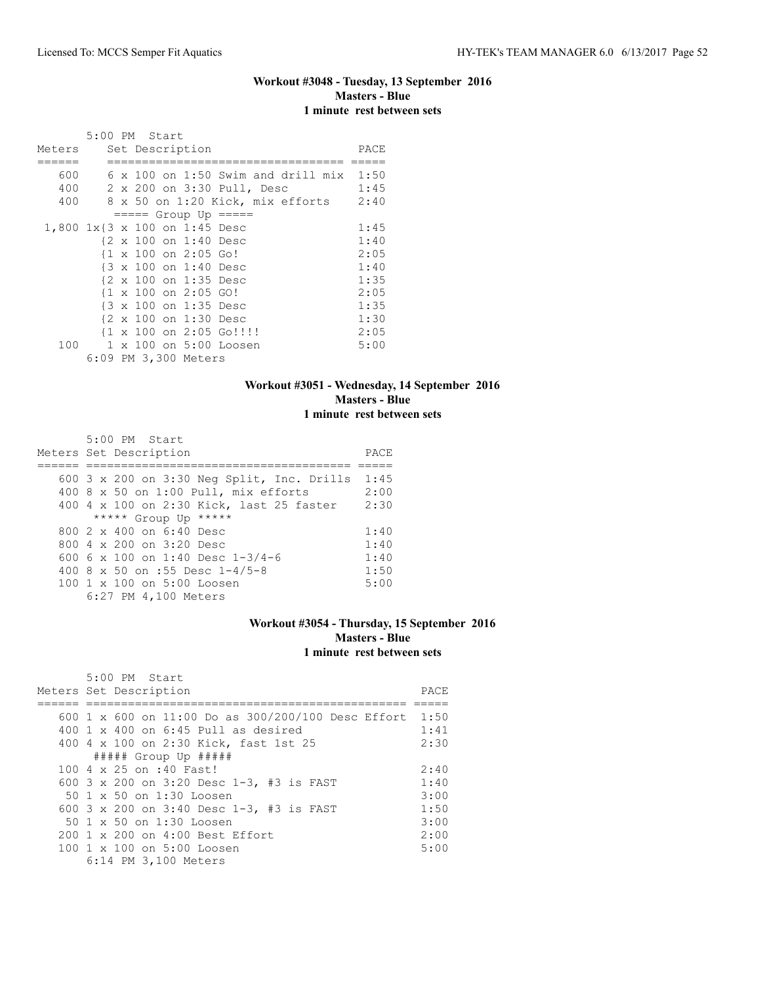# **Workout #3048 - Tuesday, 13 September 2016 Masters - Blue 1 minute rest between sets**

|                               | 5:00 PM Start |  |                       |                                                     |                                                  |      |
|-------------------------------|---------------|--|-----------------------|-----------------------------------------------------|--------------------------------------------------|------|
| Meters                        |               |  | Set Description       |                                                     |                                                  | PACE |
|                               |               |  |                       |                                                     |                                                  |      |
| 600                           |               |  |                       |                                                     | $6 \times 100$ on 1:50 Swim and drill mix $1:50$ |      |
| 400                           |               |  |                       | 2 x 200 on 3:30 Pull, Desc                          |                                                  | 1:45 |
| 400                           |               |  |                       |                                                     | 8 x 50 on 1:20 Kick, mix efforts 2:40            |      |
|                               |               |  |                       | $== == $ Group Up $== == $                          |                                                  |      |
| 1,800 1x{3 x 100 on 1:45 Desc |               |  |                       |                                                     |                                                  | 1:45 |
|                               |               |  | {2 x 100 on 1:40 Desc |                                                     |                                                  | 1:40 |
|                               |               |  | {1 x 100 on 2:05 Go!  |                                                     |                                                  | 2:05 |
|                               |               |  | {3 x 100 on 1:40 Desc |                                                     |                                                  | 1:40 |
|                               |               |  | {2 x 100 on 1:35 Desc |                                                     |                                                  | 1:35 |
|                               |               |  | {1 x 100 on 2:05 GO!  |                                                     |                                                  | 2:05 |
|                               |               |  | {3 x 100 on 1:35 Desc |                                                     |                                                  | 1:35 |
|                               |               |  | {2 x 100 on 1:30 Desc |                                                     |                                                  | 1:30 |
|                               |               |  |                       | $\{1 \times 100 \text{ on } 2:05 \text{ Go}!\}$ !!! |                                                  | 2:05 |
| 100                           |               |  |                       | 1 x 100 on 5:00 Loosen                              |                                                  | 5:00 |
|                               |               |  | 6:09 PM 3,300 Meters  |                                                     |                                                  |      |

### **Workout #3051 - Wednesday, 14 September 2016 Masters - Blue 1 minute rest between sets**

| 5:00 PM Start                                       |      |
|-----------------------------------------------------|------|
| Meters Set Description                              | PACE |
|                                                     |      |
| 600 $3 \times 200$ on $3:30$ Neg Split, Inc. Drills | 1:45 |
| 400 8 x 50 on 1:00 Pull, mix efforts                | 2:00 |
| 400 4 x 100 on 2:30 Kick, last 25 faster            | 2:30 |
| ***** Group Up *****                                |      |
| $8002 \times 400$ on $6:40$ Desc                    | 1:40 |
| 800 $4 \times 200$ on $3:20$ Desc                   | 1:40 |
| 600 6 x 100 on 1:40 Desc $1-3/4-6$                  | 1:40 |
| 400 8 x 50 on :55 Desc $1-4/5-8$                    | 1:50 |
| 100 1 x 100 on 5:00 Loosen                          | 5:00 |
| 6:27 PM 4,100 Meters                                |      |

### **Workout #3054 - Thursday, 15 September 2016 Masters - Blue 1 minute rest between sets**

| $5:00$ PM Start                                      |      |
|------------------------------------------------------|------|
| Meters Set Description                               | PACE |
|                                                      |      |
| 600 1 x 600 on 11:00 Do as $300/200/100$ Desc Effort | 1:50 |
| 400 1 x 400 on $6:45$ Pull as desired                | 1:41 |
| 400 4 x 100 on 2:30 Kick, fast 1st 25                | 2:30 |
| ##### Group Up #####                                 |      |
| 100 4 x 25 on :40 Fast!                              | 2:40 |
| 600 3 x 200 on 3:20 Desc 1-3, #3 is FAST             | 1:40 |
| 50 1 x 50 on 1:30 Loosen                             | 3:00 |
| 600 3 x 200 on 3:40 Desc 1-3, #3 is FAST             | 1:50 |
| 50 1 x 50 on 1:30 Loosen                             | 3:00 |
| 200 1 x 200 on 4:00 Best Effort                      | 2:00 |
| 100 1 x 100 on 5:00 Loosen                           | 5:00 |
| 6:14 PM 3,100 Meters                                 |      |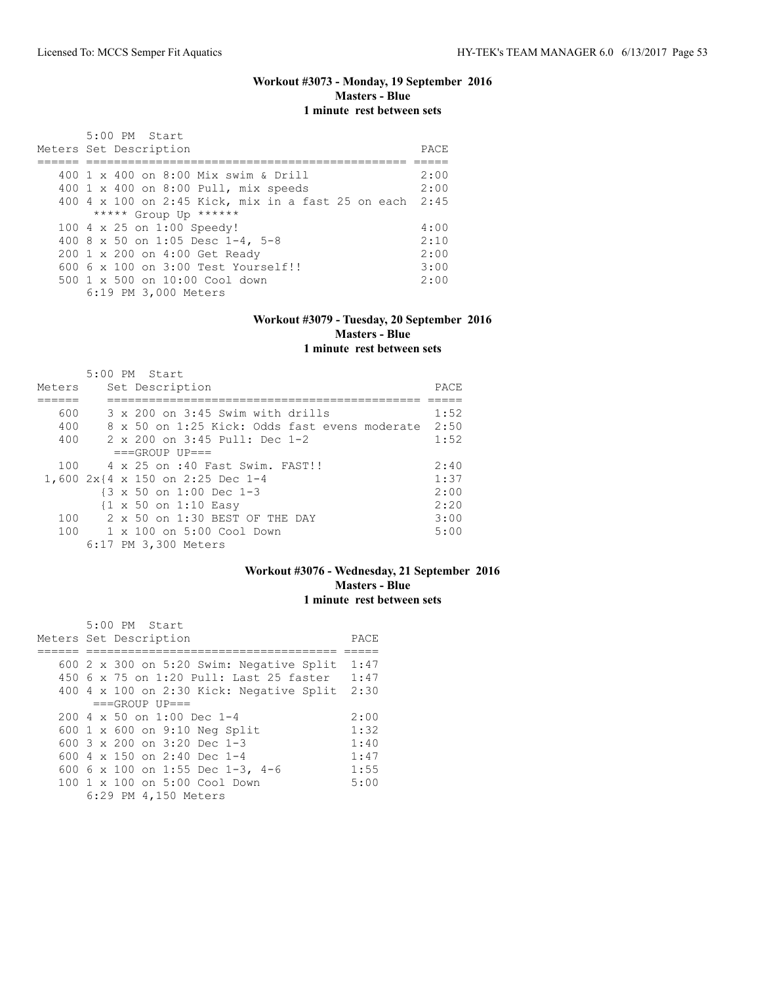### **Workout #3073 - Monday, 19 September 2016 Masters - Blue 1 minute rest between sets**

| $5:00$ PM Start<br>Meters Set Description               | PACE |
|---------------------------------------------------------|------|
|                                                         |      |
| 400 1 x 400 on 8:00 Mix swim & Drill                    | 2:00 |
| 400 1 x 400 on 8:00 Pull, mix speeds                    | 2:00 |
| 400 4 x 100 on 2:45 Kick, mix in a fast 25 on each 2:45 |      |
| ***** Group Up ******                                   |      |
| 100 4 x 25 on 1:00 Speedy!                              | 4:00 |
| 400 8 x 50 on 1:05 Desc 1-4, 5-8                        | 2:10 |
| 200 1 x 200 on 4:00 Get Ready                           | 2:00 |
| $6006 \times 100$ on $3:00$ Test Yourself!!             | 3:00 |
| $500 \t 1 \t x \t 500$ on $10:00$ Cool down             | 2:00 |
| 6:19 PM 3,000 Meters                                    |      |

#### **Workout #3079 - Tuesday, 20 September 2016 Masters - Blue 1 minute rest between sets**

#### 5:00 PM Start Meters Set Description **PACE** ====== ============================================= ===== 600 3 x 200 on 3:45 Swim with drills 1:52 400 8 x 50 on 1:25 Kick: Odds fast evens moderate 2:50 400 2 x 200 on 3:45 Pull: Dec 1-2 1:52  $=$ ==GROUP UP===<br>100  $4 \times 25$  on :40 F 100 4 x 25 on :40 Fast Swim. FAST!! 2:40 1,600 2x{4 x 150 on 2:25 Dec 1-4 1:37 {3 x 50 on 1:00 Dec 1-3 2:00 {1 x 50 on 1:10 Easy 2:20 100 2 x 50 on 1:30 BEST OF THE DAY 3:00<br>100 1 x 100 on 5:00 Cool Down 5:00 5:00  $1 \times 100$  on 5:00 Cool Down 6:17 PM 3,300 Meters

### **Workout #3076 - Wednesday, 21 September 2016 Masters - Blue 1 minute rest between sets**

| 5:00 PM Start                                |      |
|----------------------------------------------|------|
| Meters Set Description                       | PACE |
|                                              |      |
| 600 2 x 300 on 5:20 Swim: Negative Split     | 1:47 |
| 450 6 x 75 on 1:20 Pull: Last 25 faster      | 1:47 |
| 400 4 x 100 on 2:30 Kick: Negative Split     | 2:30 |
| $===GROUP UP = =$                            |      |
| $200 \text{ } 4 \times 50$ on $1:00$ Dec 1-4 | 2:00 |
| 600 1 x 600 on 9:10 Neg Split                | 1:32 |
| 600 $3 \times 200$ on $3:20$ Dec 1-3         | 1:40 |
| 600 4 $\times$ 150 on 2:40 Dec 1-4           | 1:47 |
| 600 6 x 100 on 1:55 Dec 1-3, 4-6             | 1:55 |
| 100 1 x 100 on 5:00 Cool Down                | 5:00 |
| 6:29 PM 4,150 Meters                         |      |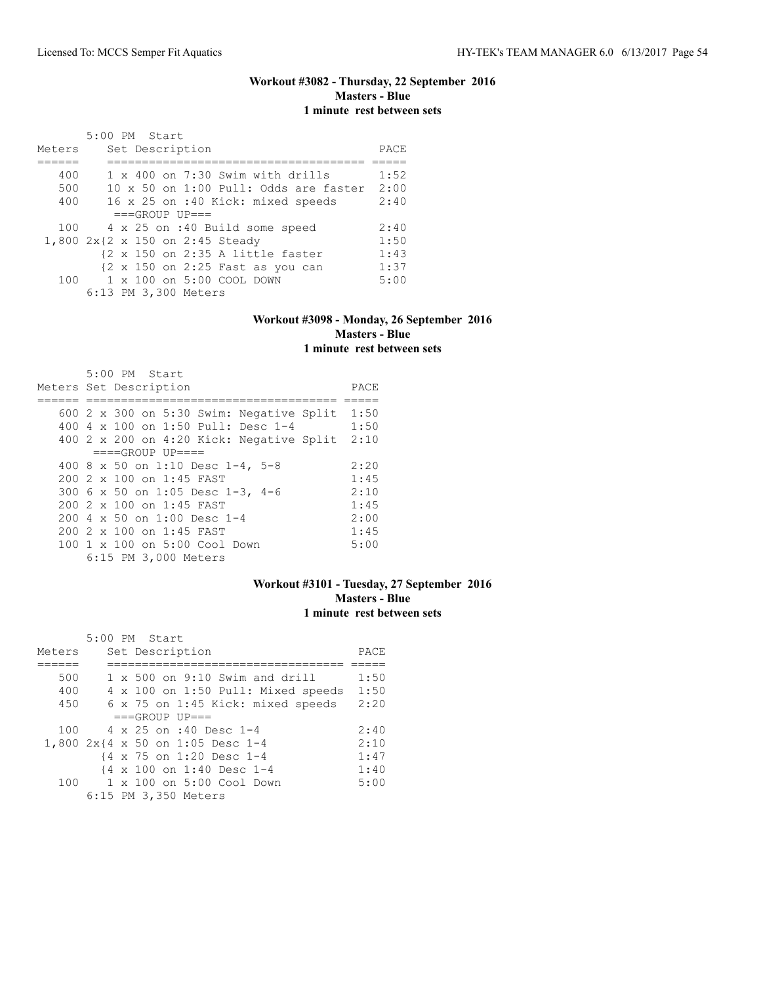## **Workout #3082 - Thursday, 22 September 2016 Masters - Blue 1 minute rest between sets**

|        | 5:00 PM Start                         |      |
|--------|---------------------------------------|------|
| Meters | Set Description                       | PACE |
|        |                                       |      |
| 400    | 1 x 400 on 7:30 Swim with drills      | 1:52 |
| 500    | 10 x 50 on 1:00 Pull: Odds are faster | 2:00 |
| 400    | 16 x 25 on :40 Kick: mixed speeds     | 2:40 |
|        | $===GROUP UP = =$                     |      |
| 100    | 4 x 25 on :40 Build some speed        | 2:40 |
|        | 1,800 2x{2 x 150 on 2:45 Steady       | 1:50 |
|        | {2 x 150 on 2:35 A little faster      | 1:43 |
|        | {2 x 150 on 2:25 Fast as you can      | 1:37 |
| 100    | 1 x 100 on 5:00 COOL DOWN             | 5:00 |
|        | 6:13 PM 3,300 Meters                  |      |
|        |                                       |      |

### **Workout #3098 - Monday, 26 September 2016 Masters - Blue 1 minute rest between sets**

| $5:00$ PM Start                          |      |
|------------------------------------------|------|
| Meters Set Description                   | PACE |
|                                          |      |
| 600 2 x 300 on 5:30 Swim: Negative Split | 1:50 |
| 400 4 x 100 on 1:50 Pull: Desc 1-4       | 1:50 |
| 400 2 x 200 on 4:20 Kick: Negative Split | 2:10 |
| $===GROUP UP = ==$                       |      |
| 400 8 x 50 on 1:10 Desc 1-4, 5-8         | 2:20 |
| $200$ 2 x 100 on 1:45 FAST               | 1:45 |
| 300 6 x 50 on 1:05 Desc 1-3, 4-6         | 2:10 |
| 200 2 x 100 on 1:45 FAST                 | 1:45 |
| 200 4 x 50 on 1:00 Desc 1-4              | 2:00 |
| 200 2 x 100 on 1:45 FAST                 | 1:45 |
| 100 1 x 100 on 5:00 Cool Down            | 5:00 |
| 6:15 PM 3,000 Meters                     |      |

### **Workout #3101 - Tuesday, 27 September 2016 Masters - Blue 1 minute rest between sets**

|        |  | 5:00 PM Start                         |      |
|--------|--|---------------------------------------|------|
| Meters |  | Set Description                       | PACE |
|        |  |                                       |      |
| 500    |  | $1 \times 500$ on 9:10 Swim and drill | 1:50 |
| 400    |  | 4 x 100 on 1:50 Pull: Mixed speeds    | 1:50 |
| 450    |  | 6 x 75 on 1:45 Kick: mixed speeds     | 2:20 |
|        |  | $===GROUP UP = =$                     |      |
| 100    |  | $4 \times 25$ on :40 Desc 1-4         | 2:40 |
|        |  | 1,800 2x{4 x 50 on 1:05 Desc 1-4      | 2:10 |
|        |  | {4 x 75 on 1:20 Desc 1-4              | 1:47 |
|        |  | {4 x 100 on 1:40 Desc 1-4             | 1:40 |
| 100    |  | $1 \times 100$ on $5:00$ Cool Down    | 5:00 |
|        |  | 6:15 PM 3,350 Meters                  |      |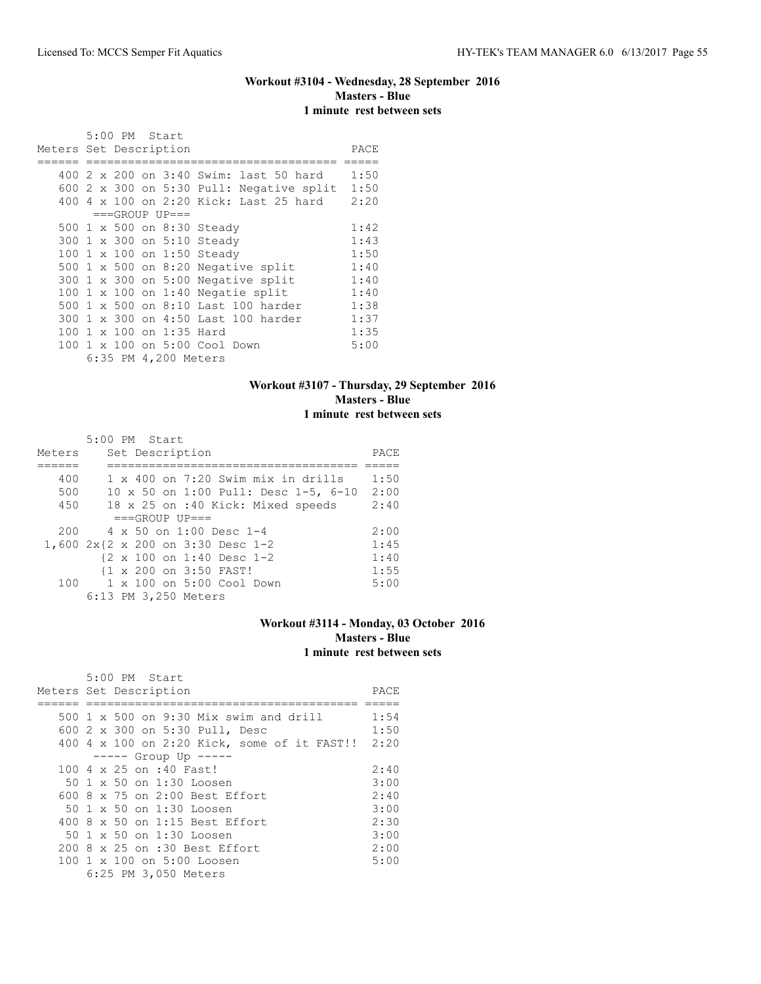## **Workout #3104 - Wednesday, 28 September 2016 Masters - Blue 1 minute rest between sets**

|                        |  | 5:00 PM Start |                          |                                           |      |
|------------------------|--|---------------|--------------------------|-------------------------------------------|------|
| Meters Set Description |  |               |                          |                                           | PACE |
|                        |  |               |                          |                                           |      |
|                        |  |               |                          | 400 2 x 200 on 3:40 Swim: last 50 hard    | 1:50 |
|                        |  |               |                          | 600 2 x 300 on 5:30 Pull: Negative split  | 1:50 |
|                        |  |               |                          | 400 4 x 100 on 2:20 Kick: Last 25 hard    | 2:20 |
|                        |  |               | $===GROUP UP==$          |                                           |      |
|                        |  |               |                          | 500 1 x 500 on 8:30 Steady                | 1:42 |
|                        |  |               |                          | 300 1 x 300 on 5:10 Steady                | 1:43 |
|                        |  |               |                          | 100 1 x 100 on 1:50 Steady                | 1:50 |
|                        |  |               |                          | 500 $1 \times 500$ on 8:20 Negative split | 1:40 |
|                        |  |               |                          | 300 1 x 300 on 5:00 Negative split        | 1:40 |
|                        |  |               |                          | 100 $1 \times 100$ on 1:40 Negatie split  | 1:40 |
|                        |  |               |                          | 500 1 x 500 on 8:10 Last 100 harder       | 1:38 |
|                        |  |               |                          | 300 1 x 300 on 4:50 Last 100 harder       | 1:37 |
|                        |  |               | 100 1 x 100 on 1:35 Hard |                                           | 1:35 |
|                        |  |               |                          | 100 1 x 100 on 5:00 Cool Down             | 5:00 |
|                        |  |               | 6:35 PM 4,200 Meters     |                                           |      |

### **Workout #3107 - Thursday, 29 September 2016 Masters - Blue 1 minute rest between sets**

|        | 5:00 PM Start                             |      |
|--------|-------------------------------------------|------|
| Meters | Set Description                           | PACE |
|        |                                           |      |
| 400    | $1 \times 400$ on 7:20 Swim mix in drills | 1:50 |
| 500    | 10 x 50 on 1:00 Pull: Desc 1-5, 6-10      | 2:00 |
| 450    | 18 x 25 on :40 Kick: Mixed speeds         | 2:40 |
|        | $===GROUP UP = =$                         |      |
| 200    | $4 \times 50$ on 1:00 Desc 1-4            | 2:00 |
|        | 1,600 2x{2 x 200 on 3:30 Desc 1-2         | 1:45 |
|        | {2 x 100 on 1:40 Desc 1-2                 | 1:40 |
|        | {1 x 200 on 3:50 FAST!                    | 1:55 |
| 100    | 1 x 100 on 5:00 Cool Down                 | 5:00 |
|        | 6:13 PM 3,250 Meters                      |      |

### **Workout #3114 - Monday, 03 October 2016 Masters - Blue 1 minute rest between sets**

| 5:00 PM Start                                    |      |
|--------------------------------------------------|------|
| Meters Set Description                           | PACE |
|                                                  |      |
| 500 1 x 500 on 9:30 Mix swim and drill           | 1:54 |
| 600 2 x 300 on 5:30 Pull, Desc                   | 1:50 |
| 400 4 x 100 on 2:20 Kick, some of it FAST!! 2:20 |      |
| $--- $ Group Up $--- $                           |      |
| 100 4 x 25 on :40 Fast!                          | 2:40 |
| 50 1 x 50 on 1:30 Loosen                         | 3:00 |
| $600.8 \times 75$ on 2:00 Best Effort            | 2:40 |
| 50 1 x 50 on 1:30 Loosen                         | 3:00 |
| 400 8 x 50 on 1:15 Best Effort                   | 2:30 |
| 50 1 x 50 on 1:30 Loosen                         | 3:00 |
| 200 8 x 25 on :30 Best Effort                    | 2:00 |
| 100 1 x 100 on 5:00 Loosen                       | 5:00 |
| 6:25 PM 3,050 Meters                             |      |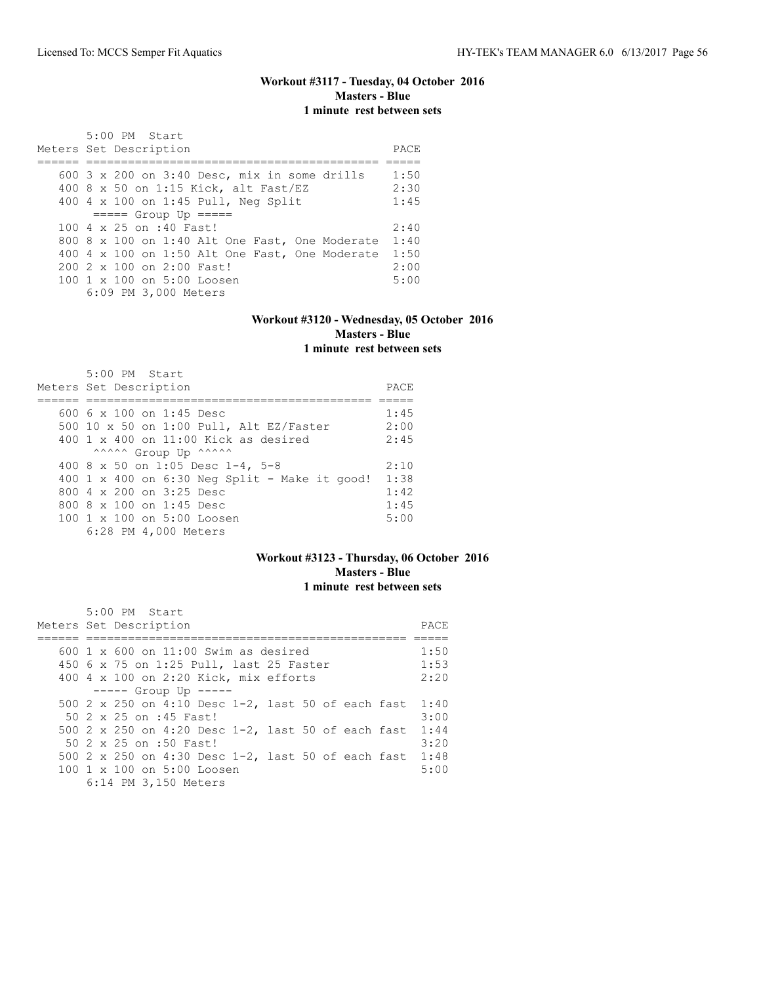## **Workout #3117 - Tuesday, 04 October 2016 Masters - Blue 1 minute rest between sets**

| 5:00 PM Start<br>Meters Set Description               |      |  |  |  |  |  |
|-------------------------------------------------------|------|--|--|--|--|--|
|                                                       | PACE |  |  |  |  |  |
| 600 $3 \times 200$ on $3:40$ Desc, mix in some drills | 1:50 |  |  |  |  |  |
| 400 8 x 50 on 1:15 Kick, alt Fast/EZ                  | 2:30 |  |  |  |  |  |
| 400 4 x 100 on 1:45 Pull, Neg Split                   | 1:45 |  |  |  |  |  |
| $====$ Group Up $====$                                |      |  |  |  |  |  |
| 100 4 x 25 on :40 Fast!                               | 2:40 |  |  |  |  |  |
| 800 8 x 100 on 1:40 Alt One Fast, One Moderate        | 1:40 |  |  |  |  |  |
| 400 4 x 100 on 1:50 Alt One Fast, One Moderate        | 1:50 |  |  |  |  |  |
| $2002 \times 100$ on $2:00$ Fast!                     | 2:00 |  |  |  |  |  |
| 100 1 x 100 on 5:00 Loosen                            | 5:00 |  |  |  |  |  |
| 6:09 PM 3,000 Meters                                  |      |  |  |  |  |  |

### **Workout #3120 - Wednesday, 05 October 2016 Masters - Blue 1 minute rest between sets**

| $5:00$ PM Start                                   |      |
|---------------------------------------------------|------|
| Meters Set Description                            | PACE |
|                                                   |      |
| 600 6 x 100 on 1:45 Desc                          | 1:45 |
| 500 10 x 50 on 1:00 Pull, Alt EZ/Faster           | 2:00 |
| $400 \text{ 1 x } 400$ on $11:00$ Kick as desired | 2:45 |
| ^^^^^ Group Up ^^^^^^                             |      |
| 400 8 x 50 on 1:05 Desc 1-4, 5-8                  | 2:10 |
| 400 1 x 400 on $6:30$ Neg Split - Make it good!   | 1:38 |
| 800 4 x 200 on 3:25 Desc                          | 1:42 |
| 800 8 x 100 on 1:45 Desc                          | 1:45 |
| 100 1 x 100 on 5:00 Loosen                        | 5:00 |
| 6:28 PM 4,000 Meters                              |      |

### **Workout #3123 - Thursday, 06 October 2016 Masters - Blue 1 minute rest between sets**

|  | $5:00$ PM Start                                        |      |
|--|--------------------------------------------------------|------|
|  | Meters Set Description                                 | PACE |
|  |                                                        |      |
|  | 600 $1 \times$ 600 on 11:00 Swim as desired            | 1:50 |
|  | 450 6 x 75 on 1:25 Pull, last 25 Faster                | 1:53 |
|  | 400 4 x 100 on 2:20 Kick, mix efforts                  | 2:20 |
|  | $--- $ Group Up $---$                                  |      |
|  | 500 2 x 250 on 4:10 Desc 1-2, last 50 of each fast     | 1:40 |
|  | 50 2 x 25 on :45 Fast!                                 | 3:00 |
|  | 500 2 x 250 on 4:20 Desc 1-2, last 50 of each fast     | 1:44 |
|  | 50 2 x 25 on :50 Fast!                                 | 3:20 |
|  | 500 2 x 250 on 4:30 Desc 1-2, last 50 of each fast     | 1:48 |
|  | $100 \text{ 1 x } 100 \text{ on } 5:00 \text{ Loosen}$ | 5:00 |
|  | 6:14 PM 3,150 Meters                                   |      |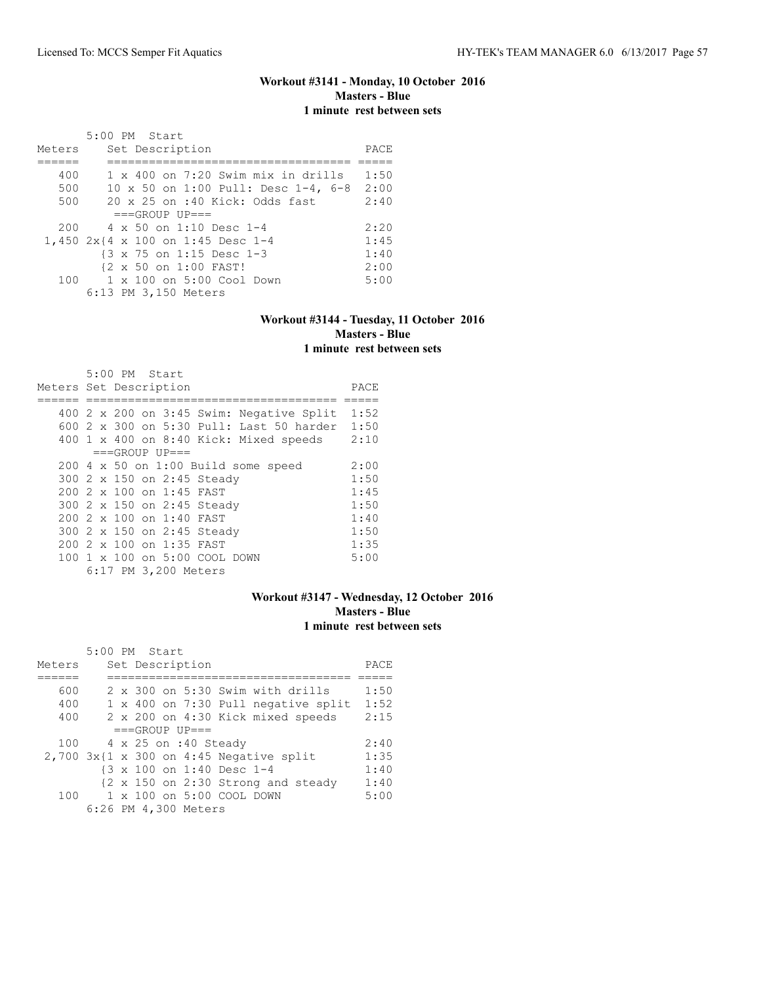# **Workout #3141 - Monday, 10 October 2016 Masters - Blue 1 minute rest between sets**

|        | 5:00 PM Start                             |      |
|--------|-------------------------------------------|------|
| Meters | Set Description                           | PACE |
|        |                                           |      |
| 400    | $1 \times 400$ on 7:20 Swim mix in drills | 1:50 |
| 500    | 10 x 50 on 1:00 Pull: Desc 1-4, 6-8       | 2:00 |
| 500    | $20 \times 25$ on :40 Kick: Odds fast     | 2:40 |
|        | $===GROUP UP==$                           |      |
| 200    | 4 x 50 on 1:10 Desc 1-4                   | 2:20 |
|        | 1,450 2x{4 x 100 on 1:45 Desc 1-4         | 1:45 |
|        | {3 x 75 on 1:15 Desc 1-3                  | 1:40 |
|        | {2 x 50 on 1:00 FAST!                     | 2:00 |
| 100    | 1 x 100 on 5:00 Cool Down                 | 5:00 |
|        | 6:13 PM 3,150 Meters                      |      |

### **Workout #3144 - Tuesday, 11 October 2016 Masters - Blue 1 minute rest between sets**

| 5:00 PM Start                                |      |
|----------------------------------------------|------|
| Meters Set Description                       | PACE |
|                                              |      |
| 400 2 x 200 on 3:45 Swim: Negative Split     | 1:52 |
| 600 2 x 300 on 5:30 Pull: Last 50 harder     | 1:50 |
| $400$ 1 x $400$ on $8:40$ Kick: Mixed speeds | 2:10 |
| $===GROUP UP=-$                              |      |
| $200$ 4 x 50 on 1:00 Build some speed        | 2:00 |
| 300 2 x 150 on 2:45 Steady                   | 1:50 |
| 200 2 x 100 on 1:45 FAST                     | 1:45 |
| 300 2 x 150 on 2:45 Steady                   | 1:50 |
| $2002 \times 100$ on 1:40 FAST               | 1:40 |
| 300 2 x 150 on 2:45 Steady                   | 1:50 |
| $2002 \times 100$ on 1:35 FAST               | 1:35 |
| 100 1 x 100 on 5:00 COOL DOWN                | 5:00 |
| 6:17 PM 3,200 Meters                         |      |

## **Workout #3147 - Wednesday, 12 October 2016 Masters - Blue 1 minute rest between sets**

| Meters | 5:00 PM Start |  | Set Description             |                                           | PACE |
|--------|---------------|--|-----------------------------|-------------------------------------------|------|
|        |               |  |                             |                                           |      |
|        |               |  |                             |                                           |      |
| 600    |               |  |                             | 2 x 300 on 5:30 Swim with drills          | 1:50 |
| 400    |               |  |                             | 1 x 400 on 7:30 Pull negative split       | 1:52 |
| 400    |               |  |                             | 2 x 200 on 4:30 Kick mixed speeds         | 2:15 |
|        |               |  | $===GROUP UP = =$           |                                           |      |
| 100    |               |  | $4 \times 25$ on :40 Steady |                                           | 2:40 |
|        |               |  |                             | $2,700$ 3x{1 x 300 on 4:45 Negative split | 1:35 |
|        |               |  | {3 x 100 on 1:40 Desc 1-4   |                                           | 1:40 |
|        |               |  |                             | {2 x 150 on 2:30 Strong and steady        | 1:40 |
| 100    |               |  | 1 x 100 on 5:00 COOL DOWN   |                                           | 5:00 |
|        |               |  | 6:26 PM 4,300 Meters        |                                           |      |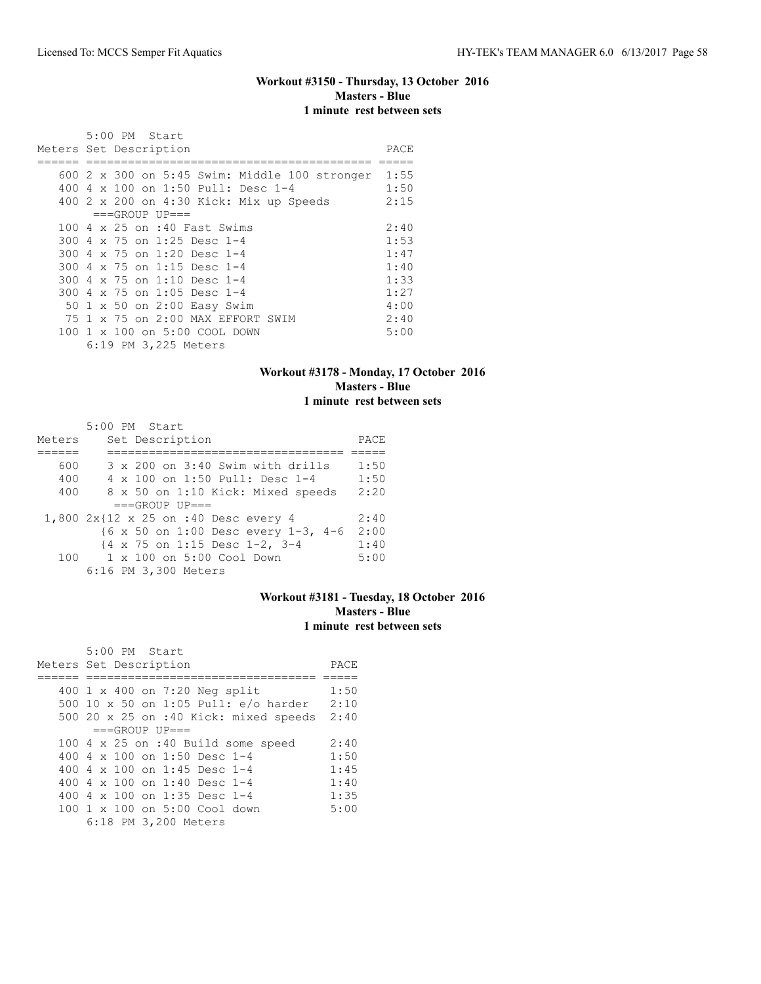## **Workout #3150 - Thursday, 13 October 2016 Masters - Blue 1 minute rest between sets**

| 5:00 PM Start                                          |      |
|--------------------------------------------------------|------|
| Meters Set Description                                 | PACE |
|                                                        |      |
| 600 $2 \times 300$ on $5:45$ Swim: Middle 100 stronger | 1:55 |
| 400 4 x 100 on 1:50 Pull: Desc 1-4                     | 1:50 |
| 400 2 x 200 on 4:30 Kick: Mix up Speeds                | 2:15 |
| $===GROUP UP=-$                                        |      |
| 100 4 x 25 on :40 Fast Swims                           | 2:40 |
| 300 4 x 75 on 1:25 Desc 1-4                            | 1:53 |
| 300 4 x 75 on 1:20 Desc 1-4                            | 1:47 |
| 300 4 x 75 on 1:15 Desc 1-4                            | 1:40 |
| 300 4 x 75 on 1:10 Desc 1-4                            | 1:33 |
| 300 4 x 75 on 1:05 Desc 1-4                            | 1:27 |
| 50 1 x 50 on 2:00 Easy Swim                            | 4:00 |
| 75 1 x 75 on 2:00 MAX EFFORT SWIM                      | 2:40 |
| 100 1 x 100 on 5:00 COOL DOWN                          | 5:00 |
| 6:19 PM 3,225 Meters                                   |      |

## **Workout #3178 - Monday, 17 October 2016 Masters - Blue 1 minute rest between sets**

|        | 5:00 PM Start                               |      |
|--------|---------------------------------------------|------|
| Meters | Set Description                             | PACE |
|        |                                             |      |
| 600    | 3 x 200 on 3:40 Swim with drills            | 1:50 |
| 400    | 4 x 100 on 1:50 Pull: Desc 1-4              | 1:50 |
| 400    | 8 x 50 on 1:10 Kick: Mixed speeds           | 2:20 |
|        | $===GROUP UP==$                             |      |
|        | 1,800 2x{12 x 25 on :40 Desc every 4        | 2:40 |
|        | ${6 \times 50}$ on 1:00 Desc every 1-3, 4-6 | 2:00 |
|        | {4 x 75 on 1:15 Desc 1-2, 3-4               | 1:40 |
|        | 100 1 x 100 on 5:00 Cool Down               | 5:00 |
|        | 6:16 PM 3,300 Meters                        |      |

### **Workout #3181 - Tuesday, 18 October 2016 Masters - Blue 1 minute rest between sets**

| 5:00 PM Start                              | PACE |  |  |  |  |  |  |  |  |
|--------------------------------------------|------|--|--|--|--|--|--|--|--|
| Meters Set Description                     |      |  |  |  |  |  |  |  |  |
|                                            |      |  |  |  |  |  |  |  |  |
| 400 1 x 400 on 7:20 Neg split              | 1:50 |  |  |  |  |  |  |  |  |
| 500 10 x 50 on 1:05 Pull: e/o harder       | 2:10 |  |  |  |  |  |  |  |  |
| 500 20 x 25 on :40 Kick: mixed speeds 2:40 |      |  |  |  |  |  |  |  |  |
| $===GROUP UP = =$                          |      |  |  |  |  |  |  |  |  |
| 100 4 x 25 on :40 Build some speed         | 2:40 |  |  |  |  |  |  |  |  |
| 400 4 x 100 on 1:50 Desc 1-4               | 1:50 |  |  |  |  |  |  |  |  |
| 400 4 x 100 on 1:45 Desc 1-4               | 1:45 |  |  |  |  |  |  |  |  |
| 400 4 $\times$ 100 on 1:40 Desc 1-4        | 1:40 |  |  |  |  |  |  |  |  |
| 400 4 $\times$ 100 on 1:35 Desc 1-4        | 1:35 |  |  |  |  |  |  |  |  |
| 100 1 x 100 on 5:00 Cool down              | 5:00 |  |  |  |  |  |  |  |  |
| 6:18 PM 3,200 Meters                       |      |  |  |  |  |  |  |  |  |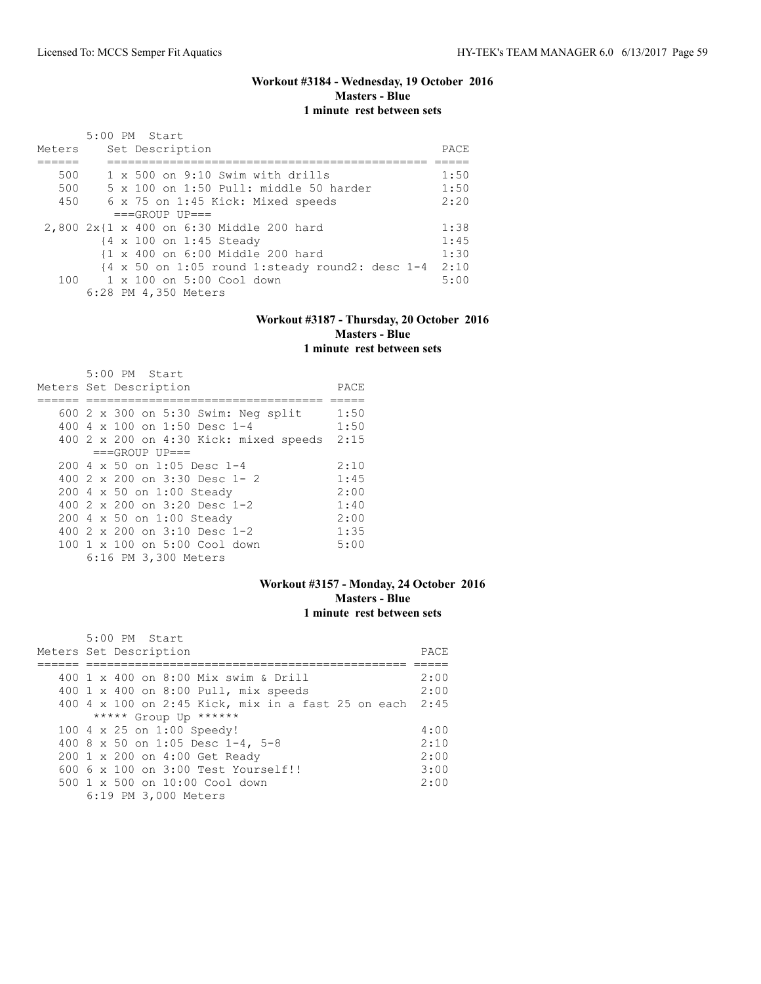# **Workout #3184 - Wednesday, 19 October 2016 Masters - Blue 1 minute rest between sets**

| Meters | 5:00 PM Start<br>Set Description                                            | PACE |
|--------|-----------------------------------------------------------------------------|------|
|        |                                                                             |      |
| 500    | $1 \times 500$ on 9:10 Swim with drills                                     | 1:50 |
| 500    | 5 x 100 on 1:50 Pull: middle 50 harder                                      | 1:50 |
| 450    | 6 x 75 on 1:45 Kick: Mixed speeds                                           | 2:20 |
|        | $===GROUP UP=-$                                                             |      |
|        | 2,800 2x{1 x 400 on 6:30 Middle 200 hard                                    | 1:38 |
|        | {4 x 100 on 1:45 Steady                                                     | 1:45 |
|        | {1 x 400 on 6:00 Middle 200 hard                                            | 1:30 |
|        | $\{4 \times 50 \text{ on } 1:05 \text{ round } 1:0$ steady round2: desc 1-4 | 2:10 |
| 100    | 1 x 100 on 5:00 Cool down                                                   | 5:00 |
|        | 6:28 PM 4,350 Meters                                                        |      |

### **Workout #3187 - Thursday, 20 October 2016 Masters - Blue 1 minute rest between sets**

| 5:00 PM Start                               |      |
|---------------------------------------------|------|
| Meters Set Description                      | PACE |
|                                             |      |
| 600 2 x 300 on 5:30 Swim: Neg split         | 1:50 |
| 400 4 $\times$ 100 on 1:50 Desc 1-4         | 1:50 |
| $400$ 2 x 200 on 4:30 Kick: mixed speeds    | 2:15 |
| $===GROUP UP=-$                             |      |
| $200 \text{ } 4 \times 50$ on 1:05 Desc 1-4 | 2:10 |
| 400 2 x 200 on 3:30 Desc 1- 2               | 1:45 |
| 200 4 x 50 on 1:00 Steady                   | 2:00 |
| 400 $2 \times 200$ on $3:20$ Desc 1-2       | 1:40 |
| 200 4 x 50 on 1:00 Steady                   | 2:00 |
| 400 $2 \times 200$ on $3:10$ Desc 1-2       | 1:35 |
| 100 1 x 100 on 5:00 Cool down               | 5:00 |
| 6:16 PM 3,300 Meters                        |      |

### **Workout #3157 - Monday, 24 October 2016 Masters - Blue 1 minute rest between sets**

| 5:00 PM Start                                           |       |
|---------------------------------------------------------|-------|
| Meters Set Description                                  | PACE. |
|                                                         |       |
| 400 1 x 400 on 8:00 Mix swim & Drill                    | 2:00  |
| 400 1 x 400 on 8:00 Pull, mix speeds                    | 2:00  |
| 400 4 x 100 on 2:45 Kick, mix in a fast 25 on each 2:45 |       |
| ***** Group Up ******                                   |       |
| 100 4 x 25 on 1:00 Speedy!                              | 4:00  |
| 400 8 x 50 on 1:05 Desc 1-4, 5-8                        | 2:10  |
| 200 1 x 200 on 4:00 Get Ready                           | 2:00  |
| $6006 \times 100$ on $3:00$ Test Yourself!!             | 3:00  |
| $500 \t 1 \t x \t 500$ on $10:00$ Cool down             | 2:00  |
| 6:19 PM 3,000 Meters                                    |       |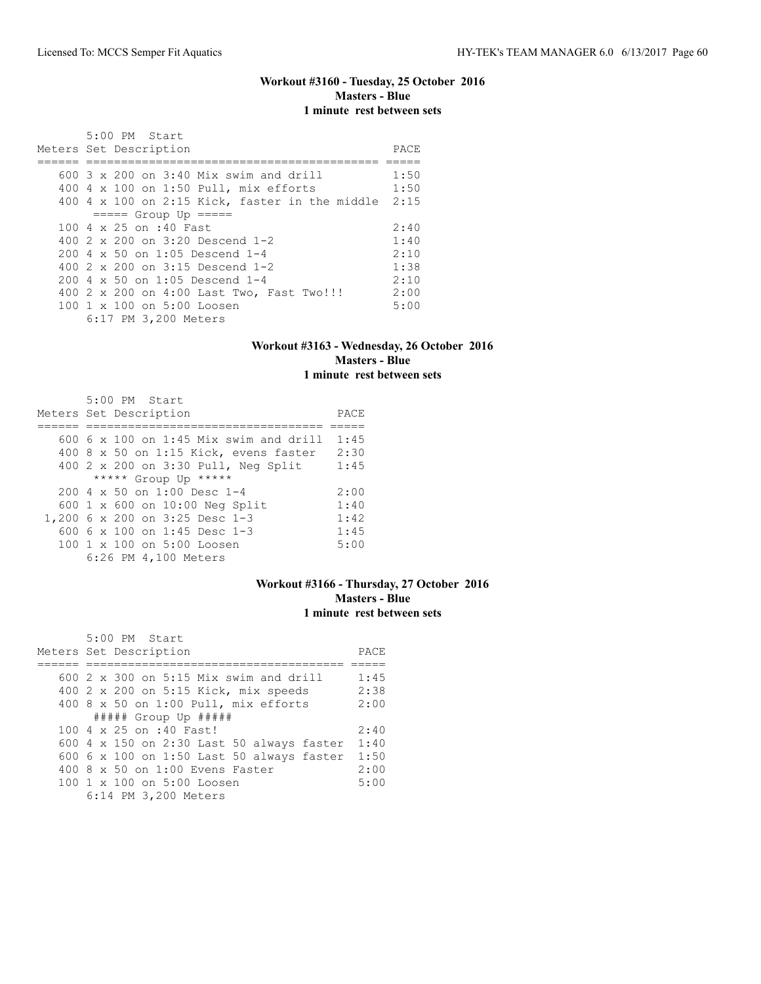### **Workout #3160 - Tuesday, 25 October 2016 Masters - Blue 1 minute rest between sets**

| 5:00 PM Start                                          |      |
|--------------------------------------------------------|------|
| Meters Set Description                                 | PACE |
|                                                        |      |
| 600 $3 \times 200$ on $3:40$ Mix swim and drill        | 1:50 |
| 400 4 x 100 on 1:50 Pull, mix efforts                  | 1:50 |
| 400 4 x 100 on 2:15 Kick, faster in the middle         | 2:15 |
| $== == $ Group Up $== == $                             |      |
| 100 4 x 25 on :40 Fast                                 | 2:40 |
| 400 $2 \times 200$ on $3:20$ Descend 1-2               | 1:40 |
| $200 \, 4 \times 50$ on 1:05 Descend 1-4               | 2:10 |
| 400 $2 \times 200$ on $3:15$ Descend 1-2               | 1:38 |
| $200 \, 4 \times 50$ on 1:05 Descend 1-4               | 2:10 |
| 400 2 x 200 on 4:00 Last Two, Fast Two!!!              | 2:00 |
| $100 \text{ 1 x } 100 \text{ on } 5:00 \text{ Loosen}$ | 5:00 |
| 6:17 PM 3,200 Meters                                   |      |

### **Workout #3163 - Wednesday, 26 October 2016 Masters - Blue 1 minute rest between sets**

| 5:00 PM Start                          |      |
|----------------------------------------|------|
| Meters Set Description                 | PACE |
|                                        |      |
| 600 6 x 100 on 1:45 Mix swim and drill | 1:45 |
| 400 8 x 50 on 1:15 Kick, evens faster  | 2:30 |
| 400 2 x 200 on 3:30 Pull, Neg Split    | 1:45 |
| ***** Group Up *****                   |      |
| 200 4 x 50 on 1:00 Desc 1-4            | 2:00 |
| 600 1 x 600 on 10:00 Neg Split         | 1:40 |
| 1,200 6 x 200 on 3:25 Desc 1-3         | 1:42 |
| 600 6 x 100 on 1:45 Desc 1-3           | 1:45 |
| 100 1 x 100 on 5:00 Loosen             | 5:00 |
| 6:26 PM 4,100 Meters                   |      |

### **Workout #3166 - Thursday, 27 October 2016 Masters - Blue 1 minute rest between sets**

| $5:00$ PM Start<br>Meters Set Description              | PACE |
|--------------------------------------------------------|------|
|                                                        |      |
| 600 $2 \times 300$ on 5:15 Mix swim and drill          | 1:45 |
| 400 2 x 200 on 5:15 Kick, mix speeds                   | 2:38 |
| 400 8 x 50 on 1:00 Pull, mix efforts                   | 2:00 |
| ##### Group Up #####                                   |      |
| 100 4 x 25 on :40 Fast!                                | 2:40 |
| 600 4 x 150 on 2:30 Last 50 always faster              | 1:40 |
| 600 6 x 100 on 1:50 Last 50 always faster              | 1:50 |
| $400.8 \times 50$ on 1:00 Evens Faster                 | 2:00 |
| $100 \text{ 1 x } 100 \text{ on } 5:00 \text{ Loosen}$ | 5:00 |
| 6:14 PM 3,200 Meters                                   |      |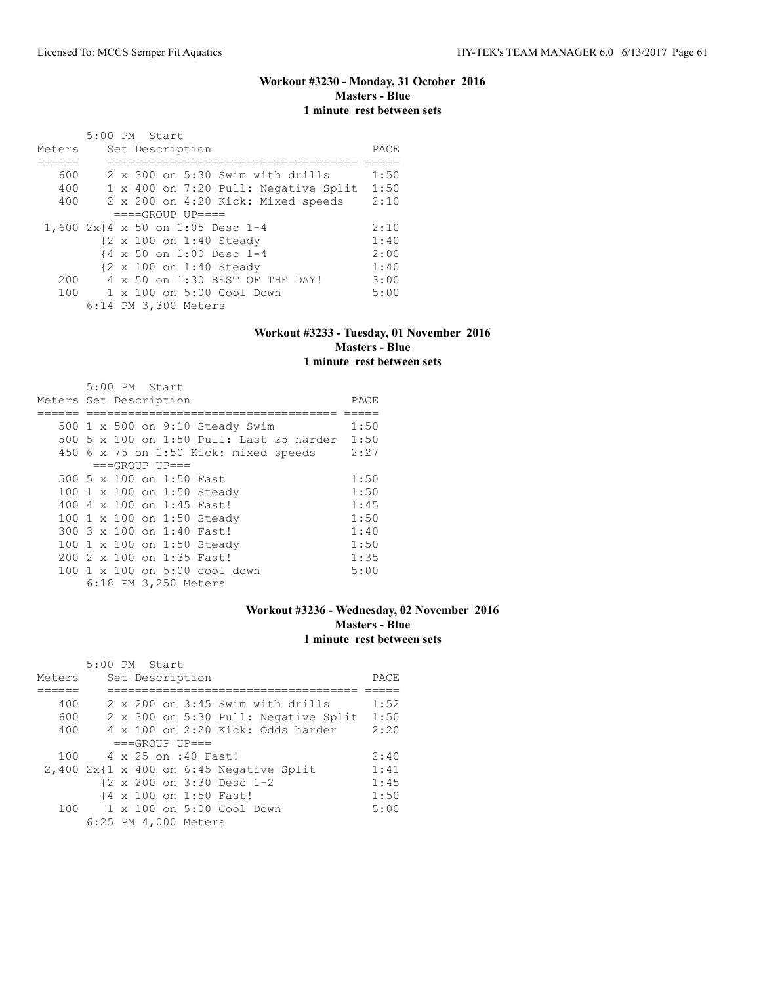## **Workout #3230 - Monday, 31 October 2016 Masters - Blue 1 minute rest between sets**

|        | 5:00 PM Start |  |                      |                                      |      |
|--------|---------------|--|----------------------|--------------------------------------|------|
| Meters |               |  | Set Description      |                                      | PACE |
|        |               |  |                      |                                      |      |
| 600    |               |  |                      | 2 x 300 on 5:30 Swim with drills     | 1:50 |
| 400    |               |  |                      | 1 x 400 on 7:20 Pull: Negative Split | 1:50 |
| 400    |               |  |                      | 2 x 200 on 4:20 Kick: Mixed speeds   | 2:10 |
|        |               |  | $===GROUP UP = ==$   |                                      |      |
|        |               |  |                      | 1,600 2x{4 x 50 on 1:05 Desc 1-4     | 2:10 |
|        |               |  |                      | {2 x 100 on 1:40 Steady              | 1:40 |
|        |               |  |                      | {4 x 50 on 1:00 Desc 1-4             | 2:00 |
|        |               |  |                      | {2 x 100 on 1:40 Steady              | 1:40 |
| 200    |               |  |                      | 4 x 50 on 1:30 BEST OF THE DAY!      | 3:00 |
| 100    |               |  |                      | 1 x 100 on 5:00 Cool Down            | 5:00 |
|        |               |  | 6:14 PM 3,300 Meters |                                      |      |

## **Workout #3233 - Tuesday, 01 November 2016 Masters - Blue 1 minute rest between sets**

| 5:00 PM Start                            |      |
|------------------------------------------|------|
| Meters Set Description                   | PACE |
|                                          |      |
| 500 1 x 500 on 9:10 Steady Swim          | 1:50 |
| 500 5 x 100 on 1:50 Pull: Last 25 harder | 1:50 |
| $450$ 6 x 75 on 1:50 Kick: mixed speeds  | 2:27 |
| $===GROUP UP=-$                          |      |
| 500 5 x 100 on 1:50 Fast                 | 1:50 |
| 100 1 x 100 on 1:50 Steady               | 1:50 |
| 400 4 x 100 on 1:45 Fast!                | 1:45 |
| 100 1 x 100 on 1:50 Steady               | 1:50 |
| 300 3 x 100 on 1:40 Fast!                | 1:40 |
| 100 1 x 100 on 1:50 Steady               | 1:50 |
| 200 2 x 100 on 1:35 Fast!                | 1:35 |
| 100 1 x 100 on 5:00 cool down            | 5:00 |
| 6:18 PM 3,250 Meters                     |      |

# **Workout #3236 - Wednesday, 02 November 2016 Masters - Blue 1 minute rest between sets**

|        | 5:00 PM Start |  |                      |                                              |      |
|--------|---------------|--|----------------------|----------------------------------------------|------|
| Meters |               |  | Set Description      |                                              | PACE |
|        |               |  |                      |                                              |      |
| 400    |               |  |                      | $2 \times 200$ on $3:45$ Swim with drills    | 1:52 |
| 600    |               |  |                      | 2 x 300 on 5:30 Pull: Negative Split         | 1:50 |
| 400    |               |  |                      | $4 \times 100$ on 2:20 Kick: Odds harder     | 2:20 |
|        |               |  | $===GROUP UP = =$    |                                              |      |
| 100    |               |  | 4 x 25 on :40 Fast!  |                                              | 2:40 |
|        |               |  |                      | $2,400$ $2x$ {1 x 400 on 6:45 Negative Split | 1:41 |
|        |               |  |                      | {2 x 200 on 3:30 Desc 1-2                    | 1:45 |
|        |               |  |                      | {4 x 100 on 1:50 Fast!                       | 1:50 |
| 100    |               |  |                      | $1 \times 100$ on $5:00$ Cool Down           | 5:00 |
|        |               |  | 6:25 PM 4,000 Meters |                                              |      |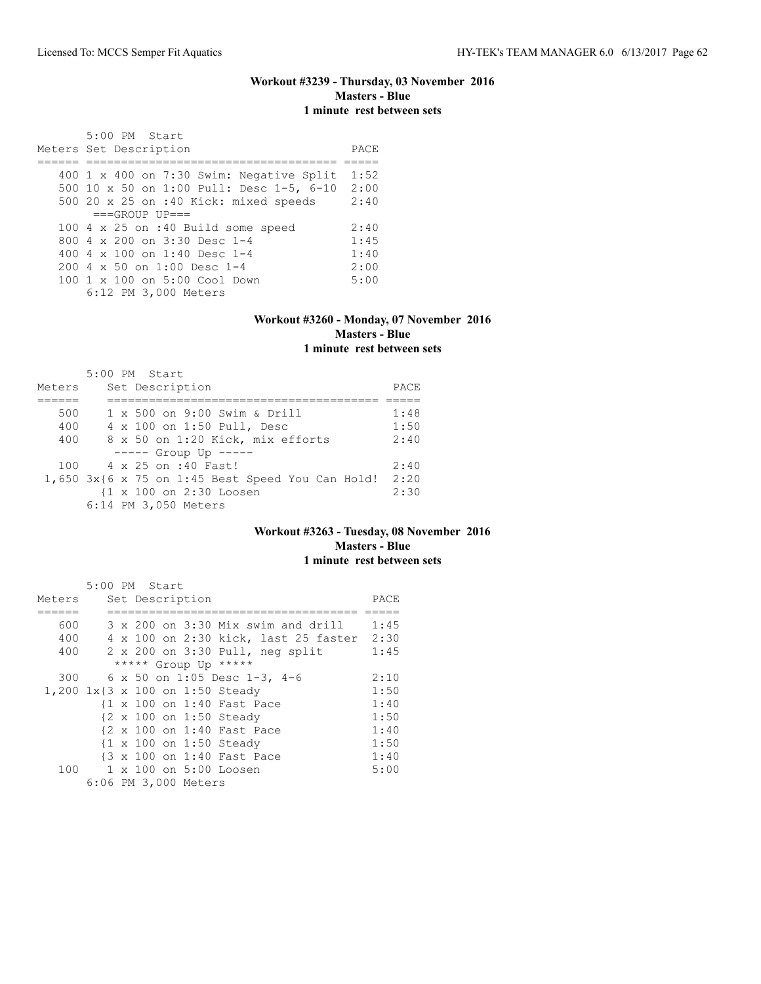## **Workout #3239 - Thursday, 03 November 2016 Masters - Blue 1 minute rest between sets**

 5:00 PM Start Meters Set Description **PACE** ====== ==================================== ===== 400 1 x 400 on 7:30 Swim: Negative Split 1:52 500 10 x 50 on 1:00 Pull: Desc 1-5, 6-10 2:00 500 20 x 25 on :40 Kick: mixed speeds 2:40  $===GROUP UP==$ 100 4 x 25 on :40 Build some speed 2:40<br>800 4 x 200 on 3:30 Desc 1-4 1:45 800 4 x 200 on 3:30 Desc 1-4 1:45<br>400 4 x 100 on 1:40 Desc 1-4 1:40 400 4 x 100 on 1:40 Desc 1-4 1:40<br>200 4 x 50 on 1:00 Desc 1-4 2:00 200 4 x 50 on 1:00 Desc 1-4 2:00 100 1 x 100 on 5:00 Cool Down 5:00 6:12 PM 3,000 Meters

#### **Workout #3260 - Monday, 07 November 2016 Masters - Blue 1 minute rest between sets**

|        | 5:00 PM Start                                         |      |
|--------|-------------------------------------------------------|------|
| Meters | Set Description                                       | PACE |
|        |                                                       |      |
| 500    | 1 x 500 on 9:00 Swim & Drill                          | 1:48 |
| 400    | 4 x 100 on 1:50 Pull, Desc                            | 1:50 |
| 400    | 8 x 50 on 1:20 Kick, mix efforts                      | 2:40 |
|        | $--- $ Group Up $---$                                 |      |
|        | 100 4 x 25 on :40 Fast!                               | 2:40 |
|        | $1,650$ $3x$ {6 x 75 on 1:45 Best Speed You Can Hold! | 2:20 |
|        | {1 x 100 on 2:30 Loosen                               | 2:30 |
|        | 6:14 PM 3,050 Meters                                  |      |

### **Workout #3263 - Tuesday, 08 November 2016 Masters - Blue 1 minute rest between sets**

|        | 5:00 PM Start |  |                      |                                             |      |
|--------|---------------|--|----------------------|---------------------------------------------|------|
| Meters |               |  | Set Description      |                                             | PACE |
|        |               |  |                      |                                             |      |
| 600    |               |  |                      | $3 \times 200$ on $3:30$ Mix swim and drill | 1:45 |
| 400    |               |  |                      | 4 x 100 on 2:30 kick, last 25 faster 2:30   |      |
| 400    |               |  |                      | 2 x 200 on 3:30 Pull, neg split             | 1:45 |
|        |               |  |                      | ***** Group Up *****                        |      |
| 300    |               |  |                      | 6 x 50 on 1:05 Desc 1-3, 4-6                | 2:10 |
|        |               |  |                      | 1,200 1x{3 x 100 on 1:50 Steady             | 1:50 |
|        |               |  |                      | {1 x 100 on 1:40 Fast Pace                  | 1:40 |
|        |               |  |                      | {2 x 100 on 1:50 Steady                     | 1:50 |
|        |               |  |                      | {2 x 100 on 1:40 Fast Pace                  | 1:40 |
|        |               |  |                      | {1 x 100 on 1:50 Steady                     | 1:50 |
|        |               |  |                      | {3 x 100 on 1:40 Fast Pace                  | 1:40 |
|        |               |  |                      | 100 1 x 100 on 5:00 Loosen                  | 5:00 |
|        |               |  | 6:06 PM 3,000 Meters |                                             |      |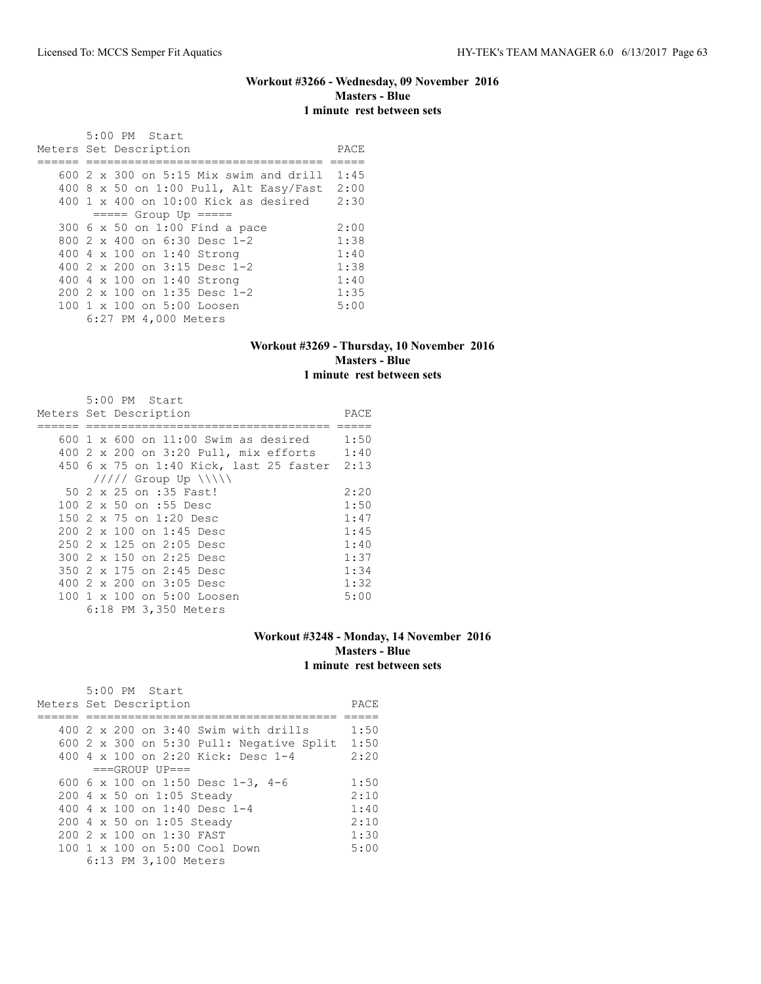### **Workout #3266 - Wednesday, 09 November 2016 Masters - Blue 1 minute rest between sets**

 5:00 PM Start Meters Set Description **PACE** ====== ================================== ===== 600 2 x 300 on 5:15 Mix swim and drill 1:45 400 8 x 50 on 1:00 Pull, Alt Easy/Fast 2:00 400 1 x 400 on 10:00 Kick as desired 2:30 ===== Group Up ===== 300 6 x 50 on 1:00 Find a pace 2:00<br>800 2 x 400 on 6:30 Desc 1-2 1:38 800 2 x 400 on 6:30 Desc 1-2 1:38<br>400 4 x 100 on 1:40 Strong 1:40 400 4 x 100 on 1:40 Strong 1:40<br>400 2 x 200 on 3:15 Desc 1-2 1:38 400 2 x 200 on 3:15 Desc 1-2 1:38<br>400 4 x 100 on 1:40 Strong 1:40 400 4 x 100 on 1:40 Strong 1:40<br>200 2 x 100 on 1:35 Desc 1-2 1:35 200 2 x 100 on 1:35 Desc 1-2 1:35<br>100 1 x 100 on 5:00 Loosen 5:00 100 1 x 100 on 5:00 Loosen 6:27 PM 4,000 Meters

#### **Workout #3269 - Thursday, 10 November 2016 Masters - Blue 1 minute rest between sets**

| 5:00 PM Start<br>Meters Set Description      | PACE |
|----------------------------------------------|------|
|                                              |      |
| $600$ 1 x $600$ on 11:00 Swim as desired     | 1:50 |
| 400 2 x 200 on 3:20 Pull, mix efforts        | 1:40 |
| 450 6 x 75 on 1:40 Kick, last 25 faster 2:13 |      |
| $11111$ Group Up $11111$                     |      |
| 50 2 x 25 on :35 Fast!                       | 2:20 |
| 100 2 x 50 on :55 Desc                       | 1:50 |
| 150 2 x 75 on 1:20 Desc                      | 1:47 |
| $2002 \times 100$ on 1:45 Desc               | 1:45 |
| 250 2 x 125 on 2:05 Desc                     | 1:40 |
| 300 2 x 150 on 2:25 Desc                     | 1:37 |
| 350 2 x 175 on 2:45 Desc                     | 1:34 |
| 400 2 x 200 on 3:05 Desc                     | 1:32 |
| 100 1 x 100 on 5:00 Loosen                   | 5:00 |
| 6:18 PM 3,350 Meters                         |      |

### **Workout #3248 - Monday, 14 November 2016 Masters - Blue 1 minute rest between sets**

| $400$ 2 x 200 on 3:40 Swim with drills<br>600 2 x 300 on 5:30 Pull: Negative Split | PACE |
|------------------------------------------------------------------------------------|------|
|                                                                                    | 1:50 |
|                                                                                    | 1:50 |
| 400 4 x 100 on 2:20 Kick: Desc 1-4                                                 | 2:20 |
| $===GROUP UP=-$                                                                    |      |
| 600 6 x 100 on 1:50 Desc 1-3, 4-6                                                  | 1:50 |
| 200 4 x 50 on 1:05 Steady                                                          | 2:10 |
| 400 4 $\times$ 100 on 1:40 Desc 1-4                                                | 1:40 |
| 200 4 x 50 on 1:05 Steady                                                          | 2:10 |
| 200 2 x 100 on 1:30 FAST                                                           | 1:30 |
| 100 1 x 100 on 5:00 Cool Down                                                      | 5:00 |
| 6:13 PM 3,100 Meters                                                               |      |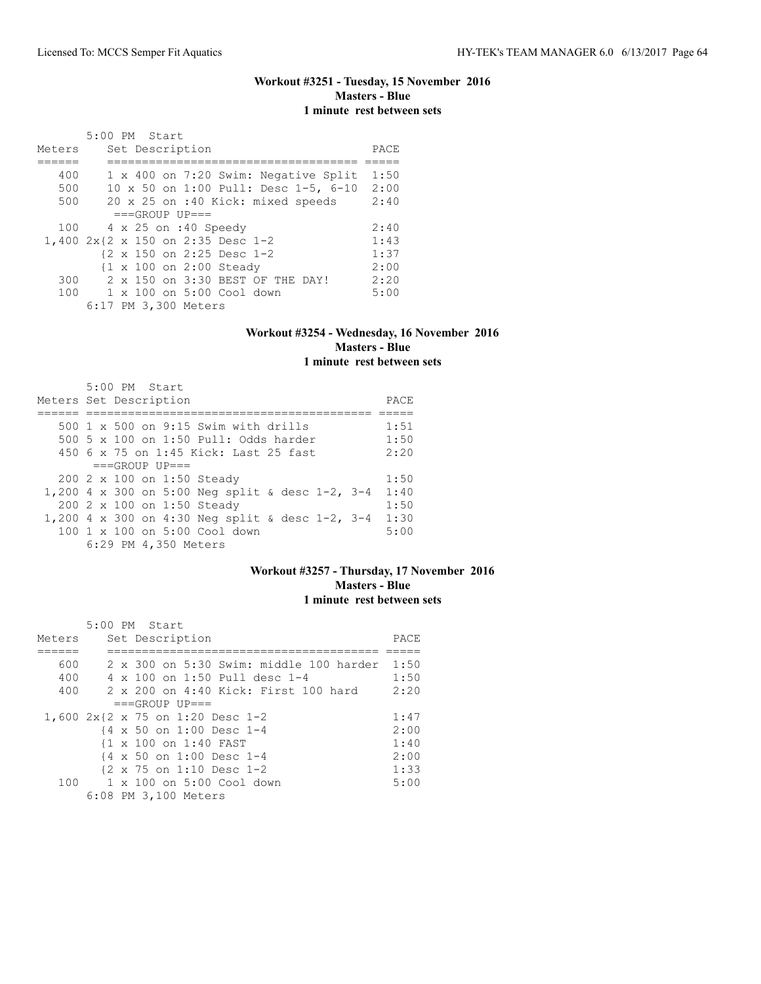# **Workout #3251 - Tuesday, 15 November 2016 Masters - Blue 1 minute rest between sets**

|        | 5:00 PM Start                        |      |
|--------|--------------------------------------|------|
| Meters | Set Description                      | PACE |
|        |                                      |      |
| 400    | 1 x 400 on 7:20 Swim: Negative Split | 1:50 |
| 500    | 10 x 50 on 1:00 Pull: Desc 1-5, 6-10 | 2:00 |
| 500    | 20 x 25 on :40 Kick: mixed speeds    | 2:40 |
|        | $===GROUP UP = =$                    |      |
| 100    | 4 x 25 on :40 Speedy                 | 2:40 |
|        | 1,400 2x{2 x 150 on 2:35 Desc 1-2    | 1:43 |
|        | {2 x 150 on 2:25 Desc 1-2            | 1:37 |
|        | {1 x 100 on 2:00 Steady              | 2:00 |
| 300    | 2 x 150 on 3:30 BEST OF THE DAY!     | 2:20 |
| 100    | $1 \times 100$ on $5:00$ Cool down   | 5:00 |
|        | 6:17 PM 3,300 Meters                 |      |

### **Workout #3254 - Wednesday, 16 November 2016 Masters - Blue 1 minute rest between sets**

| Meters Set Description                               | $5:00$ PM Start |                            |                                          |  |  | PACE |
|------------------------------------------------------|-----------------|----------------------------|------------------------------------------|--|--|------|
|                                                      |                 |                            |                                          |  |  |      |
|                                                      |                 |                            | 500 1 x 500 on 9:15 Swim with drills     |  |  | 1:51 |
|                                                      |                 |                            | 500 5 x 100 on 1:50 Pull: Odds harder    |  |  | 1:50 |
|                                                      |                 |                            | 450 6 x 75 on 1:45 Kick: Last 25 fast    |  |  | 2:20 |
|                                                      |                 | $===GROUP UP = =$          |                                          |  |  |      |
|                                                      |                 | 200 2 x 100 on 1:50 Steady |                                          |  |  | 1:50 |
| 1,200 4 x 300 on 5:00 Neg split & desc 1-2, 3-4      |                 |                            |                                          |  |  | 1:40 |
|                                                      |                 | 200 2 x 100 on 1:50 Steady |                                          |  |  | 1:50 |
| 1,200 4 x 300 on 4:30 Neq split & desc $1-2$ , $3-4$ |                 |                            |                                          |  |  | 1:30 |
|                                                      |                 |                            | $100 \t 1 \t x \t 100$ on 5:00 Cool down |  |  | 5:00 |
|                                                      |                 | 6:29 PM 4,350 Meters       |                                          |  |  |      |

## **Workout #3257 - Thursday, 17 November 2016 Masters - Blue 1 minute rest between sets**

|        | 5:00 PM Start |                                                      |      |
|--------|---------------|------------------------------------------------------|------|
| Meters |               | Set Description                                      | PACE |
|        |               |                                                      |      |
| 600    |               | $2 \times 300$ on $5:30$ Swim: middle 100 harder     | 1:50 |
| 400    |               | 4 x 100 on 1:50 Pull desc 1-4                        | 1:50 |
| 400    |               | 2 x 200 on 4:40 Kick: First 100 hard                 | 2:20 |
|        |               | $===GROUP UP = =$                                    |      |
|        |               | 1,600 2x{2 x 75 on 1:20 Desc 1-2                     | 1:47 |
|        |               | {4 x 50 on 1:00 Desc 1-4                             | 2:00 |
|        |               | {1 x 100 on 1:40 FAST                                | 1:40 |
|        |               | {4 x 50 on 1:00 Desc 1-4                             | 2:00 |
|        |               | $\{2 \times 75 \text{ on } 1:10 \text{ Desc } 1-2\}$ | 1:33 |
| 100    |               | $1 \times 100$ on 5:00 Cool down                     | 5:00 |
|        |               | 6:08 PM 3,100 Meters                                 |      |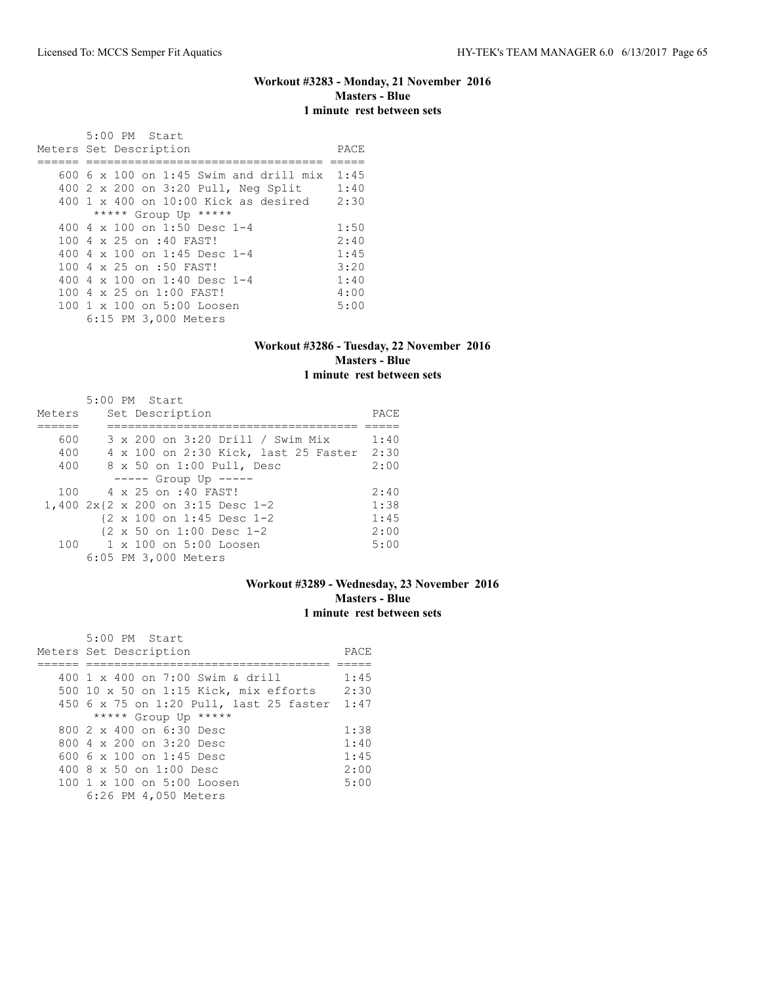### **Workout #3283 - Monday, 21 November 2016 Masters - Blue 1 minute rest between sets**

 5:00 PM Start Meters Set Description **PACE** ====== ================================== ===== 600 6 x 100 on 1:45 Swim and drill mix 1:45 400 2 x 200 on 3:20 Pull, Neg Split 1:40 400 1 x 400 on 10:00 Kick as desired 2:30 \*\*\*\*\* Group Up \*\*\*\*\* 400 4 x 100 on 1:50 Desc 1-4 1:50<br>100 4 x 25 on :40 FAST! 2:40 100 4 x 25 on :40 FAST! 2:40<br>400 4 x 100 on 1:45 Desc 1-4 1:45 400 4 x 100 on 1:45 Desc 1-4 1:45<br>100 4 x 25 on :50 FAST! 3:20 100 4 x 25 on :50 FAST! 3:20<br>400 4 x 100 on 1:40 Desc 1-4 1:40 400 4 x 100 on 1:40 Desc 1-4 1:40<br>100 4 x 25 on 1:00 FAST! 4:00 100 4 x 25 on 1:00 FAST! 4:00<br>100 1 x 100 on 5:00 Loosen 5:00 100 1 x 100 on 5:00 Loosen 6:15 PM 3,000 Meters

#### **Workout #3286 - Tuesday, 22 November 2016 Masters - Blue 1 minute rest between sets**

|        |  | $5:00$ PM Start                                      |      |
|--------|--|------------------------------------------------------|------|
| Meters |  | Set Description                                      | PACE |
|        |  |                                                      |      |
| 600    |  | 3 x 200 on 3:20 Drill / Swim Mix                     | 1:40 |
| 400    |  | 4 x 100 on 2:30 Kick, last 25 Faster                 | 2:30 |
| 400    |  | 8 x 50 on 1:00 Pull, Desc                            | 2:00 |
|        |  | $--- -$ Group Up $---$                               |      |
| 100    |  | 4 x 25 on :40 FAST!                                  | 2:40 |
|        |  | 1,400 2x{2 x 200 on 3:15 Desc 1-2                    | 1:38 |
|        |  | {2 x 100 on 1:45 Desc 1-2                            | 1:45 |
|        |  | $\{2 \times 50 \text{ on } 1:00 \text{ Desc } 1-2\}$ | 2:00 |
| 100    |  | 1 x 100 on 5:00 Loosen                               | 5:00 |
|        |  | 6:05 PM 3,000 Meters                                 |      |

### **Workout #3289 - Wednesday, 23 November 2016 Masters - Blue 1 minute rest between sets**

| 5:00 PM Start                                |      |
|----------------------------------------------|------|
| Meters Set Description                       | PACE |
|                                              |      |
| 400 $1 \times 400$ on 7:00 Swim & drill      | 1:45 |
| 500 10 x 50 on 1:15 Kick, mix efforts        | 2:30 |
| 450 6 x 75 on 1:20 Pull, last 25 faster 1:47 |      |
| ***** Group Up *****                         |      |
| 800 $2 \times 400$ on $6:30$ Desc            | 1:38 |
| 800 $4 \times 200$ on 3:20 Desc              | 1:40 |
| 600 6 x 100 on 1:45 Desc                     | 1:45 |
| 400 $8 \times 50$ on 1:00 Desc               | 2:00 |
| 100 1 x 100 on 5:00 Loosen                   | 5:00 |
| 6:26 PM 4,050 Meters                         |      |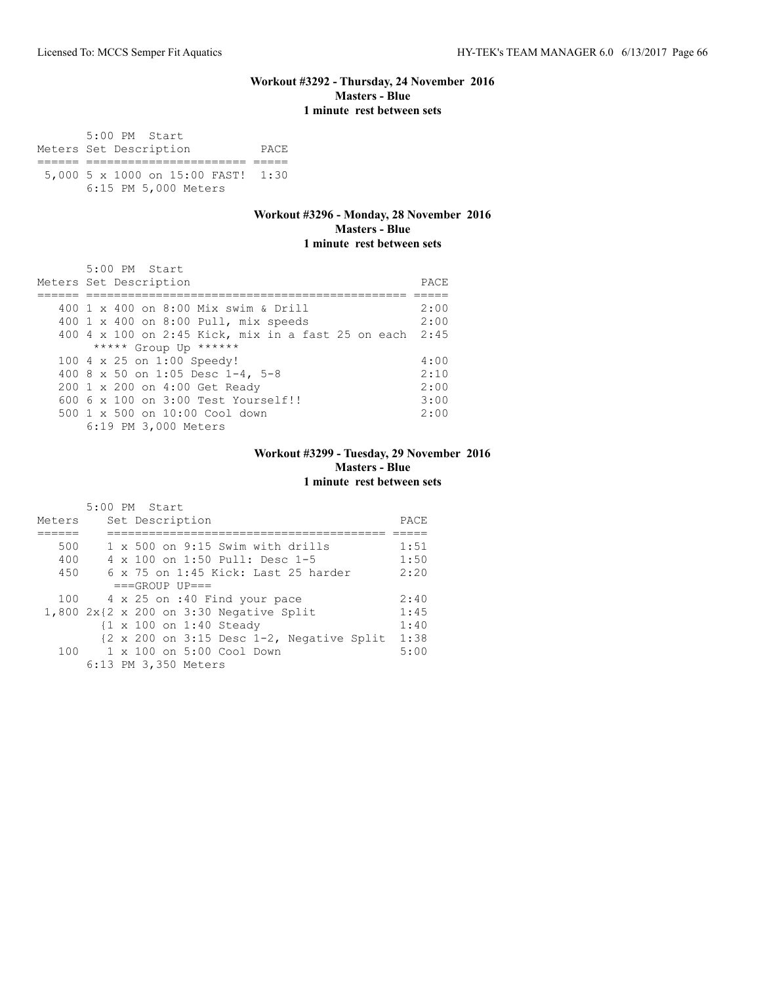### **Workout #3292 - Thursday, 24 November 2016 Masters - Blue 1 minute rest between sets**

 5:00 PM Start Meters Set Description PACE ====== ======================= ===== 5,000 5 x 1000 on 15:00 FAST! 1:30 6:15 PM 5,000 Meters

### **Workout #3296 - Monday, 28 November 2016 Masters - Blue 1 minute rest between sets**

| 5:00 PM Start                                           |      |
|---------------------------------------------------------|------|
| Meters Set Description                                  | PACE |
|                                                         |      |
| 400 1 x 400 on 8:00 Mix swim & Drill                    | 2:00 |
| 400 1 x 400 on 8:00 Pull, mix speeds                    | 2:00 |
| 400 4 x 100 on 2:45 Kick, mix in a fast 25 on each 2:45 |      |
| ***** Group Up ******                                   |      |
| 100 4 x 25 on 1:00 Speedy!                              | 4:00 |
| 400 8 x 50 on 1:05 Desc 1-4, 5-8                        | 2:10 |
| 200 1 x 200 on 4:00 Get Ready                           | 2:00 |
| $6006 \times 100$ on $3:00$ Test Yourself!!             | 3:00 |
| 500 1 x 500 on 10:00 Cool down                          | 2:00 |
| 6:19 PM 3,000 Meters                                    |      |

### **Workout #3299 - Tuesday, 29 November 2016 Masters - Blue 1 minute rest between sets**

|        | 5:00 PM Start                                                                  |      |
|--------|--------------------------------------------------------------------------------|------|
| Meters | Set Description                                                                | PACE |
|        |                                                                                |      |
| 500    | $1 \times 500$ on 9:15 Swim with drills                                        | 1:51 |
| 400    | $4 \times 100$ on 1:50 Pull: Desc 1-5                                          | 1:50 |
| 450    | $6 \times 75$ on 1:45 Kick: Last 25 harder                                     | 2:20 |
|        | $===GROUP UP = =$                                                              |      |
| 100    | 4 x 25 on :40 Find your pace                                                   | 2:40 |
|        | $1,800$ 2x{2 x 200 on 3:30 Negative Split                                      | 1:45 |
|        | {1 x 100 on 1:40 Steady                                                        | 1:40 |
|        | $\{2 \times 200 \text{ on } 3:15 \text{ Desc } 1-2, \text{ Negative Split }\}$ | 1:38 |
| 100    | $1 \times 100$ on $5:00$ Cool Down                                             | 5:00 |
|        | 6:13 PM 3,350 Meters                                                           |      |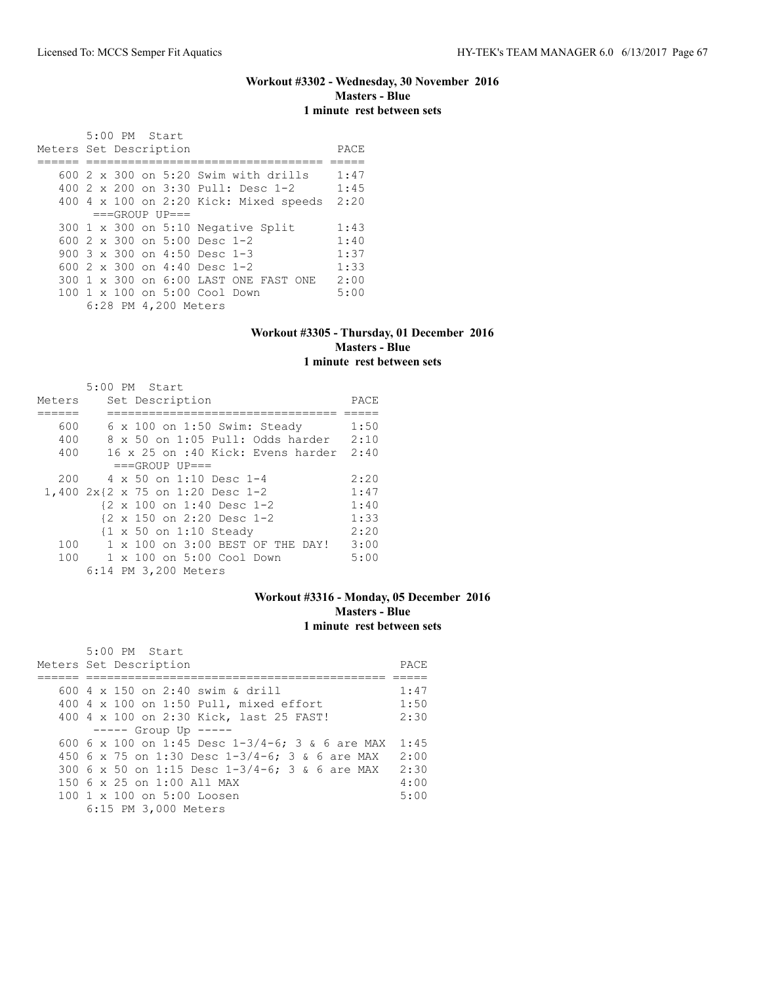### **Workout #3302 - Wednesday, 30 November 2016 Masters - Blue 1 minute rest between sets**

 5:00 PM Start Meters Set Description **PACE** ====== ================================== ===== 600 2 x 300 on 5:20 Swim with drills 1:47 400 2 x 200 on 3:30 Pull: Desc 1-2 1:45 400 4 x 100 on 2:20 Kick: Mixed speeds 2:20  $===GROUP UP==$ 300 1 x 300 on 5:10 Negative Split 1:43<br>600 2 x 300 on 5:00 Desc 1-2 1:40 600 2 x 300 on 5:00 Desc 1-2 1:40<br>900 3 x 300 on 4:50 Desc 1-3 1:37 900 3 x 300 on 4:50 Desc 1-3 600 2 x 300 on 4:40 Desc 1-2 1:33 300 1 x 300 on 6:00 LAST ONE FAST ONE 2:00<br>100 1 x 100 on 5:00 Cool Down 5:00 100 1 x 100 on 5:00 Cool Down 6:28 PM 4,200 Meters

#### **Workout #3305 - Thursday, 01 December 2016 Masters - Blue 1 minute rest between sets**

|        |  | 5:00 PM Start                       |      |
|--------|--|-------------------------------------|------|
| Meters |  | Set Description                     | PACE |
|        |  |                                     |      |
| 600    |  | $6 \times 100$ on 1:50 Swim: Steady | 1:50 |
| 400    |  | 8 x 50 on 1:05 Pull: Odds harder    | 2:10 |
| 400    |  | 16 x 25 on :40 Kick: Evens harder   | 2:40 |
|        |  | $===GROUP UP = =$                   |      |
| 200    |  | $4 \times 50$ on 1:10 Desc 1-4      | 2:20 |
|        |  | 1,400 2x{2 x 75 on 1:20 Desc 1-2    | 1:47 |
|        |  | {2 x 100 on 1:40 Desc 1-2           | 1:40 |
|        |  | {2 x 150 on 2:20 Desc 1-2           | 1:33 |
|        |  | {1 x 50 on 1:10 Steady              | 2:20 |
| 100    |  | 1 x 100 on 3:00 BEST OF THE DAY!    | 3:00 |
| 100    |  | $1 \times 100$ on $5:00$ Cool Down  | 5:00 |
|        |  | 6:14 PM 3,200 Meters                |      |

### **Workout #3316 - Monday, 05 December 2016 Masters - Blue 1 minute rest between sets**

| 5:00 PM Start                                          |      |
|--------------------------------------------------------|------|
| Meters Set Description                                 | PACE |
|                                                        |      |
| 600 4 x 150 on 2:40 swim & drill                       | 1:47 |
| 400 4 x 100 on 1:50 Pull, mixed effort                 | 1:50 |
| 400 4 x 100 on 2:30 Kick, last 25 FAST!                | 2:30 |
| $--- $ Group Up $---$                                  |      |
| 600 6 x 100 on 1:45 Desc $1-3/4-6$ ; 3 & 6 are MAX     | 1:45 |
| 450 6 x 75 on 1:30 Desc 1-3/4-6; 3 & 6 are MAX         | 2:00 |
| 300 6 x 50 on 1:15 Desc 1-3/4-6; 3 & 6 are MAX         | 2:30 |
| 150 6 x 25 on 1:00 All MAX                             | 4:00 |
| $100 \text{ 1 x } 100 \text{ on } 5:00 \text{ Loosen}$ | 5:00 |
| 6:15 PM 3,000 Meters                                   |      |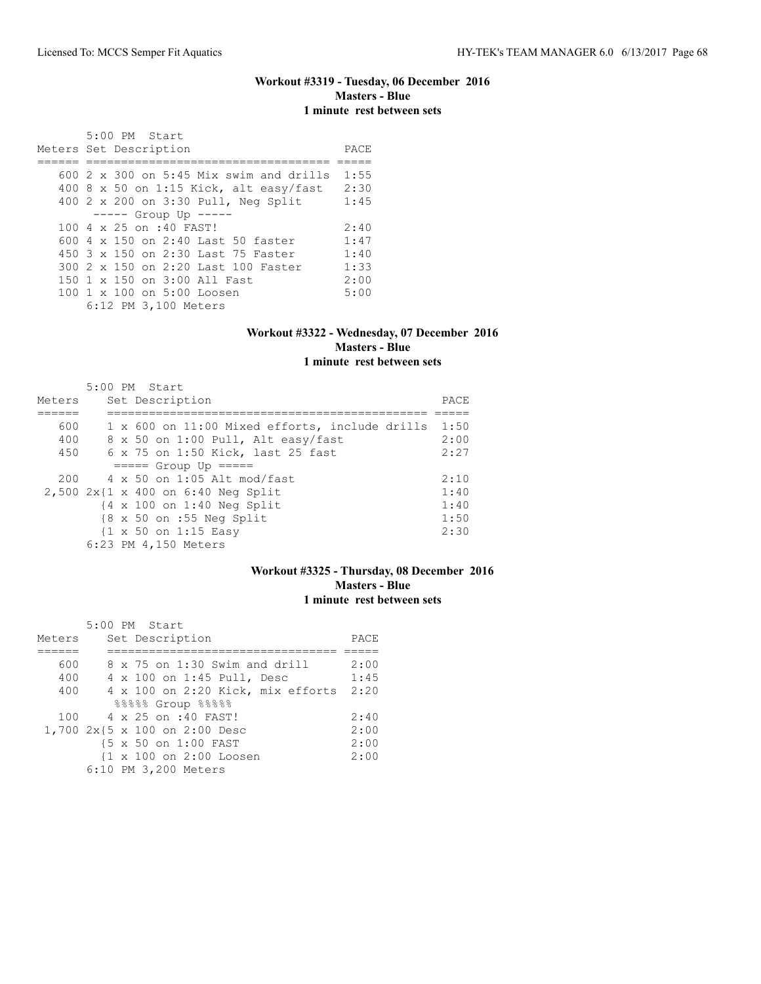## **Workout #3319 - Tuesday, 06 December 2016 Masters - Blue 1 minute rest between sets**

| 5:00 PM Start                                |      |
|----------------------------------------------|------|
| Meters Set Description                       | PACE |
|                                              |      |
| $600\,2\,$ x 300 on 5:45 Mix swim and drills | 1:55 |
| 400 8 x 50 on 1:15 Kick, alt easy/fast       | 2:30 |
| 400 2 x 200 on 3:30 Pull, Neg Split          | 1:45 |
| ----- Group Up -----                         |      |
| 100 4 x 25 on :40 FAST!                      | 2:40 |
| 600 $4 \times 150$ on 2:40 Last 50 faster    | 1:47 |
| 450 3 x 150 on 2:30 Last 75 Faster           | 1:40 |
| 300 2 x 150 on 2:20 Last 100 Faster          | 1:33 |
| 150 1 x 150 on 3:00 All Fast                 | 2:00 |
| 100 1 x 100 on 5:00 Loosen                   | 5:00 |
| 6:12 PM 3,100 Meters                         |      |

### **Workout #3322 - Wednesday, 07 December 2016 Masters - Blue 1 minute rest between sets**

| Meters | 5:00 PM Start<br>Set Description                      | PACE |
|--------|-------------------------------------------------------|------|
|        |                                                       |      |
| 600    | 1 x 600 on 11:00 Mixed efforts, include drills        | 1:50 |
| 400    | 8 x 50 on 1:00 Pull, Alt easy/fast                    | 2:00 |
| 450    | 6 x 75 on 1:50 Kick, last 25 fast                     | 2:27 |
|        | $====$ Group Up $====$                                |      |
| 200    | $4 \times 50$ on 1:05 Alt mod/fast                    | 2:10 |
|        | $2,500 2x11 x 400$ on 6:40 Neq Split                  | 1:40 |
|        | $\{4 \times 100 \text{ on } 1:40 \text{ Neg Split}\}$ | 1:40 |
|        | $8 \times 50$ on :55 Neg Split                        | 1:50 |
|        | $\{1 \times 50 \text{ on } 1:15 \text{ Easy}\}$       | 2:30 |
|        | 6:23 PM 4,150 Meters                                  |      |

# **Workout #3325 - Thursday, 08 December 2016 Masters - Blue 1 minute rest between sets**

|        | 5:00 PM Start                     |      |
|--------|-----------------------------------|------|
| Meters | Set Description                   | PACE |
|        |                                   |      |
| 600    | 8 x 75 on 1:30 Swim and drill     | 2:00 |
| 400    | 4 x 100 on 1:45 Pull, Desc        | 1:45 |
| 400    | 4 x 100 on 2:20 Kick, mix efforts | 2:20 |
|        | $88888$ Group $88888$             |      |
| 100    | 4 x 25 on :40 FAST!               | 2:40 |
|        | 1,700 2x{5 x 100 on 2:00 Desc     | 2:00 |
|        | {5 x 50 on 1:00 FAST              | 2:00 |
|        | {1 x 100 on 2:00 Loosen           | 2:00 |
|        | 6:10 PM 3,200 Meters              |      |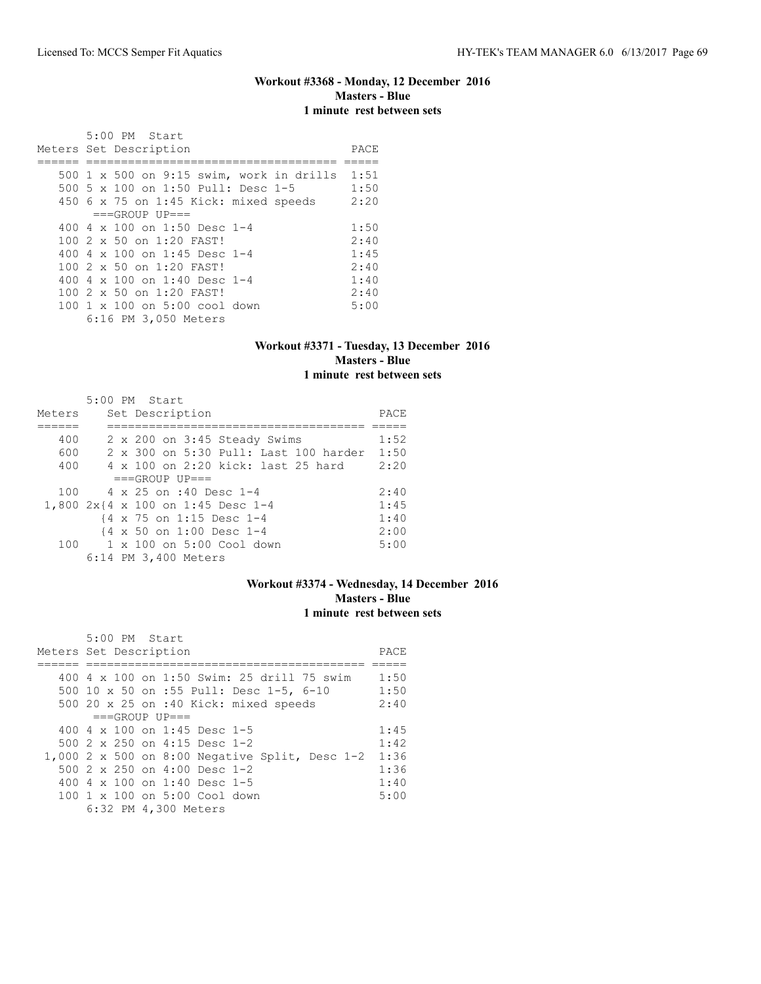## **Workout #3368 - Monday, 12 December 2016 Masters - Blue 1 minute rest between sets**

| $5:00$ PM Start                                 |      |
|-------------------------------------------------|------|
| Meters Set Description                          | PACE |
|                                                 |      |
| 500 $1 \times 500$ on 9:15 swim, work in drills | 1:51 |
| 500 5 x 100 on 1:50 Pull: Desc 1-5              | 1:50 |
| 450 6 x 75 on 1:45 Kick: mixed speeds           | 2:20 |
| $===GROUP UP=-$                                 |      |
| 400 4 $\times$ 100 on 1:50 Desc 1-4             | 1:50 |
| $1002 \times 50$ on $1:20$ FAST!                | 2:40 |
| 400 4 $\times$ 100 on 1:45 Desc 1-4             | 1:45 |
| $1002 \times 50$ on $1:20$ FAST!                | 2:40 |
| 400 4 $\times$ 100 on 1:40 Desc 1-4             | 1:40 |
| $1002 \times 50$ on $1:20$ FAST!                | 2:40 |
| 100 1 x 100 on 5:00 cool down                   | 5:00 |
| 6:16 PM 3,050 Meters                            |      |

### **Workout #3371 - Tuesday, 13 December 2016 Masters - Blue 1 minute rest between sets**

|        | $5:00$ PM Start                       |      |
|--------|---------------------------------------|------|
| Meters | Set Description                       | PACE |
|        |                                       |      |
| 400    | 2 x 200 on 3:45 Steady Swims          | 1:52 |
| 600    | 2 x 300 on 5:30 Pull: Last 100 harder | 1:50 |
| 400    | 4 x 100 on 2:20 kick: last 25 hard    | 2:20 |
|        | $===GROUP UP=-$                       |      |
| 100    | 4 x 25 on :40 Desc 1-4                | 2:40 |
|        | 1,800 2x{4 x 100 on 1:45 Desc 1-4     | 1:45 |
|        | {4 x 75 on 1:15 Desc 1-4              | 1:40 |
|        | {4 x 50 on 1:00 Desc 1-4              | 2:00 |
| 100    | 1 x 100 on 5:00 Cool down             | 5:00 |
|        | 6:14 PM 3,400 Meters                  |      |

### **Workout #3374 - Wednesday, 14 December 2016 Masters - Blue 1 minute rest between sets**

| 5:00 PM Start                                  |      |
|------------------------------------------------|------|
| Meters Set Description                         | PACE |
|                                                |      |
| 400 4 x 100 on 1:50 Swim: 25 drill 75 swim     | 1:50 |
| 500 10 x 50 on :55 Pull: Desc 1-5, 6-10        | 1:50 |
| 500 20 x 25 on :40 Kick: mixed speeds          | 2:40 |
| $===GROUP UP = =$                              |      |
| 400 4 x 100 on 1:45 Desc 1-5                   | 1:45 |
| 500 2 x 250 on 4:15 Desc 1-2                   | 1:42 |
| 1,000 2 x 500 on 8:00 Negative Split, Desc 1-2 | 1:36 |
| 500 $2 \times 250$ on $4:00$ Desc 1-2          | 1:36 |
| 400 4 x 100 on 1:40 Desc 1-5                   | 1:40 |
| 100 1 x 100 on 5:00 Cool down                  | 5:00 |
| 6:32 PM 4,300 Meters                           |      |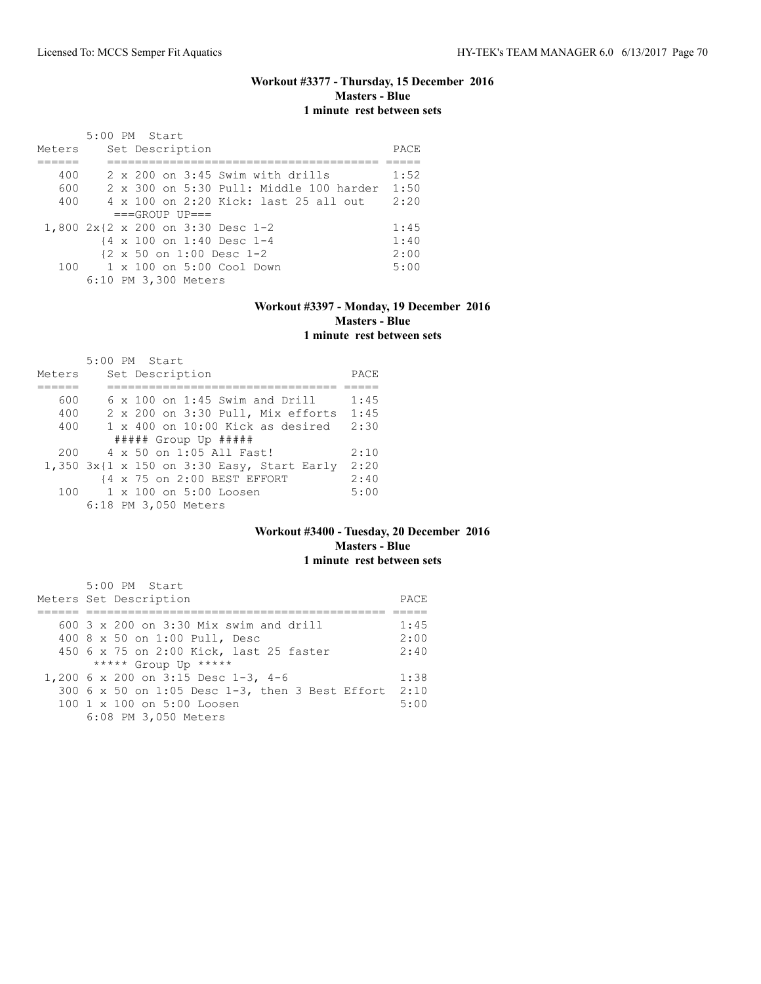## **Workout #3377 - Thursday, 15 December 2016 Masters - Blue 1 minute rest between sets**

|        | $5:00$ PM Start |  |                      |                                                      |                                                  |      |
|--------|-----------------|--|----------------------|------------------------------------------------------|--------------------------------------------------|------|
| Meters |                 |  | Set Description      |                                                      |                                                  | PACE |
|        |                 |  |                      |                                                      |                                                  |      |
| 400    |                 |  |                      | $2 \times 200$ on $3:45$ Swim with drills            |                                                  | 1:52 |
| 600    |                 |  |                      |                                                      | $2 \times 300$ on $5:30$ Pull: Middle 100 harder | 1:50 |
| 400    |                 |  |                      |                                                      | 4 x 100 on 2:20 Kick: last 25 all out            | 2:20 |
|        |                 |  | $===GROUP UP = =$    |                                                      |                                                  |      |
|        |                 |  |                      | 1,800 2x{2 x 200 on 3:30 Desc 1-2                    |                                                  | 1:45 |
|        |                 |  |                      | {4 x 100 on 1:40 Desc 1-4                            |                                                  | 1:40 |
|        |                 |  |                      | $\{2 \times 50 \text{ on } 1:00 \text{ Desc } 1-2\}$ |                                                  | 2:00 |
|        |                 |  |                      | $100 \t 1 \times 100$ on $5:00$ Cool Down            |                                                  | 5:00 |
|        |                 |  | 6:10 PM 3,300 Meters |                                                      |                                                  |      |

### **Workout #3397 - Monday, 19 December 2016 Masters - Blue 1 minute rest between sets**

| Meters | 5:00 PM Start<br>Set Description           | PACE |
|--------|--------------------------------------------|------|
|        |                                            |      |
| 600    | $6 \times 100$ on 1:45 Swim and Drill      | 1:45 |
| 400    | 2 x 200 on 3:30 Pull, Mix efforts          | 1:45 |
| 400    | $1 \times 400$ on $10:00$ Kick as desired  | 2:30 |
|        | ##### Group Up #####                       |      |
| 200    | 4 x 50 on 1:05 All Fast!                   | 2:10 |
|        | 1,350 3x{1 x 150 on 3:30 Easy, Start Early | 2:20 |
|        | {4 x 75 on 2:00 BEST EFFORT                | 2:40 |
|        | $100 \t 1 \times 100$ on $5:00$ Loosen     | 5:00 |
|        | 6:18 PM 3,050 Meters                       |      |

### **Workout #3400 - Tuesday, 20 December 2016 Masters - Blue 1 minute rest between sets**

| 5:00 PM Start<br>Meters Set Description              | PACE |
|------------------------------------------------------|------|
|                                                      |      |
| 600 $3 \times 200$ on $3:30$ Mix swim and drill      | 1:45 |
| 400 8 x 50 on 1:00 Pull, Desc                        | 2:00 |
| 450 6 x 75 on 2:00 Kick, last 25 faster              | 2:40 |
| ***** Group Up *****                                 |      |
| 1,200 6 x 200 on 3:15 Desc 1-3, 4-6                  | 1:38 |
| 300 6 x 50 on 1:05 Desc 1-3, then 3 Best Effort 2:10 |      |
| 100 1 x 100 on 5:00 Loosen                           | 5:00 |
| 6:08 PM 3,050 Meters                                 |      |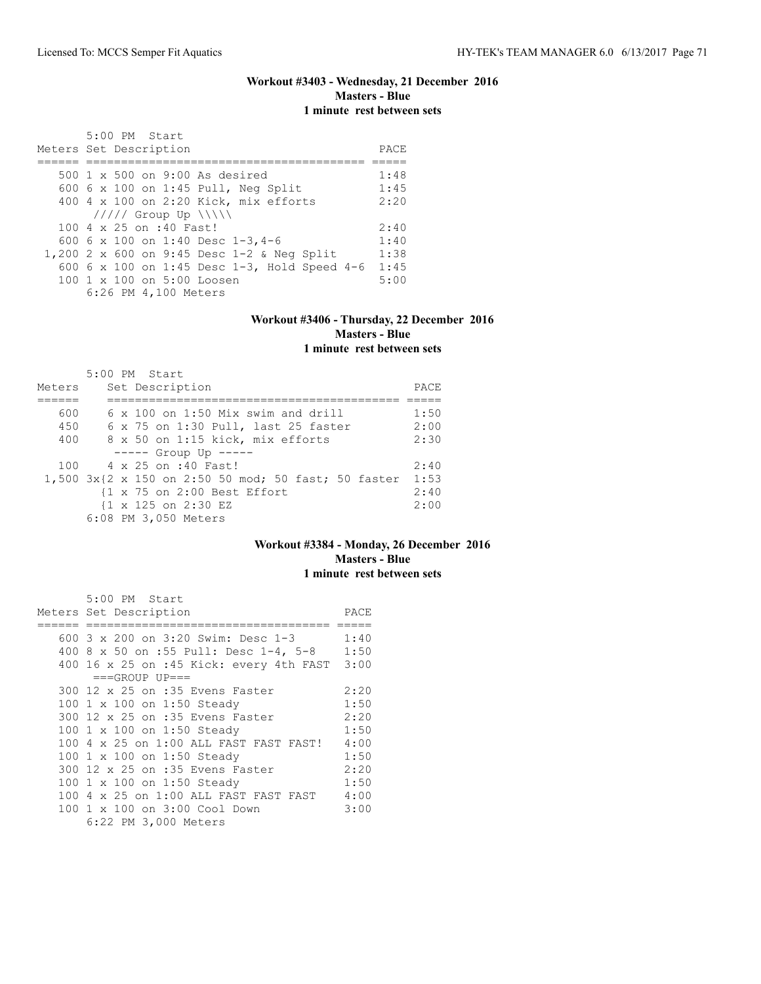### **Workout #3403 - Wednesday, 21 December 2016 Masters - Blue 1 minute rest between sets**

| 5:00 PM Start<br>Meters Set Description      | PACE |
|----------------------------------------------|------|
| $500 \text{ 1 x } 500$ on 9:00 As desired    | 1:48 |
|                                              |      |
| 600 6 x 100 on 1:45 Pull, Neg Split          | 1:45 |
| 400 4 x 100 on 2:20 Kick, mix efforts        | 2:20 |
| $11111$ Group Up $11111$                     |      |
| 100 4 x 25 on :40 Fast!                      | 2:40 |
| 600 6 x 100 on 1:40 Desc 1-3,4-6             | 1:40 |
| 1,200 2 x 600 on 9:45 Desc 1-2 & Neg Split   | 1:38 |
| 600 6 x 100 on 1:45 Desc 1-3, Hold Speed 4-6 | 1:45 |
| $100 \t 1 \t x \t 100$ on $5:00$ Loosen      | 5:00 |
| 6:26 PM 4,100 Meters                         |      |

### **Workout #3406 - Thursday, 22 December 2016 Masters - Blue 1 minute rest between sets**

|        | $5:00$ PM Start                                          |      |
|--------|----------------------------------------------------------|------|
| Meters | Set Description                                          | PACE |
|        |                                                          |      |
| 600    | $6 \times 100$ on 1:50 Mix swim and drill                | 1:50 |
| 450    | 6 x 75 on 1:30 Pull, last 25 faster                      | 2:00 |
| 400    | 8 x 50 on 1:15 kick, mix efforts                         | 2:30 |
|        | $---$ Group Up $---$                                     |      |
|        | 100 4 x 25 on :40 Fast!                                  | 2:40 |
|        | $1,500$ $3x$ {2 x 150 on 2:50 50 mod; 50 fast; 50 faster | 1:53 |
|        | {1 x 75 on 2:00 Best Effort                              | 2:40 |
|        | {1 x 125 on 2:30 EZ                                      | 2:00 |
|        | 6:08 PM 3,050 Meters                                     |      |

### **Workout #3384 - Monday, 26 December 2016 Masters - Blue 1 minute rest between sets**

| 5:00 PM Start                                | PACE |  |  |  |  |  |  |
|----------------------------------------------|------|--|--|--|--|--|--|
| Meters Set Description                       |      |  |  |  |  |  |  |
|                                              |      |  |  |  |  |  |  |
| 600 3 x 200 on 3:20 Swim: Desc 1-3 1:40      |      |  |  |  |  |  |  |
| 400 8 x 50 on :55 Pull: Desc 1-4, 5-8 1:50   |      |  |  |  |  |  |  |
| 400 16 x 25 on :45 Kick: every 4th FAST 3:00 |      |  |  |  |  |  |  |
| $===GROUP UP=-$                              |      |  |  |  |  |  |  |
| 300 12 x 25 on :35 Evens Faster              | 2:20 |  |  |  |  |  |  |
| 100 1 x 100 on 1:50 Steady                   | 1:50 |  |  |  |  |  |  |
| 300 12 x 25 on :35 Evens Faster              | 2:20 |  |  |  |  |  |  |
| 100 1 x 100 on 1:50 Steady                   | 1:50 |  |  |  |  |  |  |
| 100 4 x 25 on 1:00 ALL FAST FAST FAST!       | 4:00 |  |  |  |  |  |  |
| 100 1 x 100 on 1:50 Steady                   | 1:50 |  |  |  |  |  |  |
| 300 12 x 25 on :35 Evens Faster              | 2:20 |  |  |  |  |  |  |
| 100 1 x 100 on 1:50 Steady                   | 1:50 |  |  |  |  |  |  |
| 100 4 x 25 on 1:00 ALL FAST FAST FAST        | 4:00 |  |  |  |  |  |  |
| 100 1 x 100 on 3:00 Cool Down                | 3:00 |  |  |  |  |  |  |
| 6:22 PM 3,000 Meters                         |      |  |  |  |  |  |  |